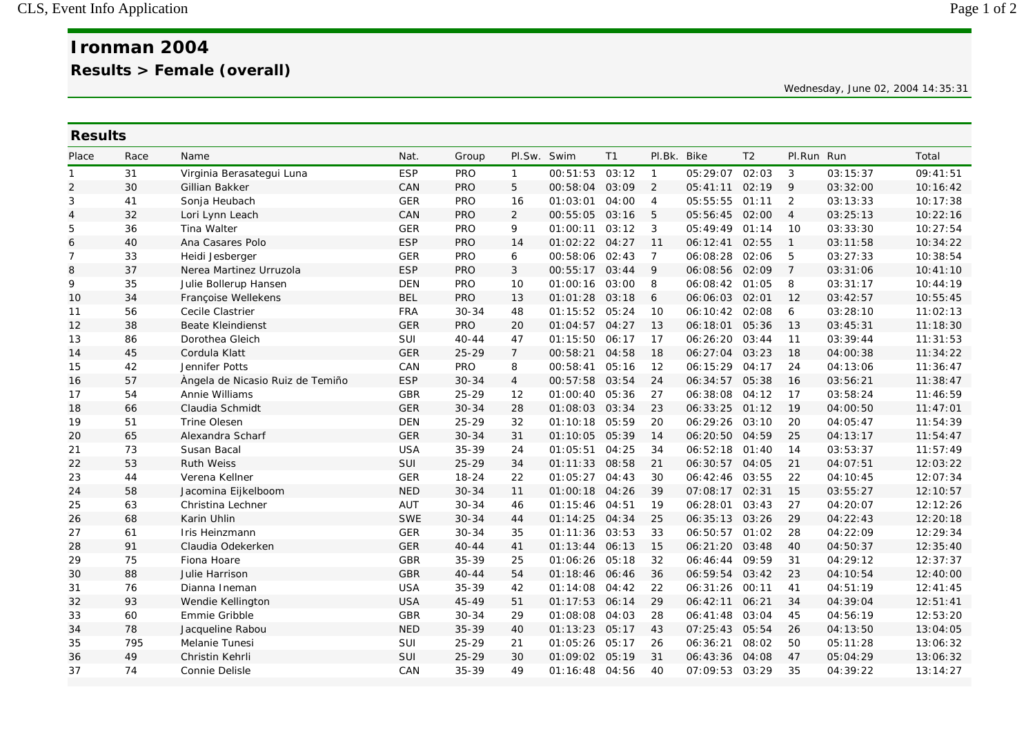Wednesday, June 02, 2004 14:35:31

| <b>Results</b> |      |                                  |            |            |                |                |       |                |                |                |                |          |          |
|----------------|------|----------------------------------|------------|------------|----------------|----------------|-------|----------------|----------------|----------------|----------------|----------|----------|
| Place          | Race | Name                             | Nat.       | Group      | Pl.Sw. Swim    |                | T1    | Pl.Bk. Bike    |                | T <sub>2</sub> | Pl.Run Run     |          | Total    |
| $\mathbf{1}$   | 31   | Virginia Berasategui Luna        | <b>ESP</b> | <b>PRO</b> | $\mathbf{1}$   | 00:51:53       | 03:12 | $\overline{1}$ | 05:29:07 02:03 |                | 3              | 03:15:37 | 09:41:51 |
| $\overline{2}$ | 30   | Gillian Bakker                   | CAN        | <b>PRO</b> | 5              | 00:58:04       | 03:09 | $\overline{2}$ | 05:41:11       | 02:19          | 9              | 03:32:00 | 10:16:42 |
| 3              | 41   | Sonja Heubach                    | <b>GER</b> | <b>PRO</b> | 16             | 01:03:01       | 04:00 | $\overline{4}$ | 05:55:55 01:11 |                | 2              | 03:13:33 | 10:17:38 |
| 4              | 32   | Lori Lynn Leach                  | CAN        | <b>PRO</b> | 2              | 00:55:05       | 03:16 | 5              | 05:56:45       | 02:00          | $\overline{4}$ | 03:25:13 | 10:22:16 |
| 5              | 36   | Tina Walter                      | <b>GER</b> | <b>PRO</b> | 9              | 01:00:11       | 03:12 | 3              | 05:49:49       | 01:14          | 10             | 03:33:30 | 10:27:54 |
| 6              | 40   | Ana Casares Polo                 | <b>ESP</b> | <b>PRO</b> | 14             | 01:02:22       | 04:27 | 11             | 06:12:41       | 02:55          | $\mathbf{1}$   | 03:11:58 | 10:34:22 |
| $\overline{7}$ | 33   | Heidi Jesberger                  | <b>GER</b> | <b>PRO</b> | 6              | 00:58:06       | 02:43 | $\overline{7}$ | 06:08:28       | 02:06          | 5              | 03:27:33 | 10:38:54 |
| 8              | 37   | Nerea Martinez Urruzola          | <b>ESP</b> | <b>PRO</b> | 3              | 00:55:17       | 03:44 | 9              | 06:08:56       | 02:09          | $\overline{7}$ | 03:31:06 | 10:41:10 |
| 9              | 35   | Julie Bollerup Hansen            | <b>DEN</b> | PRO        | 10             | 01:00:16       | 03:00 | 8              | 06:08:42 01:05 |                | 8              | 03:31:17 | 10:44:19 |
| 10             | 34   | Françoise Wellekens              | <b>BEL</b> | <b>PRO</b> | 13             | 01:01:28       | 03:18 | 6              | 06:06:03 02:01 |                | 12             | 03:42:57 | 10:55:45 |
| 11             | 56   | Cecile Clastrier                 | <b>FRA</b> | $30 - 34$  | 48             | 01:15:52       | 05:24 | 10             | 06:10:42 02:08 |                | 6              | 03:28:10 | 11:02:13 |
| 12             | 38   | <b>Beate Kleindienst</b>         | <b>GER</b> | <b>PRO</b> | 20             | 01:04:57       | 04:27 | 13             | 06:18:01       | 05:36          | 13             | 03:45:31 | 11:18:30 |
| 13             | 86   | Dorothea Gleich                  | SUI        | $40 - 44$  | 47             | 01:15:50       | 06:17 | 17             | 06:26:20       | 03:44          | 11             | 03:39:44 | 11:31:53 |
| 14             | 45   | Cordula Klatt                    | <b>GER</b> | $25 - 29$  | $\overline{7}$ | 00:58:21       | 04:58 | 18             | 06:27:04       | 03:23          | 18             | 04:00:38 | 11:34:22 |
| 15             | 42   | Jennifer Potts                   | CAN        | <b>PRO</b> | 8              | 00:58:41       | 05:16 | 12             | 06:15:29       | 04:17          | 24             | 04:13:06 | 11:36:47 |
| 16             | 57   | Àngela de Nicasio Ruiz de Temiño | <b>ESP</b> | $30 - 34$  | $\overline{4}$ | 00:57:58       | 03:54 | 24             | 06:34:57 05:38 |                | 16             | 03:56:21 | 11:38:47 |
| 17             | 54   | Annie Williams                   | GBR        | $25 - 29$  | 12             | 01:00:40       | 05:36 | 27             | 06:38:08 04:12 |                | 17             | 03:58:24 | 11:46:59 |
| 18             | 66   | Claudia Schmidt                  | <b>GER</b> | $30 - 34$  | 28             | 01:08:03       | 03:34 | 23             | 06:33:25 01:12 |                | 19             | 04:00:50 | 11:47:01 |
| 19             | 51   | <b>Trine Olesen</b>              | <b>DEN</b> | 25-29      | 32             | 01:10:18       | 05:59 | 20             | 06:29:26       | 03:10          | 20             | 04:05:47 | 11:54:39 |
| 20             | 65   | Alexandra Scharf                 | <b>GER</b> | $30 - 34$  | 31             | 01:10:05       | 05:39 | 14             | 06:20:50       | 04:59          | 25             | 04:13:17 | 11:54:47 |
| 21             | 73   | Susan Bacal                      | <b>USA</b> | $35 - 39$  | 24             | 01:05:51       | 04:25 | 34             | 06:52:18       | 01:40          | 14             | 03:53:37 | 11:57:49 |
| 22             | 53   | <b>Ruth Weiss</b>                | SUI        | $25 - 29$  | 34             | 01:11:33       | 08:58 | 21             | 06:30:57       | 04:05          | 21             | 04:07:51 | 12:03:22 |
| 23             | 44   | Verena Kellner                   | <b>GER</b> | $18 - 24$  | 22             | 01:05:27       | 04:43 | 30             | 06:42:46       | 03:55          | 22             | 04:10:45 | 12:07:34 |
| 24             | 58   | Jacomina Eijkelboom              | <b>NED</b> | $30 - 34$  | 11             | 01:00:18       | 04:26 | 39             | 07:08:17 02:31 |                | 15             | 03:55:27 | 12:10:57 |
| 25             | 63   | Christina Lechner                | AUT        | $30 - 34$  | 46             | 01:15:46       | 04:51 | 19             | 06:28:01       | 03:43          | 27             | 04:20:07 | 12:12:26 |
| 26             | 68   | Karin Uhlin                      | <b>SWE</b> | $30 - 34$  | 44             | 01:14:25       | 04:34 | 25             | 06:35:13 03:26 |                | 29             | 04:22:43 | 12:20:18 |
| 27             | 61   | Iris Heinzmann                   | <b>GER</b> | $30 - 34$  | 35             | 01:11:36       | 03:53 | 33             | 06:50:57       | 01:02          | 28             | 04:22:09 | 12:29:34 |
| 28             | 91   | Claudia Odekerken                | <b>GER</b> | $40 - 44$  | 41             | 01:13:44       | 06:13 | 15             | 06:21:20       | 03:48          | 40             | 04:50:37 | 12:35:40 |
| 29             | 75   | Fiona Hoare                      | GBR        | $35 - 39$  | 25             | 01:06:26       | 05:18 | 32             | 06:46:44       | 09:59          | 31             | 04:29:12 | 12:37:37 |
| 30             | 88   | Julie Harrison                   | <b>GBR</b> | $40 - 44$  | 54             | 01:18:46       | 06:46 | 36             | 06:59:54       | 03:42          | 23             | 04:10:54 | 12:40:00 |
| 31             | 76   | Dianna Ineman                    | <b>USA</b> | $35 - 39$  | 42             | 01:14:08       | 04:42 | 22             | 06:31:26 00:11 |                | 41             | 04:51:19 | 12:41:45 |
| 32             | 93   | Wendie Kellington                | <b>USA</b> | $45 - 49$  | 51             | 01:17:53       | 06:14 | 29             | 06:42:11       | 06:21          | 34             | 04:39:04 | 12:51:41 |
| 33             | 60   | Emmie Gribble                    | GBR        | $30 - 34$  | 29             | 01:08:08       | 04:03 | 28             | 06:41:48       | 03:04          | 45             | 04:56:19 | 12:53:20 |
| 34             | 78   | Jacqueline Rabou                 | <b>NED</b> | 35-39      | 40             | 01:13:23       | 05:17 | 43             | 07:25:43       | 05:54          | 26             | 04:13:50 | 13:04:05 |
| 35             | 795  | Melanie Tunesi                   | SUI        | $25 - 29$  | 21             | 01:05:26       | 05:17 | 26             | 06:36:21       | 08:02          | 50             | 05:11:28 | 13:06:32 |
| 36             | 49   | Christin Kehrli                  | SUI        | $25 - 29$  | 30             | 01:09:02       | 05:19 | 31             | 06:43:36       | 04:08          | 47             | 05:04:29 | 13:06:32 |
| 37             | 74   | <b>Connie Delisle</b>            | CAN        | 35-39      | 49             | 01:16:48 04:56 |       | 40             | 07:09:53 03:29 |                | 35             | 04:39:22 | 13:14:27 |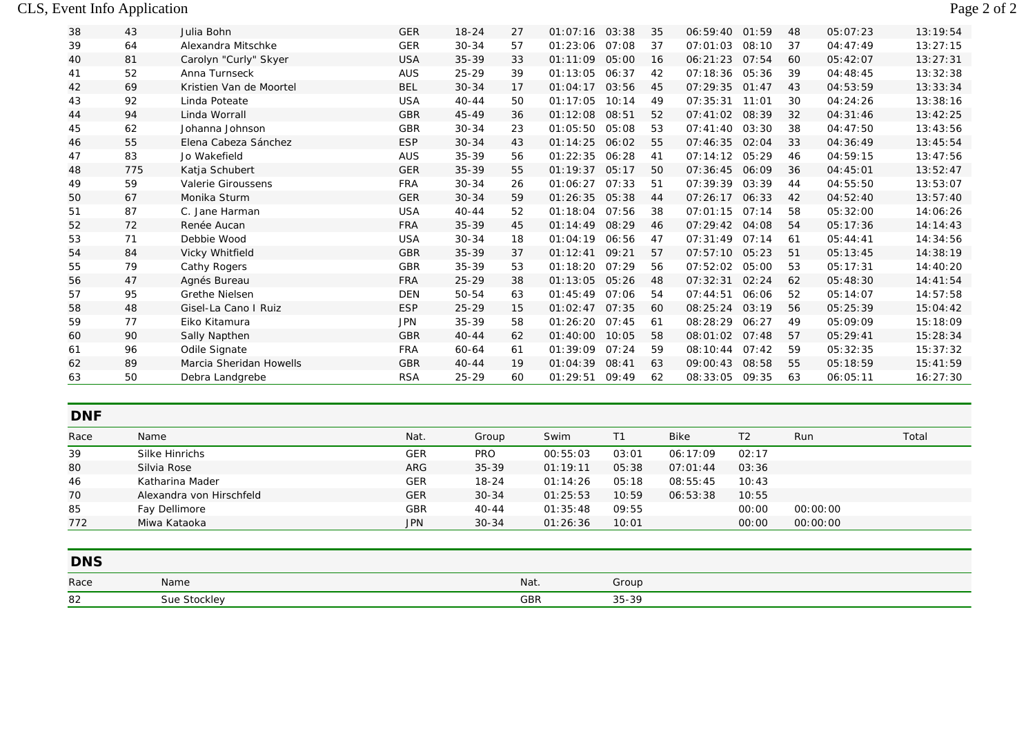## CLS, Event Info Application Page 2 of 2

| 38 | 43  | Julia Bohn              | <b>GER</b> | 18-24     | 27 | 01:07:16 | 03:38 | 35 | 06:59:40       | 01:59 | 48 | 05:07:23 | 13:19:54 |
|----|-----|-------------------------|------------|-----------|----|----------|-------|----|----------------|-------|----|----------|----------|
| 39 | 64  | Alexandra Mitschke      | <b>GER</b> | $30 - 34$ | 57 | 01:23:06 | 07:08 | 37 | 07:01:03       | 08:10 | 37 | 04:47:49 | 13:27:15 |
| 40 | 81  | Carolyn "Curly" Skyer   | <b>USA</b> | $35 - 39$ | 33 | 01:11:09 | 05:00 | 16 | 06:21:23       | 07:54 | 60 | 05:42:07 | 13:27:31 |
| 41 | 52  | Anna Turnseck           | <b>AUS</b> | $25 - 29$ | 39 | 01:13:05 | 06:37 | 42 | 07:18:36       | 05:36 | 39 | 04:48:45 | 13:32:38 |
| 42 | 69  | Kristien Van de Moortel | <b>BEL</b> | $30 - 34$ | 17 | 01:04:17 | 03:56 | 45 | 07:29:35       | 01:47 | 43 | 04:53:59 | 13:33:34 |
| 43 | 92  | Linda Poteate           | <b>USA</b> | $40 - 44$ | 50 | 01:17:05 | 10:14 | 49 | 07:35:31 11:01 |       | 30 | 04:24:26 | 13:38:16 |
| 44 | 94  | Linda Worrall           | <b>GBR</b> | 45-49     | 36 | 01:12:08 | 08:51 | 52 | 07:41:02       | 08:39 | 32 | 04:31:46 | 13:42:25 |
| 45 | 62  | Johanna Johnson         | <b>GBR</b> | $30 - 34$ | 23 | 01:05:50 | 05:08 | 53 | 07:41:40       | 03:30 | 38 | 04:47:50 | 13:43:56 |
| 46 | 55  | Elena Cabeza Sánchez    | <b>ESP</b> | $30 - 34$ | 43 | 01:14:25 | 06:02 | 55 | 07:46:35       | 02:04 | 33 | 04:36:49 | 13:45:54 |
| 47 | 83  | Jo Wakefield            | <b>AUS</b> | $35 - 39$ | 56 | 01:22:35 | 06:28 | 41 | 07:14:12       | 05:29 | 46 | 04:59:15 | 13:47:56 |
| 48 | 775 | Katja Schubert          | <b>GER</b> | $35 - 39$ | 55 | 01:19:37 | 05:17 | 50 | 07:36:45       | 06:09 | 36 | 04:45:01 | 13:52:47 |
| 49 | 59  | Valerie Giroussens      | <b>FRA</b> | $30 - 34$ | 26 | 01:06:27 | 07:33 | 51 | 07:39:39       | 03:39 | 44 | 04:55:50 | 13:53:07 |
| 50 | 67  | Monika Sturm            | <b>GER</b> | $30 - 34$ | 59 | 01:26:35 | 05:38 | 44 | 07:26:17       | 06:33 | 42 | 04:52:40 | 13:57:40 |
| 51 | 87  | C. Jane Harman          | <b>USA</b> | $40 - 44$ | 52 | 01:18:04 | 07:56 | 38 | 07:01:15       | 07:14 | 58 | 05:32:00 | 14:06:26 |
| 52 | 72  | Renée Aucan             | <b>FRA</b> | $35 - 39$ | 45 | 01:14:49 | 08:29 | 46 | 07:29:42 04:08 |       | 54 | 05:17:36 | 14:14:43 |
| 53 | 71  | Debbie Wood             | <b>USA</b> | $30 - 34$ | 18 | 01:04:19 | 06:56 | 47 | 07:31:49       | 07:14 | 61 | 05:44:41 | 14:34:56 |
| 54 | 84  | Vicky Whitfield         | <b>GBR</b> | $35 - 39$ | 37 | 01:12:41 | 09:21 | 57 | 07:57:10 05:23 |       | 51 | 05:13:45 | 14:38:19 |
| 55 | 79  | Cathy Rogers            | <b>GBR</b> | $35 - 39$ | 53 | 01:18:20 | 07:29 | 56 | 07:52:02       | 05:00 | 53 | 05:17:31 | 14:40:20 |
| 56 | 47  | Agnés Bureau            | <b>FRA</b> | $25 - 29$ | 38 | 01:13:05 | 05:26 | 48 | 07:32:31       | 02:24 | 62 | 05:48:30 | 14:41:54 |
| 57 | 95  | <b>Grethe Nielsen</b>   | <b>DEN</b> | 50-54     | 63 | 01:45:49 | 07:06 | 54 | 07:44:51       | 06:06 | 52 | 05:14:07 | 14:57:58 |
| 58 | 48  | Gisel-La Cano I Ruiz    | <b>ESP</b> | $25 - 29$ | 15 | 01:02:47 | 07:35 | 60 | 08:25:24       | 03:19 | 56 | 05:25:39 | 15:04:42 |
| 59 | 77  | Eiko Kitamura           | <b>JPN</b> | $35 - 39$ | 58 | 01:26:20 | 07:45 | 61 | 08:28:29       | 06:27 | 49 | 05:09:09 | 15:18:09 |
| 60 | 90  | Sally Napthen           | <b>GBR</b> | $40 - 44$ | 62 | 01:40:00 | 10:05 | 58 | 08:01:02       | 07:48 | 57 | 05:29:41 | 15:28:34 |
| 61 | 96  | Odile Signate           | <b>FRA</b> | 60-64     | 61 | 01:39:09 | 07:24 | 59 | 08:10:44       | 07:42 | 59 | 05:32:35 | 15:37:32 |
| 62 | 89  | Marcia Sheridan Howells | <b>GBR</b> | $40 - 44$ | 19 | 01:04:39 | 08:41 | 63 | 09:00:43       | 08:58 | 55 | 05:18:59 | 15:41:59 |
| 63 | 50  | Debra Landgrebe         | <b>RSA</b> | $25 - 29$ | 60 | 01:29:51 | 09:49 | 62 | 08:33:05       | 09:35 | 63 | 06:05:11 | 16:27:30 |

| <b>DNF</b> |                          |            |            |          |       |             |       |          |       |
|------------|--------------------------|------------|------------|----------|-------|-------------|-------|----------|-------|
| Race       | Name                     | Nat.       | Group      | Swim     |       | <b>Bike</b> | Τ2    | Run      | Total |
| 39         | Silke Hinrichs           | <b>GER</b> | <b>PRO</b> | 00:55:03 | 03:01 | 06:17:09    | 02:17 |          |       |
| 80         | Silvia Rose              | <b>ARG</b> | $35 - 39$  | 01:19:11 | 05:38 | 07:01:44    | 03:36 |          |       |
| 46         | Katharina Mader          | <b>GER</b> | $18 - 24$  | 01:14:26 | 05:18 | 08:55:45    | 10:43 |          |       |
| 70         | Alexandra von Hirschfeld | <b>GER</b> | $30 - 34$  | 01:25:53 | 10:59 | 06:53:38    | 10:55 |          |       |
| 85         | Fay Dellimore            | <b>GBR</b> | $40 - 44$  | 01:35:48 | 09:55 |             | 00:00 | 00:00:00 |       |
| 772        | Miwa Kataoka             | <b>JPN</b> | $30 - 34$  | 01:26:36 | 10:01 |             | OO:OO | 00:00:00 |       |

| <b>DNS</b> |              |            |       |
|------------|--------------|------------|-------|
| Race       | Name         | Nat.       | Group |
| 82         | Sue Stockley | <b>GBR</b> | 35-39 |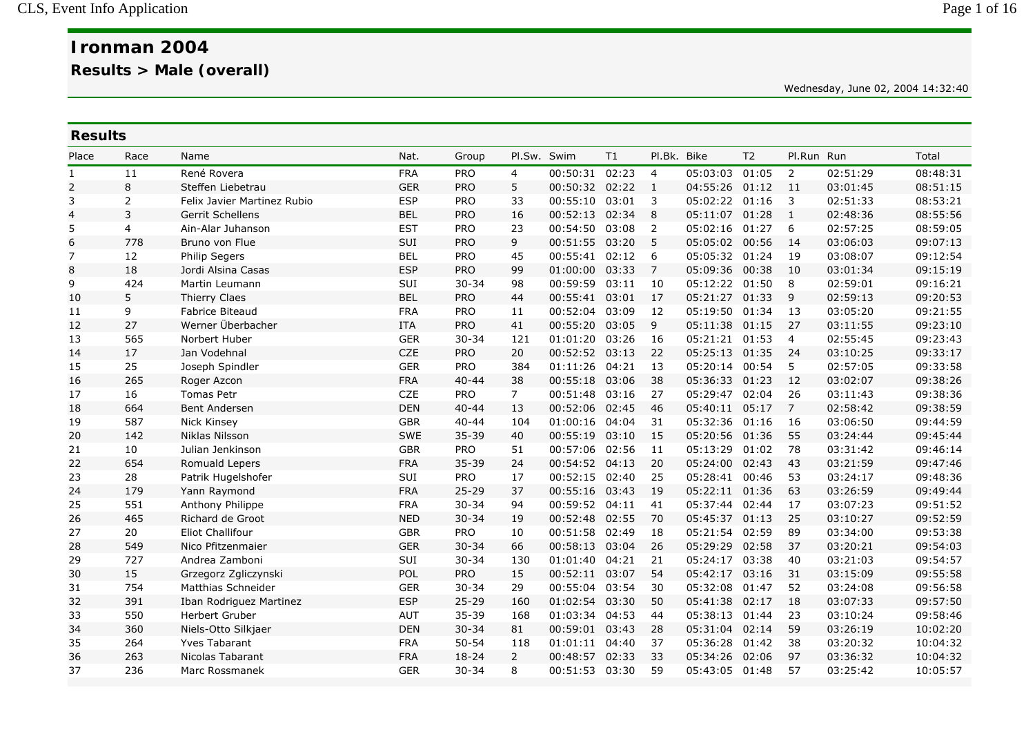Wednesday, June 02, 2004 14:32:40

| <b>Results</b> |                             |            |            |                |          |                                                 |                |                |                         |                                                                                                                                                                                                                                                                                                                                                                                                                                                                                                                                                                                        |          |                                    |
|----------------|-----------------------------|------------|------------|----------------|----------|-------------------------------------------------|----------------|----------------|-------------------------|----------------------------------------------------------------------------------------------------------------------------------------------------------------------------------------------------------------------------------------------------------------------------------------------------------------------------------------------------------------------------------------------------------------------------------------------------------------------------------------------------------------------------------------------------------------------------------------|----------|------------------------------------|
| Race           | Name                        | Nat.       | Group      |                |          | T1                                              |                |                | T <sub>2</sub>          |                                                                                                                                                                                                                                                                                                                                                                                                                                                                                                                                                                                        |          | Total                              |
| 11             | René Rovera                 | <b>FRA</b> | <b>PRO</b> | $\overline{4}$ | 00:50:31 | 02:23                                           | $\overline{4}$ |                |                         | 2                                                                                                                                                                                                                                                                                                                                                                                                                                                                                                                                                                                      | 02:51:29 | 08:48:31                           |
| 8              | Steffen Liebetrau           | <b>GER</b> | <b>PRO</b> | 5              |          | 02:22                                           |                |                |                         | 11                                                                                                                                                                                                                                                                                                                                                                                                                                                                                                                                                                                     | 03:01:45 | 08:51:15                           |
| 2              | Felix Javier Martinez Rubio | <b>ESP</b> | <b>PRO</b> | 33             | 00:55:10 | 03:01                                           | 3              |                |                         | 3                                                                                                                                                                                                                                                                                                                                                                                                                                                                                                                                                                                      | 02:51:33 | 08:53:21                           |
| 3              | Gerrit Schellens            | <b>BEL</b> | PRO        | 16             | 00:52:13 | 02:34                                           | 8              |                | 01:28                   | $\mathbf{1}$                                                                                                                                                                                                                                                                                                                                                                                                                                                                                                                                                                           | 02:48:36 | 08:55:56                           |
| $\overline{4}$ | Ain-Alar Juhanson           | <b>EST</b> | PRO        | 23             | 00:54:50 | 03:08                                           | $\overline{2}$ |                |                         | 6                                                                                                                                                                                                                                                                                                                                                                                                                                                                                                                                                                                      | 02:57:25 | 08:59:05                           |
| 778            | Bruno von Flue              | SUI        | <b>PRO</b> | 9              | 00:51:55 | 03:20                                           | -5             |                |                         | 14                                                                                                                                                                                                                                                                                                                                                                                                                                                                                                                                                                                     | 03:06:03 | 09:07:13                           |
| 12             | Philip Segers               | <b>BEL</b> | PRO        | 45             | 00:55:41 | 02:12                                           | 6              |                |                         | 19                                                                                                                                                                                                                                                                                                                                                                                                                                                                                                                                                                                     | 03:08:07 | 09:12:54                           |
| 18             | Jordi Alsina Casas          | <b>ESP</b> | PRO        | 99             | 01:00:00 | 03:33                                           | $\overline{7}$ |                |                         | 10                                                                                                                                                                                                                                                                                                                                                                                                                                                                                                                                                                                     | 03:01:34 | 09:15:19                           |
| 424            | Martin Leumann              | SUI        | $30 - 34$  | 98             | 00:59:59 | 03:11                                           | 10             |                |                         | 8                                                                                                                                                                                                                                                                                                                                                                                                                                                                                                                                                                                      | 02:59:01 | 09:16:21                           |
| 5              | Thierry Claes               | <b>BEL</b> | <b>PRO</b> | 44             | 00:55:41 | 03:01                                           | 17             |                |                         | 9                                                                                                                                                                                                                                                                                                                                                                                                                                                                                                                                                                                      | 02:59:13 | 09:20:53                           |
| 9              | <b>Fabrice Biteaud</b>      | <b>FRA</b> | PRO        | 11             | 00:52:04 | 03:09                                           | 12             |                |                         | 13                                                                                                                                                                                                                                                                                                                                                                                                                                                                                                                                                                                     | 03:05:20 | 09:21:55                           |
| 27             | Werner Überbacher           | <b>ITA</b> | PRO        | 41             | 00:55:20 | 03:05                                           | 9              |                |                         | 27                                                                                                                                                                                                                                                                                                                                                                                                                                                                                                                                                                                     | 03:11:55 | 09:23:10                           |
| 565            | Norbert Huber               | <b>GER</b> | $30 - 34$  | 121            | 01:01:20 | 03:26                                           | 16             |                |                         | $\overline{4}$                                                                                                                                                                                                                                                                                                                                                                                                                                                                                                                                                                         | 02:55:45 | 09:23:43                           |
| 17             | Jan Vodehnal                | <b>CZE</b> | <b>PRO</b> | 20             | 00:52:52 | 03:13                                           | 22             |                |                         | 24                                                                                                                                                                                                                                                                                                                                                                                                                                                                                                                                                                                     | 03:10:25 | 09:33:17                           |
| 25             | Joseph Spindler             | <b>GER</b> | <b>PRO</b> | 384            | 01:11:26 | 04:21                                           | 13             |                |                         | 5                                                                                                                                                                                                                                                                                                                                                                                                                                                                                                                                                                                      | 02:57:05 | 09:33:58                           |
| 265            | Roger Azcon                 | <b>FRA</b> | $40 - 44$  | 38             | 00:55:18 | 03:06                                           | 38             |                |                         | 12                                                                                                                                                                                                                                                                                                                                                                                                                                                                                                                                                                                     | 03:02:07 | 09:38:26                           |
| 16             | <b>Tomas Petr</b>           | CZE        | <b>PRO</b> | $\overline{7}$ | 00:51:48 | 03:16                                           | 27             |                |                         | 26                                                                                                                                                                                                                                                                                                                                                                                                                                                                                                                                                                                     | 03:11:43 | 09:38:36                           |
| 664            | Bent Andersen               | <b>DEN</b> | $40 - 44$  | 13             | 00:52:06 | 02:45                                           | 46             |                |                         | $\overline{7}$                                                                                                                                                                                                                                                                                                                                                                                                                                                                                                                                                                         | 02:58:42 | 09:38:59                           |
| 587            | Nick Kinsey                 | <b>GBR</b> | $40 - 44$  | 104            | 01:00:16 | 04:04                                           | 31             |                |                         | 16                                                                                                                                                                                                                                                                                                                                                                                                                                                                                                                                                                                     | 03:06:50 | 09:44:59                           |
| 142            | Niklas Nilsson              | SWE        | $35 - 39$  | 40             | 00:55:19 | 03:10                                           | 15             |                |                         | 55                                                                                                                                                                                                                                                                                                                                                                                                                                                                                                                                                                                     | 03:24:44 | 09:45:44                           |
| 10             | Julian Jenkinson            | <b>GBR</b> | <b>PRO</b> | 51             | 00:57:06 | 02:56                                           | 11             | 05:13:29       | 01:02                   | 78                                                                                                                                                                                                                                                                                                                                                                                                                                                                                                                                                                                     | 03:31:42 | 09:46:14                           |
| 654            | Romuald Lepers              | <b>FRA</b> | 35-39      | 24             |          | 04:13                                           | 20             |                |                         | 43                                                                                                                                                                                                                                                                                                                                                                                                                                                                                                                                                                                     | 03:21:59 | 09:47:46                           |
| 28             | Patrik Hugelshofer          | SUI        | <b>PRO</b> | 17             | 00:52:15 | 02:40                                           | 25             |                |                         | 53                                                                                                                                                                                                                                                                                                                                                                                                                                                                                                                                                                                     | 03:24:17 | 09:48:36                           |
| 179            | Yann Raymond                | <b>FRA</b> | $25 - 29$  | 37             | 00:55:16 | 03:43                                           | 19             |                |                         | 63                                                                                                                                                                                                                                                                                                                                                                                                                                                                                                                                                                                     | 03:26:59 | 09:49:44                           |
| 551            | Anthony Philippe            | <b>FRA</b> | $30 - 34$  | 94             | 00:59:52 | 04:11                                           | 41             |                |                         | 17                                                                                                                                                                                                                                                                                                                                                                                                                                                                                                                                                                                     | 03:07:23 | 09:51:52                           |
|                | Richard de Groot            | <b>NED</b> | $30 - 34$  | 19             |          | 02:55                                           | 70             |                |                         | 25                                                                                                                                                                                                                                                                                                                                                                                                                                                                                                                                                                                     | 03:10:27 | 09:52:59                           |
| 20             | Eliot Challifour            | <b>GBR</b> |            | 10             | 00:51:58 | 02:49                                           | 18             |                | 02:59                   | 89                                                                                                                                                                                                                                                                                                                                                                                                                                                                                                                                                                                     | 03:34:00 | 09:53:38                           |
|                | Nico Pfitzenmaier           | <b>GER</b> | $30 - 34$  | 66             | 00:58:13 | 03:04                                           | 26             |                | 02:58                   | 37                                                                                                                                                                                                                                                                                                                                                                                                                                                                                                                                                                                     | 03:20:21 | 09:54:03                           |
| 727            | Andrea Zamboni              |            | $30 - 34$  | 130            | 01:01:40 | 04:21                                           | 21             |                | 03:38                   | 40                                                                                                                                                                                                                                                                                                                                                                                                                                                                                                                                                                                     |          | 09:54:57                           |
|                | Grzegorz Zgliczynski        | POL        |            |                |          | 03:07                                           | 54             |                |                         | 31                                                                                                                                                                                                                                                                                                                                                                                                                                                                                                                                                                                     |          | 09:55:58                           |
| 754            | Matthias Schneider          | <b>GER</b> | $30 - 34$  | 29             | 00:55:04 | 03:54                                           | 30             |                |                         | 52                                                                                                                                                                                                                                                                                                                                                                                                                                                                                                                                                                                     | 03:24:08 | 09:56:58                           |
| 391            | Iban Rodriguez Martinez     | <b>ESP</b> | $25 - 29$  | 160            | 01:02:54 | 03:30                                           | 50             |                |                         | 18                                                                                                                                                                                                                                                                                                                                                                                                                                                                                                                                                                                     | 03:07:33 | 09:57:50                           |
| 550            | Herbert Gruber              | <b>AUT</b> | 35-39      | 168            | 01:03:34 | 04:53                                           | 44             |                |                         | 23                                                                                                                                                                                                                                                                                                                                                                                                                                                                                                                                                                                     | 03:10:24 | 09:58:46                           |
| 360            | Niels-Otto Silkjaer         | <b>DEN</b> | $30 - 34$  | 81             | 00:59:01 | 03:43                                           | 28             |                | 02:14                   | 59                                                                                                                                                                                                                                                                                                                                                                                                                                                                                                                                                                                     | 03:26:19 | 10:02:20                           |
| 264            | <b>Yves Tabarant</b>        | <b>FRA</b> | $50 - 54$  | 118            | 01:01:11 | 04:40                                           | 37             | 05:36:28       | 01:42                   | 38                                                                                                                                                                                                                                                                                                                                                                                                                                                                                                                                                                                     | 03:20:32 | 10:04:32                           |
| 263            | <b>Nicolas Tabarant</b>     | <b>FRA</b> | $18 - 24$  | $\overline{2}$ | 00:48:57 | 02:33                                           | 33             | 05:34:26       | 02:06                   | 97                                                                                                                                                                                                                                                                                                                                                                                                                                                                                                                                                                                     | 03:36:32 | 10:04:32                           |
| 236            | Marc Rossmanek              | <b>GER</b> | $30 - 34$  | 8              | 00:51:53 | 03:30                                           | 59             |                |                         | 57                                                                                                                                                                                                                                                                                                                                                                                                                                                                                                                                                                                     | 03:25:42 | 10:05:57                           |
|                | 465<br>549<br>15            |            | SUI        | PRO<br>PRO     | 15       | Pl.Sw. Swim<br>00:54:52<br>00:52:48<br>00:52:11 | 00:50:32       | $\overline{1}$ | Pl.Bk. Bike<br>05:29:29 | 05:03:03 01:05<br>04:55:26 01:12<br>05:02:22 01:16<br>05:11:07<br>05:02:16 01:27<br>05:05:02 00:56<br>05:05:32 01:24<br>05:09:36 00:38<br>05:12:22 01:50<br>05:21:27 01:33<br>05:19:50 01:34<br>05:11:38 01:15<br>05:21:21 01:53<br>05:25:13 01:35<br>05:20:14 00:54<br>05:36:33 01:23<br>05:29:47 02:04<br>05:40:11 05:17<br>05:32:36 01:16<br>05:20:56 01:36<br>05:24:00 02:43<br>05:28:41 00:46<br>05:22:11 01:36<br>05:37:44 02:44<br>05:45:37 01:13<br>05:21:54<br>05:24:17<br>05:42:17 03:16<br>05:32:08 01:47<br>05:41:38 02:17<br>05:38:13 01:44<br>05:31:04<br>05:43:05 01:48 |          | Pl.Run Run<br>03:21:03<br>03:15:09 |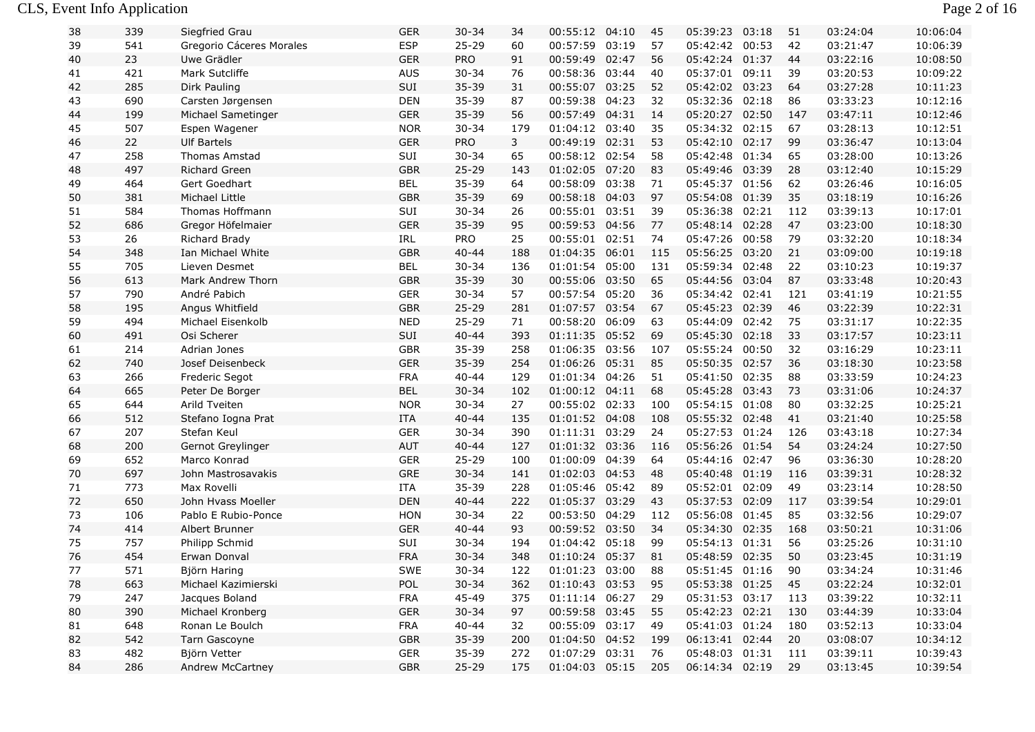#### CLS, Event Info Application Page 2 of 16

| 38 | 339 | Siegfried Grau           | <b>GER</b> | $30 - 34$  | 34  | 00:55:12 04:10 |       | 45  | 05:39:23 03:18 | 51  | 03:24:04 | 10:06:04 |
|----|-----|--------------------------|------------|------------|-----|----------------|-------|-----|----------------|-----|----------|----------|
| 39 | 541 | Gregorio Cáceres Morales | <b>ESP</b> | $25 - 29$  | 60  | 00:57:59       | 03:19 | 57  | 05:42:42 00:53 | 42  | 03:21:47 | 10:06:39 |
| 40 | 23  | Uwe Grädler              | <b>GER</b> | <b>PRO</b> | 91  | 00:59:49       | 02:47 | 56  | 05:42:24 01:37 | 44  | 03:22:16 | 10:08:50 |
| 41 | 421 | Mark Sutcliffe           | <b>AUS</b> | $30 - 34$  | 76  | 00:58:36       | 03:44 | 40  | 05:37:01 09:11 | 39  | 03:20:53 | 10:09:22 |
| 42 | 285 | Dirk Pauling             | SUI        | 35-39      | 31  | 00:55:07 03:25 |       | 52  | 05:42:02 03:23 | 64  | 03:27:28 | 10:11:23 |
| 43 | 690 | Carsten Jørgensen        | <b>DEN</b> | 35-39      | 87  | 00:59:38       | 04:23 | 32  | 05:32:36 02:18 | 86  | 03:33:23 | 10:12:16 |
| 44 | 199 | Michael Sametinger       | <b>GER</b> | 35-39      | 56  | 00:57:49       | 04:31 | 14  | 05:20:27 02:50 | 147 | 03:47:11 | 10:12:46 |
| 45 | 507 | Espen Wagener            | <b>NOR</b> | $30 - 34$  | 179 | 01:04:12 03:40 |       | 35  | 05:34:32 02:15 | 67  | 03:28:13 | 10:12:51 |
| 46 | 22  | <b>Ulf Bartels</b>       | <b>GER</b> | <b>PRO</b> | 3   | 00:49:19       | 02:31 | 53  | 05:42:10 02:17 | 99  | 03:36:47 | 10:13:04 |
| 47 | 258 | <b>Thomas Amstad</b>     | SUI        | $30 - 34$  | 65  | 00:58:12 02:54 |       | 58  | 05:42:48 01:34 | 65  | 03:28:00 | 10:13:26 |
| 48 | 497 | Richard Green            | <b>GBR</b> | $25 - 29$  | 143 | 01:02:05 07:20 |       | 83  | 05:49:46 03:39 | 28  | 03:12:40 | 10:15:29 |
| 49 | 464 | Gert Goedhart            | <b>BEL</b> | 35-39      | 64  | 00:58:09       | 03:38 | 71  | 05:45:37 01:56 | 62  | 03:26:46 | 10:16:05 |
| 50 | 381 | Michael Little           | <b>GBR</b> | 35-39      | 69  | 00:58:18       | 04:03 | 97  | 05:54:08 01:39 | 35  | 03:18:19 | 10:16:26 |
| 51 | 584 | Thomas Hoffmann          | SUI        | $30 - 34$  | 26  | 00:55:01       | 03:51 | 39  | 05:36:38 02:21 | 112 | 03:39:13 | 10:17:01 |
| 52 | 686 | Gregor Höfelmaier        | <b>GER</b> | 35-39      | 95  | 00:59:53       | 04:56 | 77  | 05:48:14 02:28 | 47  | 03:23:00 | 10:18:30 |
| 53 | 26  | Richard Brady            | IRL        | PRO        | 25  | 00:55:01       | 02:51 | 74  | 05:47:26 00:58 | 79  | 03:32:20 | 10:18:34 |
| 54 | 348 | Ian Michael White        | <b>GBR</b> | $40 - 44$  | 188 | 01:04:35       | 06:01 | 115 | 05:56:25 03:20 | 21  | 03:09:00 | 10:19:18 |
| 55 | 705 | Lieven Desmet            | <b>BEL</b> | $30 - 34$  | 136 | 01:01:54       | 05:00 | 131 | 05:59:34 02:48 | 22  | 03:10:23 | 10:19:37 |
| 56 | 613 | Mark Andrew Thorn        | <b>GBR</b> | 35-39      | 30  | 00:55:06       | 03:50 | 65  | 05:44:56 03:04 | 87  | 03:33:48 | 10:20:43 |
| 57 | 790 | André Pabich             | <b>GER</b> | $30 - 34$  | 57  | 00:57:54       | 05:20 | 36  | 05:34:42 02:41 | 121 | 03:41:19 | 10:21:55 |
| 58 | 195 | Angus Whitfield          | <b>GBR</b> | $25 - 29$  | 281 | 01:07:57       | 03:54 | 67  | 05:45:23 02:39 | 46  | 03:22:39 | 10:22:31 |
| 59 | 494 | Michael Eisenkolb        | <b>NED</b> | $25 - 29$  | 71  | 00:58:20       | 06:09 | 63  | 05:44:09 02:42 | 75  | 03:31:17 | 10:22:35 |
| 60 | 491 | Osi Scherer              | SUI        | $40 - 44$  | 393 | 01:11:35       | 05:52 | 69  | 05:45:30 02:18 | 33  | 03:17:57 | 10:23:11 |
| 61 | 214 | Adrian Jones             | <b>GBR</b> | 35-39      | 258 | 01:06:35       | 03:56 | 107 | 05:55:24 00:50 | 32  | 03:16:29 | 10:23:11 |
| 62 | 740 | Josef Deisenbeck         | <b>GER</b> | 35-39      | 254 | 01:06:26       | 05:31 | 85  | 05:50:35 02:57 | 36  | 03:18:30 | 10:23:58 |
| 63 | 266 | Frederic Segot           | <b>FRA</b> | $40 - 44$  | 129 | 01:01:34 04:26 |       | 51  | 05:41:50 02:35 | 88  | 03:33:59 | 10:24:23 |
| 64 | 665 | Peter De Borger          | <b>BEL</b> | $30 - 34$  | 102 | 01:00:12 04:11 |       | 68  | 05:45:28 03:43 | 73  | 03:31:06 | 10:24:37 |
| 65 | 644 | Arild Tveiten            | <b>NOR</b> | $30 - 34$  | 27  | 00:55:02 02:33 |       | 100 | 05:54:15 01:08 | 80  | 03:32:25 | 10:25:21 |
| 66 | 512 | Stefano Iogna Prat       | ITA        | $40 - 44$  | 135 | 01:01:52 04:08 |       | 108 | 05:55:32 02:48 | 41  | 03:21:40 | 10:25:58 |
| 67 | 207 | Stefan Keul              | <b>GER</b> | $30 - 34$  | 390 | 01:11:31 03:29 |       | 24  | 05:27:53 01:24 | 126 | 03:43:18 | 10:27:34 |
| 68 | 200 | Gernot Greylinger        | AUT        | $40 - 44$  | 127 | 01:01:32 03:36 |       | 116 | 05:56:26 01:54 | 54  | 03:24:24 | 10:27:50 |
| 69 | 652 | Marco Konrad             | <b>GER</b> | $25 - 29$  | 100 | 01:00:09       | 04:39 | 64  | 05:44:16 02:47 | 96  | 03:36:30 | 10:28:20 |
| 70 | 697 | John Mastrosavakis       | <b>GRE</b> | $30 - 34$  | 141 | 01:02:03 04:53 |       | 48  | 05:40:48 01:19 | 116 | 03:39:31 | 10:28:32 |
| 71 | 773 | Max Rovelli              | ITA        | 35-39      | 228 | 01:05:46       | 05:42 | 89  | 05:52:01 02:09 | 49  | 03:23:14 | 10:28:50 |
| 72 | 650 | John Hvass Moeller       | <b>DEN</b> | $40 - 44$  | 222 | 01:05:37       | 03:29 | 43  | 05:37:53 02:09 | 117 | 03:39:54 | 10:29:01 |
| 73 | 106 | Pablo E Rubio-Ponce      | HON        | $30 - 34$  | 22  | 00:53:50       | 04:29 | 112 | 05:56:08 01:45 | 85  | 03:32:56 | 10:29:07 |
| 74 | 414 | Albert Brunner           | <b>GER</b> | $40 - 44$  | 93  | 00:59:52 03:50 |       | 34  | 05:34:30 02:35 | 168 | 03:50:21 | 10:31:06 |
| 75 | 757 | Philipp Schmid           | SUI        | $30 - 34$  | 194 | 01:04:42       | 05:18 | 99  | 05:54:13 01:31 | 56  | 03:25:26 | 10:31:10 |
| 76 | 454 | Erwan Donval             | <b>FRA</b> | $30 - 34$  | 348 | 01:10:24 05:37 |       | 81  | 05:48:59 02:35 | 50  | 03:23:45 | 10:31:19 |
| 77 | 571 | Björn Haring             | SWE        | $30 - 34$  | 122 | 01:01:23 03:00 |       | 88  | 05:51:45 01:16 | 90  | 03:34:24 | 10:31:46 |
| 78 | 663 | Michael Kazimierski      | POL        | $30 - 34$  | 362 | 01:10:43 03:53 |       | -95 | 05:53:38 01:25 | 45  | 03:22:24 | 10:32:01 |
| 79 | 247 | Jacques Boland           | <b>FRA</b> | 45-49      | 375 | 01:11:14 06:27 |       | 29  | 05:31:53 03:17 | 113 | 03:39:22 | 10:32:11 |
| 80 | 390 | Michael Kronberg         | <b>GER</b> | $30 - 34$  | 97  | 00:59:58 03:45 |       | 55  | 05:42:23 02:21 | 130 | 03:44:39 | 10:33:04 |
| 81 | 648 | Ronan Le Boulch          | <b>FRA</b> | $40 - 44$  | 32  | 00:55:09 03:17 |       | 49  | 05:41:03 01:24 | 180 | 03:52:13 | 10:33:04 |
| 82 | 542 | Tarn Gascoyne            | GBR        | $35 - 39$  | 200 | 01:04:50 04:52 |       | 199 | 06:13:41 02:44 | 20  | 03:08:07 | 10:34:12 |
| 83 | 482 | Björn Vetter             | GER        | $35 - 39$  | 272 | 01:07:29 03:31 |       | 76  | 05:48:03 01:31 | 111 | 03:39:11 | 10:39:43 |
| 84 | 286 | Andrew McCartney         | GBR        | $25 - 29$  | 175 | 01:04:03 05:15 |       | 205 | 06:14:34 02:19 | 29  | 03:13:45 | 10:39:54 |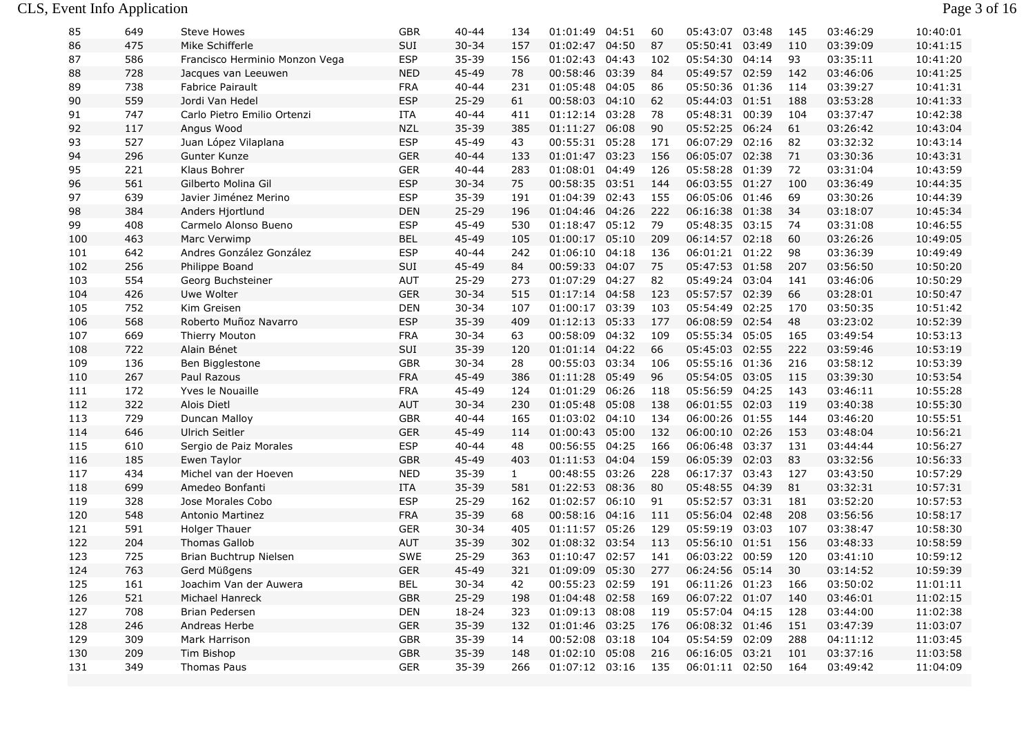| 85  | 649 | Steve Howes                    | GBR        | 40-44     | 134          | 01:01:49       | 04:51 | 60  | 05:43:07       | 03:48 | 145 | 03:46:29 | 10:40:01 |
|-----|-----|--------------------------------|------------|-----------|--------------|----------------|-------|-----|----------------|-------|-----|----------|----------|
| 86  | 475 | Mike Schifferle                | SUI        | $30 - 34$ | 157          | 01:02:47 04:50 |       | 87  | 05:50:41 03:49 |       | 110 | 03:39:09 | 10:41:15 |
| 87  | 586 | Francisco Herminio Monzon Vega | <b>ESP</b> | 35-39     | 156          | 01:02:43 04:43 |       | 102 | 05:54:30 04:14 |       | 93  | 03:35:11 | 10:41:20 |
| 88  | 728 | Jacques van Leeuwen            | <b>NED</b> | 45-49     | 78           | 00:58:46 03:39 |       | 84  | 05:49:57 02:59 |       | 142 | 03:46:06 | 10:41:25 |
| 89  | 738 | <b>Fabrice Pairault</b>        | <b>FRA</b> | $40 - 44$ | 231          | 01:05:48 04:05 |       | 86  | 05:50:36 01:36 |       | 114 | 03:39:27 | 10:41:31 |
| 90  | 559 | Jordi Van Hedel                | <b>ESP</b> | $25 - 29$ | 61           | 00:58:03 04:10 |       | 62  | 05:44:03 01:51 |       | 188 | 03:53:28 | 10:41:33 |
| 91  | 747 | Carlo Pietro Emilio Ortenzi    | <b>ITA</b> | $40 - 44$ | 411          | 01:12:14 03:28 |       | 78  | 05:48:31 00:39 |       | 104 | 03:37:47 | 10:42:38 |
| 92  | 117 | Angus Wood                     | <b>NZL</b> | 35-39     | 385          | 01:11:27 06:08 |       | 90  | 05:52:25 06:24 |       | 61  | 03:26:42 | 10:43:04 |
| 93  | 527 | Juan López Vilaplana           | <b>ESP</b> | 45-49     | 43           | 00:55:31 05:28 |       | 171 | 06:07:29 02:16 |       | 82  | 03:32:32 | 10:43:14 |
| 94  | 296 | Gunter Kunze                   | <b>GER</b> | $40 - 44$ | 133          | 01:01:47 03:23 |       | 156 | 06:05:07 02:38 |       | 71  | 03:30:36 | 10:43:31 |
| 95  | 221 | Klaus Bohrer                   | <b>GER</b> | $40 - 44$ | 283          | 01:08:01 04:49 |       | 126 | 05:58:28 01:39 |       | 72  | 03:31:04 | 10:43:59 |
| 96  | 561 | Gilberto Molina Gil            | <b>ESP</b> | $30 - 34$ | 75           | 00:58:35 03:51 |       | 144 | 06:03:55 01:27 |       | 100 | 03:36:49 | 10:44:35 |
| 97  | 639 | Javier Jiménez Merino          | <b>ESP</b> | $35 - 39$ | 191          | 01:04:39 02:43 |       | 155 | 06:05:06       | 01:46 | 69  | 03:30:26 | 10:44:39 |
| 98  | 384 | Anders Hjortlund               | <b>DEN</b> | $25 - 29$ | 196          | 01:04:46 04:26 |       | 222 | 06:16:38 01:38 |       | 34  | 03:18:07 | 10:45:34 |
| 99  | 408 | Carmelo Alonso Bueno           | <b>ESP</b> | 45-49     | 530          | 01:18:47 05:12 |       | 79  | 05:48:35 03:15 |       | 74  | 03:31:08 | 10:46:55 |
| 100 | 463 | Marc Verwimp                   | <b>BEL</b> | 45-49     | 105          | 01:00:17 05:10 |       | 209 | 06:14:57 02:18 |       | 60  | 03:26:26 | 10:49:05 |
| 101 | 642 | Andres González González       | <b>ESP</b> | $40 - 44$ | 242          | 01:06:10 04:18 |       | 136 | 06:01:21 01:22 |       | 98  | 03:36:39 | 10:49:49 |
| 102 | 256 | Philippe Boand                 | SUI        | 45-49     | 84           | 00:59:33 04:07 |       | 75  | 05:47:53 01:58 |       | 207 | 03:56:50 | 10:50:20 |
| 103 | 554 | Georg Buchsteiner              | AUT        | $25 - 29$ | 273          | 01:07:29 04:27 |       | 82  | 05:49:24 03:04 |       | 141 | 03:46:06 | 10:50:29 |
| 104 | 426 | Uwe Wolter                     | <b>GER</b> | $30 - 34$ | 515          | 01:17:14 04:58 |       | 123 | 05:57:57 02:39 |       | 66  | 03:28:01 | 10:50:47 |
| 105 | 752 | Kim Greisen                    | <b>DEN</b> | $30 - 34$ | 107          | 01:00:17 03:39 |       | 103 | 05:54:49 02:25 |       | 170 | 03:50:35 | 10:51:42 |
| 106 | 568 | Roberto Muñoz Navarro          | <b>ESP</b> | $35 - 39$ | 409          | 01:12:13 05:33 |       | 177 | 06:08:59 02:54 |       | 48  | 03:23:02 | 10:52:39 |
| 107 | 669 | Thierry Mouton                 | <b>FRA</b> | $30 - 34$ | 63           | 00:58:09 04:32 |       | 109 | 05:55:34 05:05 |       | 165 | 03:49:54 | 10:53:13 |
| 108 | 722 | Alain Bénet                    | SUI        | 35-39     | 120          | 01:01:14 04:22 |       | 66  | 05:45:03 02:55 |       | 222 | 03:59:46 | 10:53:19 |
| 109 | 136 | Ben Bigglestone                | <b>GBR</b> | $30 - 34$ | 28           | 00:55:03 03:34 |       | 106 | 05:55:16 01:36 |       | 216 | 03:58:12 | 10:53:39 |
| 110 | 267 | Paul Razous                    | <b>FRA</b> | 45-49     | 386          | 01:11:28 05:49 |       | 96  | 05:54:05 03:05 |       | 115 | 03:39:30 | 10:53:54 |
| 111 | 172 | Yves le Nouaille               | <b>FRA</b> | 45-49     | 124          | 01:01:29 06:26 |       | 118 | 05:56:59 04:25 |       | 143 | 03:46:11 | 10:55:28 |
| 112 | 322 | Alois Dietl                    | <b>AUT</b> | $30 - 34$ | 230          | 01:05:48       | 05:08 | 138 | 06:01:55 02:03 |       | 119 | 03:40:38 | 10:55:30 |
| 113 | 729 | Duncan Malloy                  | <b>GBR</b> | $40 - 44$ | 165          | 01:03:02 04:10 |       | 134 | 06:00:26 01:55 |       | 144 | 03:46:20 | 10:55:51 |
| 114 | 646 | Ulrich Seitler                 | <b>GER</b> | 45-49     | 114          | 01:00:43 05:00 |       | 132 | 06:00:10 02:26 |       | 153 | 03:48:04 | 10:56:21 |
| 115 | 610 | Sergio de Paiz Morales         | <b>ESP</b> | $40 - 44$ | 48           | 00:56:55 04:25 |       | 166 | 06:06:48 03:37 |       | 131 | 03:44:44 | 10:56:27 |
| 116 | 185 | Ewen Taylor                    | <b>GBR</b> | 45-49     | 403          | 01:11:53 04:04 |       | 159 | 06:05:39 02:03 |       | 83  | 03:32:56 | 10:56:33 |
| 117 | 434 | Michel van der Hoeven          | <b>NED</b> | 35-39     | $\mathbf{1}$ | 00:48:55 03:26 |       | 228 | 06:17:37 03:43 |       | 127 | 03:43:50 | 10:57:29 |
| 118 | 699 | Amedeo Bonfanti                | <b>ITA</b> | 35-39     | 581          | 01:22:53 08:36 |       | 80  | 05:48:55 04:39 |       | 81  | 03:32:31 | 10:57:31 |
| 119 | 328 | Jose Morales Cobo              | <b>ESP</b> | $25 - 29$ | 162          | 01:02:57 06:10 |       | 91  | 05:52:57 03:31 |       | 181 | 03:52:20 | 10:57:53 |
| 120 | 548 | Antonio Martinez               | <b>FRA</b> | $35 - 39$ | 68           | 00:58:16 04:16 |       | 111 | 05:56:04 02:48 |       | 208 | 03:56:56 | 10:58:17 |
| 121 | 591 | <b>Holger Thauer</b>           | <b>GER</b> | $30 - 34$ | 405          | 01:11:57 05:26 |       | 129 | 05:59:19 03:03 |       | 107 | 03:38:47 | 10:58:30 |
| 122 | 204 | <b>Thomas Gallob</b>           | <b>AUT</b> | 35-39     | 302          | 01:08:32 03:54 |       | 113 | 05:56:10 01:51 |       | 156 | 03:48:33 | 10:58:59 |
| 123 | 725 | Brian Buchtrup Nielsen         | <b>SWE</b> | $25 - 29$ | 363          | 01:10:47 02:57 |       | 141 | 06:03:22 00:59 |       | 120 | 03:41:10 | 10:59:12 |
| 124 | 763 | Gerd Müßgens                   | <b>GER</b> | 45-49     | 321          | 01:09:09 05:30 |       | 277 | 06:24:56 05:14 |       | 30  | 03:14:52 | 10:59:39 |
| 125 | 161 | Joachim Van der Auwera         | <b>BEL</b> | $30 - 34$ | 42           | 00:55:23 02:59 |       | 191 | 06:11:26 01:23 |       | 166 | 03:50:02 | 11:01:11 |
| 126 | 521 | Michael Hanreck                | <b>GBR</b> | $25 - 29$ | 198          | 01:04:48       | 02:58 | 169 | 06:07:22 01:07 |       | 140 | 03:46:01 | 11:02:15 |
| 127 | 708 | Brian Pedersen                 | <b>DEN</b> | 18-24     | 323          | 01:09:13 08:08 |       | 119 | 05:57:04 04:15 |       | 128 | 03:44:00 | 11:02:38 |
| 128 | 246 | Andreas Herbe                  | <b>GER</b> | 35-39     | 132          | 01:01:46 03:25 |       | 176 | 06:08:32 01:46 |       | 151 | 03:47:39 | 11:03:07 |
| 129 | 309 | Mark Harrison                  | <b>GBR</b> | 35-39     | 14           | 00:52:08 03:18 |       | 104 | 05:54:59       | 02:09 | 288 | 04:11:12 | 11:03:45 |
| 130 | 209 | Tim Bishop                     | <b>GBR</b> | 35-39     | 148          | 01:02:10 05:08 |       | 216 | 06:16:05 03:21 |       | 101 | 03:37:16 | 11:03:58 |
| 131 | 349 | Thomas Paus                    | <b>GER</b> | $35 - 39$ | 266          | 01:07:12 03:16 |       | 135 | 06:01:11 02:50 |       | 164 | 03:49:42 | 11:04:09 |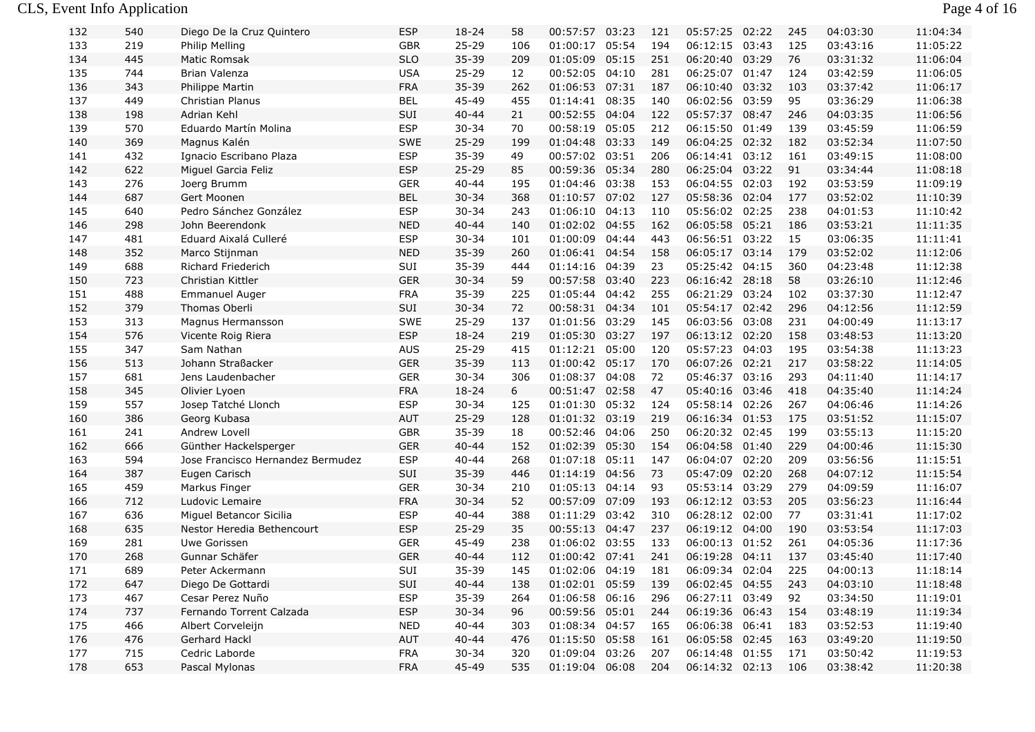## CLS, Event Info Application Page 4 of 16

| 132 | 540 | Diego De la Cruz Quintero         | ESP        | 18-24     | 58  | 00:57:57       | 03:23 | 121 | 05:57:25       | 02:22 | 245 | 04:03:30 | 11:04:34 |
|-----|-----|-----------------------------------|------------|-----------|-----|----------------|-------|-----|----------------|-------|-----|----------|----------|
| 133 | 219 | Philip Melling                    | <b>GBR</b> | $25 - 29$ | 106 | 01:00:17 05:54 |       | 194 | 06:12:15       | 03:43 | 125 | 03:43:16 | 11:05:22 |
| 134 | 445 | <b>Matic Romsak</b>               | <b>SLO</b> | 35-39     | 209 | 01:05:09 05:15 |       | 251 | 06:20:40 03:29 |       | 76  | 03:31:32 | 11:06:04 |
| 135 | 744 | Brian Valenza                     | <b>USA</b> | $25 - 29$ | 12  | 00:52:05 04:10 |       | 281 | 06:25:07 01:47 |       | 124 | 03:42:59 | 11:06:05 |
| 136 | 343 | Philippe Martin                   | <b>FRA</b> | $35 - 39$ | 262 | 01:06:53 07:31 |       | 187 | 06:10:40 03:32 |       | 103 | 03:37:42 | 11:06:17 |
| 137 | 449 | <b>Christian Planus</b>           | <b>BEL</b> | 45-49     | 455 | 01:14:41 08:35 |       | 140 | 06:02:56 03:59 |       | 95  | 03:36:29 | 11:06:38 |
| 138 | 198 | Adrian Kehl                       | SUI        | $40 - 44$ | 21  | 00:52:55 04:04 |       | 122 | 05:57:37       | 08:47 | 246 | 04:03:35 | 11:06:56 |
| 139 | 570 | Eduardo Martín Molina             | <b>ESP</b> | $30 - 34$ | 70  | 00:58:19 05:05 |       | 212 | 06:15:50 01:49 |       | 139 | 03:45:59 | 11:06:59 |
| 140 | 369 | Magnus Kalén                      | <b>SWE</b> | $25 - 29$ | 199 | 01:04:48 03:33 |       | 149 | 06:04:25 02:32 |       | 182 | 03:52:34 | 11:07:50 |
| 141 | 432 | Ignacio Escribano Plaza           | <b>ESP</b> | 35-39     | 49  | 00:57:02 03:51 |       | 206 | 06:14:41 03:12 |       | 161 | 03:49:15 | 11:08:00 |
| 142 | 622 | Miguel Garcia Feliz               | <b>ESP</b> | $25 - 29$ | 85  | 00:59:36 05:34 |       | 280 | 06:25:04 03:22 |       | 91  | 03:34:44 | 11:08:18 |
| 143 | 276 | Joerg Brumm                       | <b>GER</b> | $40 - 44$ | 195 | 01:04:46 03:38 |       | 153 | 06:04:55 02:03 |       | 192 | 03:53:59 | 11:09:19 |
| 144 | 687 | Gert Moonen                       | <b>BEL</b> | $30 - 34$ | 368 | 01:10:57 07:02 |       | 127 | 05:58:36 02:04 |       | 177 | 03:52:02 | 11:10:39 |
| 145 | 640 | Pedro Sánchez González            | <b>ESP</b> | $30 - 34$ | 243 | 01:06:10 04:13 |       | 110 | 05:56:02 02:25 |       | 238 | 04:01:53 | 11:10:42 |
| 146 | 298 | John Beerendonk                   | <b>NED</b> | $40 - 44$ | 140 | 01:02:02 04:55 |       | 162 | 06:05:58 05:21 |       | 186 | 03:53:21 | 11:11:35 |
| 147 | 481 | Eduard Aixalá Culleré             | <b>ESP</b> | $30 - 34$ | 101 | 01:00:09 04:44 |       | 443 | 06:56:51 03:22 |       | 15  | 03:06:35 | 11:11:41 |
| 148 | 352 | Marco Stijnman                    | <b>NED</b> | 35-39     | 260 | 01:06:41 04:54 |       | 158 | 06:05:17 03:14 |       | 179 | 03:52:02 | 11:12:06 |
| 149 | 688 | <b>Richard Friederich</b>         | SUI        | 35-39     | 444 | 01:14:16 04:39 |       | 23  | 05:25:42 04:15 |       | 360 | 04:23:48 | 11:12:38 |
| 150 | 723 | Christian Kittler                 | <b>GER</b> | $30 - 34$ | 59  | 00:57:58 03:40 |       | 223 | 06:16:42 28:18 |       | 58  | 03:26:10 | 11:12:46 |
| 151 | 488 | <b>Emmanuel Auger</b>             | <b>FRA</b> | 35-39     | 225 | 01:05:44 04:42 |       | 255 | 06:21:29 03:24 |       | 102 | 03:37:30 | 11:12:47 |
| 152 | 379 | Thomas Oberli                     | SUI        | $30 - 34$ | 72  | 00:58:31 04:34 |       | 101 | 05:54:17 02:42 |       | 296 | 04:12:56 | 11:12:59 |
| 153 | 313 | Magnus Hermansson                 | <b>SWE</b> | $25 - 29$ | 137 | 01:01:56 03:29 |       | 145 | 06:03:56 03:08 |       | 231 | 04:00:49 | 11:13:17 |
| 154 | 576 | Vicente Roig Riera                | <b>ESP</b> | 18-24     | 219 | 01:05:30 03:27 |       | 197 | 06:13:12 02:20 |       | 158 | 03:48:53 | 11:13:20 |
| 155 | 347 | Sam Nathan                        | AUS        | $25 - 29$ | 415 | 01:12:21 05:00 |       | 120 | 05:57:23 04:03 |       | 195 | 03:54:38 | 11:13:23 |
| 156 | 513 | Johann Straßacker                 | <b>GER</b> | 35-39     | 113 | 01:00:42 05:17 |       | 170 | 06:07:26 02:21 |       | 217 | 03:58:22 | 11:14:05 |
| 157 | 681 | Jens Laudenbacher                 | <b>GER</b> | $30 - 34$ | 306 | 01:08:37 04:08 |       | 72  | 05:46:37 03:16 |       | 293 | 04:11:40 | 11:14:17 |
| 158 | 345 | Olivier Lyoen                     | <b>FRA</b> | $18 - 24$ | 6   | 00:51:47 02:58 |       | 47  | 05:40:16 03:46 |       | 418 | 04:35:40 | 11:14:24 |
| 159 | 557 | Josep Tatché Llonch               | <b>ESP</b> | $30 - 34$ | 125 | 01:01:30 05:32 |       | 124 | 05:58:14 02:26 |       | 267 | 04:06:46 | 11:14:26 |
| 160 | 386 | Georg Kubasa                      | <b>AUT</b> | $25 - 29$ | 128 | 01:01:32 03:19 |       | 219 | 06:16:34 01:53 |       | 175 | 03:51:52 | 11:15:07 |
| 161 | 241 | Andrew Lovell                     | <b>GBR</b> | 35-39     | 18  | 00:52:46       | 04:06 | 250 | 06:20:32 02:45 |       | 199 | 03:55:13 | 11:15:20 |
| 162 | 666 | Günther Hackelsperger             | <b>GER</b> | $40 - 44$ | 152 | 01:02:39 05:30 |       | 154 | 06:04:58 01:40 |       | 229 | 04:00:46 | 11:15:30 |
| 163 | 594 | Jose Francisco Hernandez Bermudez | <b>ESP</b> | $40 - 44$ | 268 | 01:07:18 05:11 |       | 147 | 06:04:07 02:20 |       | 209 | 03:56:56 | 11:15:51 |
| 164 | 387 | Eugen Carisch                     | SUI        | 35-39     | 446 | 01:14:19 04:56 |       | 73  | 05:47:09 02:20 |       | 268 | 04:07:12 | 11:15:54 |
| 165 | 459 | Markus Finger                     | <b>GER</b> | $30 - 34$ | 210 | 01:05:13 04:14 |       | 93  | 05:53:14 03:29 |       | 279 | 04:09:59 | 11:16:07 |
| 166 | 712 | Ludovic Lemaire                   | <b>FRA</b> | $30 - 34$ | 52  | 00:57:09       | 07:09 | 193 | 06:12:12 03:53 |       | 205 | 03:56:23 | 11:16:44 |
| 167 | 636 | Miguel Betancor Sicilia           | <b>ESP</b> | $40 - 44$ | 388 | 01:11:29 03:42 |       | 310 | 06:28:12 02:00 |       | 77  | 03:31:41 | 11:17:02 |
| 168 | 635 | Nestor Heredia Bethencourt        | <b>ESP</b> | $25 - 29$ | 35  | 00:55:13 04:47 |       | 237 | 06:19:12 04:00 |       | 190 | 03:53:54 | 11:17:03 |
| 169 | 281 | Uwe Gorissen                      | <b>GER</b> | 45-49     | 238 | 01:06:02 03:55 |       | 133 | 06:00:13 01:52 |       | 261 | 04:05:36 | 11:17:36 |
| 170 | 268 | Gunnar Schäfer                    | <b>GER</b> | $40 - 44$ | 112 | 01:00:42 07:41 |       | 241 | 06:19:28 04:11 |       | 137 | 03:45:40 | 11:17:40 |
| 171 | 689 | Peter Ackermann                   | SUI        | 35-39     | 145 | 01:02:06 04:19 |       | 181 | 06:09:34 02:04 |       | 225 | 04:00:13 | 11:18:14 |
| 172 | 647 | Diego De Gottardi                 | SUI        | $40 - 44$ | 138 | 01:02:01 05:59 |       | 139 | 06:02:45 04:55 |       | 243 | 04:03:10 | 11:18:48 |
| 173 | 467 | Cesar Perez Nuño                  | <b>ESP</b> | 35-39     | 264 | 01:06:58 06:16 |       | 296 | 06:27:11 03:49 |       | 92  | 03:34:50 | 11:19:01 |
| 174 | 737 | Fernando Torrent Calzada          | <b>ESP</b> | $30 - 34$ | 96  | 00:59:56 05:01 |       | 244 | 06:19:36 06:43 |       | 154 | 03:48:19 | 11:19:34 |
| 175 | 466 | Albert Corveleijn                 | <b>NED</b> | $40 - 44$ | 303 | 01:08:34 04:57 |       | 165 | 06:06:38 06:41 |       | 183 | 03:52:53 | 11:19:40 |
| 176 | 476 | Gerhard Hackl                     | <b>AUT</b> | $40 - 44$ | 476 | 01:15:50       | 05:58 | 161 | 06:05:58 02:45 |       | 163 | 03:49:20 | 11:19:50 |
| 177 | 715 | Cedric Laborde                    | <b>FRA</b> | $30 - 34$ | 320 | 01:09:04 03:26 |       | 207 | 06:14:48 01:55 |       | 171 | 03:50:42 | 11:19:53 |
| 178 | 653 | Pascal Mylonas                    | <b>FRA</b> | 45-49     | 535 | 01:19:04 06:08 |       | 204 | 06:14:32 02:13 |       | 106 | 03:38:42 | 11:20:38 |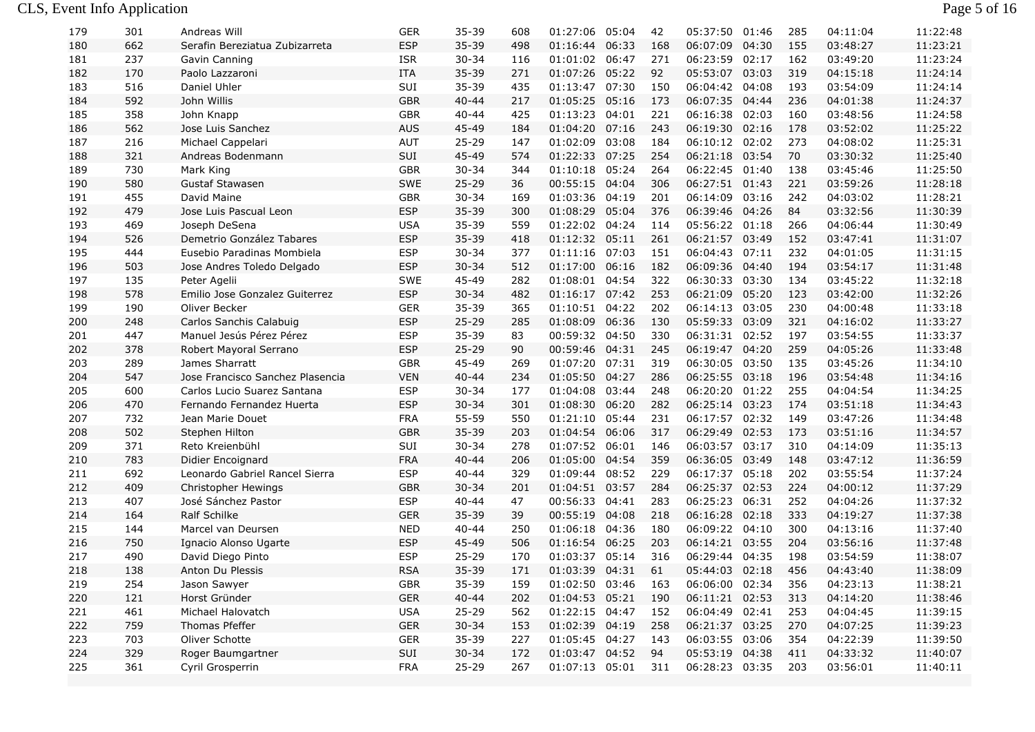| 179 | 301 | Andreas Will                     | GER        | 35-39     | 608 | 01:27:06       | 05:04 | 42  | 05:37:50       | 01:46 | 285 | 04:11:04 | 11:22:48 |
|-----|-----|----------------------------------|------------|-----------|-----|----------------|-------|-----|----------------|-------|-----|----------|----------|
| 180 | 662 | Serafin Bereziatua Zubizarreta   | <b>ESP</b> | 35-39     | 498 | 01:16:44       | 06:33 | 168 | 06:07:09       | 04:30 | 155 | 03:48:27 | 11:23:21 |
| 181 | 237 | Gavin Canning                    | <b>ISR</b> | $30 - 34$ | 116 | 01:01:02 06:47 |       | 271 | 06:23:59 02:17 |       | 162 | 03:49:20 | 11:23:24 |
| 182 | 170 | Paolo Lazzaroni                  | <b>ITA</b> | 35-39     | 271 | 01:07:26 05:22 |       | 92  | 05:53:07 03:03 |       | 319 | 04:15:18 | 11:24:14 |
| 183 | 516 | Daniel Uhler                     | SUI        | 35-39     | 435 | 01:13:47 07:30 |       | 150 | 06:04:42 04:08 |       | 193 | 03:54:09 | 11:24:14 |
| 184 | 592 | John Willis                      | <b>GBR</b> | $40 - 44$ | 217 | 01:05:25 05:16 |       | 173 | 06:07:35 04:44 |       | 236 | 04:01:38 | 11:24:37 |
| 185 | 358 | John Knapp                       | <b>GBR</b> | $40 - 44$ | 425 | 01:13:23 04:01 |       | 221 | 06:16:38 02:03 |       | 160 | 03:48:56 | 11:24:58 |
| 186 | 562 | Jose Luis Sanchez                | <b>AUS</b> | 45-49     | 184 | 01:04:20 07:16 |       | 243 | 06:19:30 02:16 |       | 178 | 03:52:02 | 11:25:22 |
| 187 | 216 | Michael Cappelari                | AUT        | $25 - 29$ | 147 | 01:02:09 03:08 |       | 184 | 06:10:12 02:02 |       | 273 | 04:08:02 | 11:25:31 |
| 188 | 321 | Andreas Bodenmann                | SUI        | 45-49     | 574 | 01:22:33 07:25 |       | 254 | 06:21:18 03:54 |       | 70  | 03:30:32 | 11:25:40 |
| 189 | 730 | Mark King                        | <b>GBR</b> | $30 - 34$ | 344 | 01:10:18 05:24 |       | 264 | 06:22:45 01:40 |       | 138 | 03:45:46 | 11:25:50 |
| 190 | 580 | <b>Gustaf Stawasen</b>           | <b>SWE</b> | $25 - 29$ | 36  | 00:55:15 04:04 |       | 306 | 06:27:51 01:43 |       | 221 | 03:59:26 | 11:28:18 |
| 191 | 455 | David Maine                      | <b>GBR</b> | $30 - 34$ | 169 | 01:03:36 04:19 |       | 201 | 06:14:09 03:16 |       | 242 | 04:03:02 | 11:28:21 |
| 192 | 479 | Jose Luis Pascual Leon           | <b>ESP</b> | 35-39     | 300 | 01:08:29 05:04 |       | 376 | 06:39:46 04:26 |       | 84  | 03:32:56 | 11:30:39 |
| 193 | 469 | Joseph DeSena                    | <b>USA</b> | $35 - 39$ | 559 | 01:22:02 04:24 |       | 114 | 05:56:22 01:18 |       | 266 | 04:06:44 | 11:30:49 |
| 194 | 526 | Demetrio González Tabares        | <b>ESP</b> | 35-39     | 418 | 01:12:32 05:11 |       | 261 | 06:21:57 03:49 |       | 152 | 03:47:41 | 11:31:07 |
| 195 | 444 | Eusebio Paradinas Mombiela       | <b>ESP</b> | $30 - 34$ | 377 | 01:11:16 07:03 |       | 151 | 06:04:43 07:11 |       | 232 | 04:01:05 | 11:31:15 |
| 196 | 503 | Jose Andres Toledo Delgado       | <b>ESP</b> | $30 - 34$ | 512 | 01:17:00       | 06:16 | 182 | 06:09:36 04:40 |       | 194 | 03:54:17 | 11:31:48 |
| 197 | 135 | Peter Agelii                     | <b>SWE</b> | 45-49     | 282 | 01:08:01 04:54 |       | 322 | 06:30:33 03:30 |       | 134 | 03:45:22 | 11:32:18 |
| 198 | 578 | Emilio Jose Gonzalez Guiterrez   | <b>ESP</b> | $30 - 34$ | 482 | 01:16:17 07:42 |       | 253 | 06:21:09 05:20 |       | 123 | 03:42:00 | 11:32:26 |
| 199 | 190 | Oliver Becker                    | <b>GER</b> | 35-39     | 365 | 01:10:51 04:22 |       | 202 | 06:14:13 03:05 |       | 230 | 04:00:48 | 11:33:18 |
| 200 | 248 | Carlos Sanchis Calabuig          | <b>ESP</b> | $25 - 29$ | 285 | 01:08:09 06:36 |       | 130 | 05:59:33 03:09 |       | 321 | 04:16:02 | 11:33:27 |
| 201 | 447 | Manuel Jesús Pérez Pérez         | <b>ESP</b> | $35 - 39$ | 83  | 00:59:32 04:50 |       | 330 | 06:31:31 02:52 |       | 197 | 03:54:55 | 11:33:37 |
| 202 | 378 | Robert Mayoral Serrano           | <b>ESP</b> | $25 - 29$ | 90  | 00:59:46 04:31 |       | 245 | 06:19:47 04:20 |       | 259 | 04:05:26 | 11:33:48 |
| 203 | 289 | James Sharratt                   | <b>GBR</b> | 45-49     | 269 | 01:07:20 07:31 |       | 319 | 06:30:05 03:50 |       | 135 | 03:45:26 | 11:34:10 |
| 204 | 547 | Jose Francisco Sanchez Plasencia | <b>VEN</b> | $40 - 44$ | 234 | 01:05:50 04:27 |       | 286 | 06:25:55 03:18 |       | 196 | 03:54:48 | 11:34:16 |
| 205 | 600 | Carlos Lucio Suarez Santana      | <b>ESP</b> | $30 - 34$ | 177 | 01:04:08       | 03:44 | 248 | 06:20:20 01:22 |       | 255 | 04:04:54 | 11:34:25 |
| 206 | 470 | Fernando Fernandez Huerta        | <b>ESP</b> | $30 - 34$ | 301 | 01:08:30 06:20 |       | 282 | 06:25:14 03:23 |       | 174 | 03:51:18 | 11:34:43 |
| 207 | 732 | Jean Marie Douet                 | <b>FRA</b> | 55-59     | 550 | 01:21:10 05:44 |       | 231 | 06:17:57 02:32 |       | 149 | 03:47:26 | 11:34:48 |
| 208 | 502 | Stephen Hilton                   | <b>GBR</b> | 35-39     | 203 | 01:04:54       | 06:06 | 317 | 06:29:49 02:53 |       | 173 | 03:51:16 | 11:34:57 |
| 209 | 371 | Reto Kreienbühl                  | SUI        | $30 - 34$ | 278 | 01:07:52 06:01 |       | 146 | 06:03:57 03:17 |       | 310 | 04:14:09 | 11:35:13 |
| 210 | 783 | Didier Encoignard                | <b>FRA</b> | $40 - 44$ | 206 | 01:05:00       | 04:54 | 359 | 06:36:05 03:49 |       | 148 | 03:47:12 | 11:36:59 |
| 211 | 692 | Leonardo Gabriel Rancel Sierra   | <b>ESP</b> | $40 - 44$ | 329 | 01:09:44 08:52 |       | 229 | 06:17:37 05:18 |       | 202 | 03:55:54 | 11:37:24 |
| 212 | 409 | Christopher Hewings              | <b>GBR</b> | $30 - 34$ | 201 | 01:04:51 03:57 |       | 284 | 06:25:37 02:53 |       | 224 | 04:00:12 | 11:37:29 |
| 213 | 407 | José Sánchez Pastor              | <b>ESP</b> | $40 - 44$ | 47  | 00:56:33 04:41 |       | 283 | 06:25:23 06:31 |       | 252 | 04:04:26 | 11:37:32 |
| 214 | 164 | Ralf Schilke                     | <b>GER</b> | $35 - 39$ | 39  | 00:55:19 04:08 |       | 218 | 06:16:28 02:18 |       | 333 | 04:19:27 | 11:37:38 |
| 215 | 144 | Marcel van Deursen               | <b>NED</b> | $40 - 44$ | 250 | 01:06:18 04:36 |       | 180 | 06:09:22 04:10 |       | 300 | 04:13:16 | 11:37:40 |
| 216 | 750 | Ignacio Alonso Ugarte            | <b>ESP</b> | 45-49     | 506 | 01:16:54 06:25 |       | 203 | 06:14:21 03:55 |       | 204 | 03:56:16 | 11:37:48 |
| 217 | 490 | David Diego Pinto                | <b>ESP</b> | $25 - 29$ | 170 | 01:03:37 05:14 |       | 316 | 06:29:44 04:35 |       | 198 | 03:54:59 | 11:38:07 |
| 218 | 138 | Anton Du Plessis                 | <b>RSA</b> | 35-39     | 171 | 01:03:39 04:31 |       | 61  | 05:44:03 02:18 |       | 456 | 04:43:40 | 11:38:09 |
| 219 | 254 | Jason Sawyer                     | <b>GBR</b> | 35-39     | 159 | 01:02:50 03:46 |       | 163 | 06:06:00 02:34 |       | 356 | 04:23:13 | 11:38:21 |
| 220 | 121 | Horst Gründer                    | <b>GER</b> | $40 - 44$ | 202 | 01:04:53 05:21 |       | 190 | 06:11:21 02:53 |       | 313 | 04:14:20 | 11:38:46 |
| 221 | 461 | Michael Halovatch                | <b>USA</b> | $25 - 29$ | 562 | 01:22:15 04:47 |       | 152 | 06:04:49 02:41 |       | 253 | 04:04:45 | 11:39:15 |
| 222 | 759 | Thomas Pfeffer                   | <b>GER</b> | $30 - 34$ | 153 | 01:02:39 04:19 |       | 258 | 06:21:37 03:25 |       | 270 | 04:07:25 | 11:39:23 |
| 223 | 703 | Oliver Schotte                   | <b>GER</b> | $35 - 39$ | 227 | 01:05:45 04:27 |       | 143 | 06:03:55 03:06 |       | 354 | 04:22:39 | 11:39:50 |
| 224 | 329 | Roger Baumgartner                | SUI        | $30 - 34$ | 172 | 01:03:47 04:52 |       | 94  | 05:53:19 04:38 |       | 411 | 04:33:32 | 11:40:07 |
| 225 | 361 | Cyril Grosperrin                 | <b>FRA</b> | $25 - 29$ | 267 | 01:07:13 05:01 |       | 311 | 06:28:23 03:35 |       | 203 | 03:56:01 | 11:40:11 |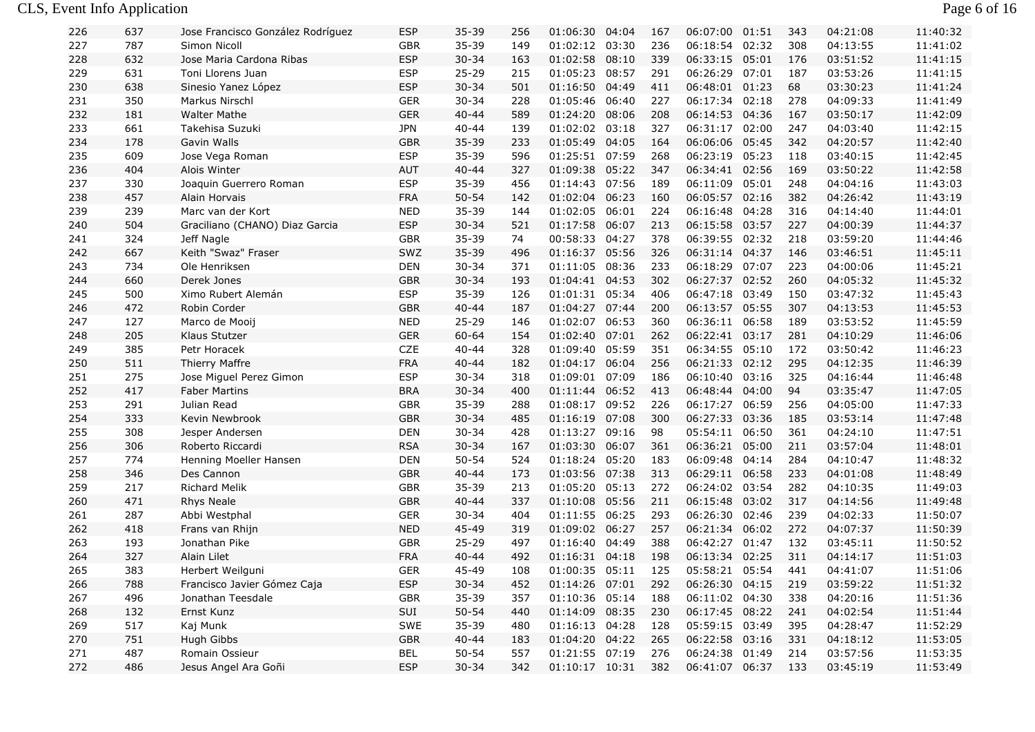## CLS, Event Info Application Page 6 of 16

| 226 | 637 | Jose Francisco González Rodríguez | ESP        | $35 - 39$ | 256 | 01:06:30       | 04:04 | 167 | 06:07:00       | 01:51 | 343 | 04:21:08 | 11:40:32 |
|-----|-----|-----------------------------------|------------|-----------|-----|----------------|-------|-----|----------------|-------|-----|----------|----------|
| 227 | 787 | Simon Nicoll                      | <b>GBR</b> | 35-39     | 149 | 01:02:12 03:30 |       | 236 | 06:18:54 02:32 |       | 308 | 04:13:55 | 11:41:02 |
| 228 | 632 | Jose Maria Cardona Ribas          | <b>ESP</b> | $30 - 34$ | 163 | 01:02:58       | 08:10 | 339 | 06:33:15 05:01 |       | 176 | 03:51:52 | 11:41:15 |
| 229 | 631 | Toni Llorens Juan                 | <b>ESP</b> | $25 - 29$ | 215 | 01:05:23       | 08:57 | 291 | 06:26:29       | 07:01 | 187 | 03:53:26 | 11:41:15 |
| 230 | 638 | Sinesio Yanez López               | <b>ESP</b> | $30 - 34$ | 501 | 01:16:50       | 04:49 | 411 | 06:48:01 01:23 |       | 68  | 03:30:23 | 11:41:24 |
| 231 | 350 | Markus Nirschl                    | <b>GER</b> | $30 - 34$ | 228 | 01:05:46       | 06:40 | 227 | 06:17:34 02:18 |       | 278 | 04:09:33 | 11:41:49 |
| 232 | 181 | <b>Walter Mathe</b>               | <b>GER</b> | $40 - 44$ | 589 | 01:24:20       | 08:06 | 208 | 06:14:53 04:36 |       | 167 | 03:50:17 | 11:42:09 |
| 233 | 661 | Takehisa Suzuki                   | <b>JPN</b> | $40 - 44$ | 139 | 01:02:02       | 03:18 | 327 | 06:31:17 02:00 |       | 247 | 04:03:40 | 11:42:15 |
| 234 | 178 | Gavin Walls                       | <b>GBR</b> | 35-39     | 233 | 01:05:49 04:05 |       | 164 | 06:06:06 05:45 |       | 342 | 04:20:57 | 11:42:40 |
| 235 | 609 | Jose Vega Roman                   | <b>ESP</b> | 35-39     | 596 | 01:25:51 07:59 |       | 268 | 06:23:19 05:23 |       | 118 | 03:40:15 | 11:42:45 |
| 236 | 404 | Alois Winter                      | <b>AUT</b> | $40 - 44$ | 327 | 01:09:38       | 05:22 | 347 | 06:34:41 02:56 |       | 169 | 03:50:22 | 11:42:58 |
| 237 | 330 | Joaquin Guerrero Roman            | <b>ESP</b> | 35-39     | 456 | 01:14:43       | 07:56 | 189 | 06:11:09       | 05:01 | 248 | 04:04:16 | 11:43:03 |
| 238 | 457 | Alain Horvais                     | <b>FRA</b> | $50 - 54$ | 142 | 01:02:04 06:23 |       | 160 | 06:05:57 02:16 |       | 382 | 04:26:42 | 11:43:19 |
| 239 | 239 | Marc van der Kort                 | <b>NED</b> | $35 - 39$ | 144 | 01:02:05       | 06:01 | 224 | 06:16:48       | 04:28 | 316 | 04:14:40 | 11:44:01 |
| 240 | 504 | Graciliano (CHANO) Diaz Garcia    | <b>ESP</b> | $30 - 34$ | 521 | 01:17:58       | 06:07 | 213 | 06:15:58       | 03:57 | 227 | 04:00:39 | 11:44:37 |
| 241 | 324 | Jeff Nagle                        | GBR        | 35-39     | 74  | 00:58:33       | 04:27 | 378 | 06:39:55 02:32 |       | 218 | 03:59:20 | 11:44:46 |
| 242 | 667 | Keith "Swaz" Fraser               | SWZ        | 35-39     | 496 | 01:16:37 05:56 |       | 326 | 06:31:14 04:37 |       | 146 | 03:46:51 | 11:45:11 |
| 243 | 734 | Ole Henriksen                     | DEN        | $30 - 34$ | 371 | 01:11:05       | 08:36 | 233 | 06:18:29 07:07 |       | 223 | 04:00:06 | 11:45:21 |
| 244 | 660 | Derek Jones                       | <b>GBR</b> | $30 - 34$ | 193 | 01:04:41 04:53 |       | 302 | 06:27:37 02:52 |       | 260 | 04:05:32 | 11:45:32 |
| 245 | 500 | Ximo Rubert Alemán                | <b>ESP</b> | 35-39     | 126 | 01:01:31 05:34 |       | 406 | 06:47:18 03:49 |       | 150 | 03:47:32 | 11:45:43 |
| 246 | 472 | Robin Corder                      | <b>GBR</b> | $40 - 44$ | 187 | 01:04:27 07:44 |       | 200 | 06:13:57 05:55 |       | 307 | 04:13:53 | 11:45:53 |
| 247 | 127 | Marco de Mooij                    | <b>NED</b> | $25 - 29$ | 146 | 01:02:07       | 06:53 | 360 | 06:36:11 06:58 |       | 189 | 03:53:52 | 11:45:59 |
| 248 | 205 | Klaus Stutzer                     | <b>GER</b> | 60-64     | 154 | 01:02:40       | 07:01 | 262 | 06:22:41 03:17 |       | 281 | 04:10:29 | 11:46:06 |
| 249 | 385 | Petr Horacek                      | CZE        | $40 - 44$ | 328 | 01:09:40 05:59 |       | 351 | 06:34:55 05:10 |       | 172 | 03:50:42 | 11:46:23 |
| 250 | 511 | <b>Thierry Maffre</b>             | <b>FRA</b> | $40 - 44$ | 182 | 01:04:17 06:04 |       | 256 | 06:21:33 02:12 |       | 295 | 04:12:35 | 11:46:39 |
| 251 | 275 | Jose Miguel Perez Gimon           | <b>ESP</b> | $30 - 34$ | 318 | 01:09:01 07:09 |       | 186 | 06:10:40 03:16 |       | 325 | 04:16:44 | 11:46:48 |
| 252 | 417 | <b>Faber Martins</b>              | <b>BRA</b> | $30 - 34$ | 400 | 01:11:44       | 06:52 | 413 | 06:48:44 04:00 |       | 94  | 03:35:47 | 11:47:05 |
| 253 | 291 | Julian Read                       | GBR        | 35-39     | 288 | 01:08:17       | 09:52 | 226 | 06:17:27 06:59 |       | 256 | 04:05:00 | 11:47:33 |
| 254 | 333 | Kevin Newbrook                    | <b>GBR</b> | $30 - 34$ | 485 | 01:16:19       | 07:08 | 300 | 06:27:33       | 03:36 | 185 | 03:53:14 | 11:47:48 |
| 255 | 308 | Jesper Andersen                   | <b>DEN</b> | $30 - 34$ | 428 | 01:13:27       | 09:16 | 98  | 05:54:11       | 06:50 | 361 | 04:24:10 | 11:47:51 |
| 256 | 306 | Roberto Riccardi                  | <b>RSA</b> | $30 - 34$ | 167 | 01:03:30       | 06:07 | 361 | 06:36:21       | 05:00 | 211 | 03:57:04 | 11:48:01 |
| 257 | 774 | Henning Moeller Hansen            | <b>DEN</b> | $50 - 54$ | 524 | 01:18:24       | 05:20 | 183 | 06:09:48       | 04:14 | 284 | 04:10:47 | 11:48:32 |
| 258 | 346 | Des Cannon                        | <b>GBR</b> | $40 - 44$ | 173 | 01:03:56       | 07:38 | 313 | 06:29:11 06:58 |       | 233 | 04:01:08 | 11:48:49 |
| 259 | 217 | <b>Richard Melik</b>              | <b>GBR</b> | 35-39     | 213 | 01:05:20       | 05:13 | 272 | 06:24:02 03:54 |       | 282 | 04:10:35 | 11:49:03 |
| 260 | 471 | Rhys Neale                        | <b>GBR</b> | $40 - 44$ | 337 | 01:10:08       | 05:56 | 211 | 06:15:48       | 03:02 | 317 | 04:14:56 | 11:49:48 |
| 261 | 287 | Abbi Westphal                     | <b>GER</b> | $30 - 34$ | 404 | 01:11:55       | 06:25 | 293 | 06:26:30       | 02:46 | 239 | 04:02:33 | 11:50:07 |
| 262 | 418 | Frans van Rhijn                   | <b>NED</b> | 45-49     | 319 | 01:09:02       | 06:27 | 257 | 06:21:34       | 06:02 | 272 | 04:07:37 | 11:50:39 |
| 263 | 193 | Jonathan Pike                     | GBR        | $25 - 29$ | 497 | 01:16:40       | 04:49 | 388 | 06:42:27 01:47 |       | 132 | 03:45:11 | 11:50:52 |
| 264 | 327 | Alain Lilet                       | <b>FRA</b> | $40 - 44$ | 492 | 01:16:31 04:18 |       | 198 | 06:13:34 02:25 |       | 311 | 04:14:17 | 11:51:03 |
| 265 | 383 | Herbert Weilguni                  | <b>GER</b> | 45-49     | 108 | 01:00:35 05:11 |       | 125 | 05:58:21 05:54 |       | 441 | 04:41:07 | 11:51:06 |
| 266 | 788 | Francisco Javier Gómez Caja       | <b>ESP</b> | $30 - 34$ | 452 | 01:14:26 07:01 |       | 292 | 06:26:30 04:15 |       | 219 | 03:59:22 | 11:51:32 |
| 267 | 496 | Jonathan Teesdale                 | GBR        | 35-39     | 357 | 01:10:36 05:14 |       | 188 | 06:11:02 04:30 |       | 338 | 04:20:16 | 11:51:36 |
| 268 | 132 | Ernst Kunz                        | SUI        | $50 - 54$ | 440 | 01:14:09 08:35 |       | 230 | 06:17:45 08:22 |       | 241 | 04:02:54 | 11:51:44 |
| 269 | 517 | Kaj Munk                          | SWE        | 35-39     | 480 | 01:16:13 04:28 |       | 128 | 05:59:15 03:49 |       | 395 | 04:28:47 | 11:52:29 |
| 270 | 751 | Hugh Gibbs                        | <b>GBR</b> | $40 - 44$ | 183 | 01:04:20 04:22 |       | 265 | 06:22:58 03:16 |       | 331 | 04:18:12 | 11:53:05 |
| 271 | 487 | Romain Ossieur                    | BEL        | $50 - 54$ | 557 | 01:21:55 07:19 |       | 276 | 06:24:38 01:49 |       | 214 | 03:57:56 | 11:53:35 |
| 272 | 486 | Jesus Angel Ara Goñi              | <b>ESP</b> | $30 - 34$ | 342 | 01:10:17 10:31 |       | 382 | 06:41:07 06:37 |       | 133 | 03:45:19 | 11:53:49 |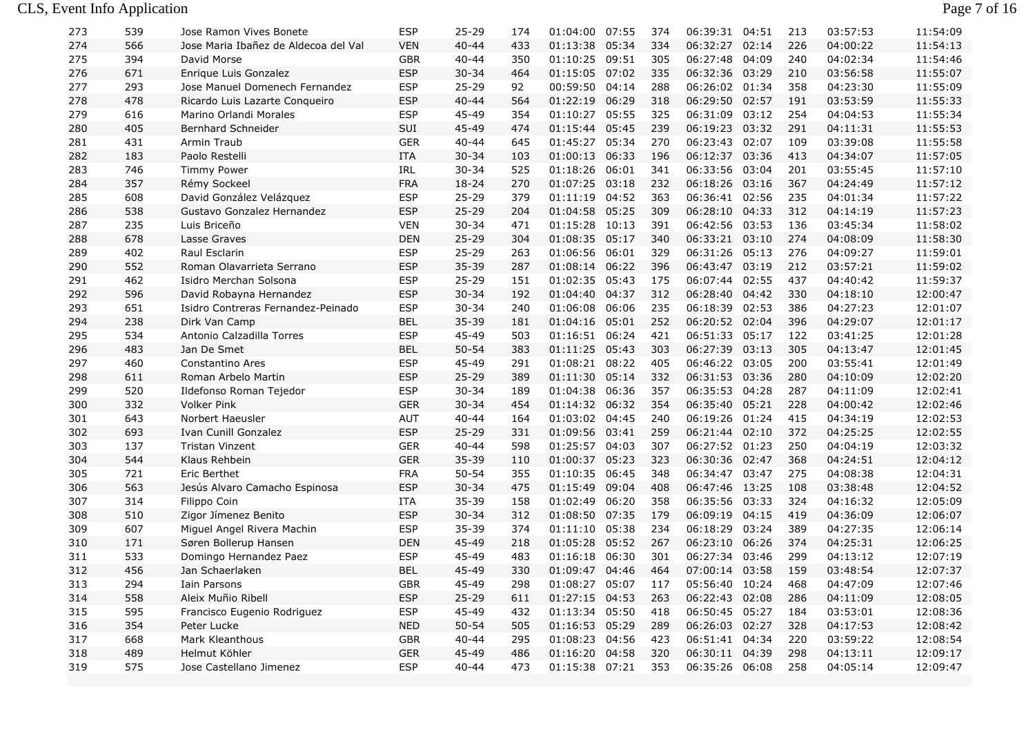| 273 | 539 | Jose Ramon Vives Bonete              | ESP        | 25-29     | 174 | 01:04:00           | 07:55 | 374 | 06:39:31       | 04:51 | 213 | 03:57:53 | 11:54:09 |
|-----|-----|--------------------------------------|------------|-----------|-----|--------------------|-------|-----|----------------|-------|-----|----------|----------|
| 274 | 566 | Jose Maria Ibañez de Aldecoa del Val | <b>VEN</b> | $40 - 44$ | 433 | 01:13:38 05:34     |       | 334 | 06:32:27       | 02:14 | 226 | 04:00:22 | 11:54:13 |
| 275 | 394 | David Morse                          | <b>GBR</b> | $40 - 44$ | 350 | 01:10:25 09:51     |       | 305 | 06:27:48 04:09 |       | 240 | 04:02:34 | 11:54:46 |
| 276 | 671 | Enrique Luis Gonzalez                | <b>ESP</b> | $30 - 34$ | 464 | 01:15:05 07:02     |       | 335 | 06:32:36 03:29 |       | 210 | 03:56:58 | 11:55:07 |
| 277 | 293 | Jose Manuel Domenech Fernandez       | <b>ESP</b> | $25 - 29$ | 92  | 00:59:50 04:14     |       | 288 | 06:26:02 01:34 |       | 358 | 04:23:30 | 11:55:09 |
| 278 | 478 | Ricardo Luis Lazarte Conqueiro       | <b>ESP</b> | $40 - 44$ | 564 | 01:22:19 06:29     |       | 318 | 06:29:50 02:57 |       | 191 | 03:53:59 | 11:55:33 |
| 279 | 616 | Marino Orlandi Morales               | <b>ESP</b> | 45-49     | 354 | 01:10:27           | 05:55 | 325 | 06:31:09       | 03:12 | 254 | 04:04:53 | 11:55:34 |
| 280 | 405 | Bernhard Schneider                   | SUI        | 45-49     | 474 | 01:15:44 05:45     |       | 239 | 06:19:23 03:32 |       | 291 | 04:11:31 | 11:55:53 |
| 281 | 431 | Armin Traub                          | <b>GER</b> | $40 - 44$ | 645 | 01:45:27 05:34     |       | 270 | 06:23:43 02:07 |       | 109 | 03:39:08 | 11:55:58 |
| 282 | 183 | Paolo Restelli                       | <b>ITA</b> | $30 - 34$ | 103 | 01:00:13 06:33     |       | 196 | 06:12:37 03:36 |       | 413 | 04:34:07 | 11:57:05 |
| 283 | 746 | <b>Timmy Power</b>                   | <b>IRL</b> | $30 - 34$ | 525 | 01:18:26 06:01     |       | 341 | 06:33:56 03:04 |       | 201 | 03:55:45 | 11:57:10 |
| 284 | 357 | Rémy Sockeel                         | <b>FRA</b> | $18 - 24$ | 270 | 01:07:25 03:18     |       | 232 | 06:18:26 03:16 |       | 367 | 04:24:49 | 11:57:12 |
| 285 | 608 | David González Velázquez             | <b>ESP</b> | $25 - 29$ | 379 | 01:11:19 04:52     |       | 363 | 06:36:41 02:56 |       | 235 | 04:01:34 | 11:57:22 |
| 286 | 538 | Gustavo Gonzalez Hernandez           | <b>ESP</b> | $25 - 29$ | 204 | 01:04:58 05:25     |       | 309 | 06:28:10 04:33 |       | 312 | 04:14:19 | 11:57:23 |
| 287 | 235 | Luis Briceño                         | <b>VEN</b> | $30 - 34$ | 471 | 01:15:28 10:13     |       | 391 | 06:42:56 03:53 |       | 136 | 03:45:34 | 11:58:02 |
| 288 | 678 | Lasse Graves                         | <b>DEN</b> | $25 - 29$ | 304 | 01:08:35 05:17     |       | 340 | 06:33:21 03:10 |       | 274 | 04:08:09 | 11:58:30 |
| 289 | 402 | Raul Esclarin                        | <b>ESP</b> | $25 - 29$ | 263 | 01:06:56 06:01     |       | 329 | 06:31:26 05:13 |       | 276 | 04:09:27 | 11:59:01 |
| 290 | 552 | Roman Olavarrieta Serrano            | <b>ESP</b> | $35 - 39$ | 287 | 01:08:14 06:22     |       | 396 | 06:43:47 03:19 |       | 212 | 03:57:21 | 11:59:02 |
| 291 | 462 | Isidro Merchan Solsona               | <b>ESP</b> | $25 - 29$ | 151 | 01:02:35 05:43     |       | 175 | 06:07:44 02:55 |       | 437 | 04:40:42 | 11:59:37 |
| 292 | 596 | David Robayna Hernandez              | <b>ESP</b> | $30 - 34$ | 192 | 01:04:40 04:37     |       | 312 | 06:28:40 04:42 |       | 330 | 04:18:10 | 12:00:47 |
| 293 | 651 | Isidro Contreras Fernandez-Peinado   | <b>ESP</b> | $30 - 34$ | 240 | 01:06:08 06:06     |       | 235 | 06:18:39 02:53 |       | 386 | 04:27:23 | 12:01:07 |
| 294 | 238 | Dirk Van Camp                        | <b>BEL</b> | 35-39     | 181 | 01:04:16 05:01     |       | 252 | 06:20:52 02:04 |       | 396 | 04:29:07 | 12:01:17 |
| 295 | 534 | Antonio Calzadilla Torres            | <b>ESP</b> | 45-49     | 503 | 01:16:51 06:24     |       | 421 | 06:51:33 05:17 |       | 122 | 03:41:25 | 12:01:28 |
| 296 | 483 | Jan De Smet                          | <b>BEL</b> | $50 - 54$ | 383 | 01:11:25 05:43     |       | 303 | 06:27:39 03:13 |       | 305 | 04:13:47 | 12:01:45 |
| 297 | 460 | Constantino Ares                     | <b>ESP</b> | 45-49     | 291 | 01:08:21 08:22     |       | 405 | 06:46:22 03:05 |       | 200 | 03:55:41 | 12:01:49 |
| 298 | 611 | Roman Arbelo Martin                  | <b>ESP</b> | $25 - 29$ | 389 | 01:11:30 05:14     |       | 332 | 06:31:53 03:36 |       | 280 | 04:10:09 | 12:02:20 |
| 299 | 520 | Ildefonso Roman Tejedor              | <b>ESP</b> | $30 - 34$ | 189 | 01:04:38           | 06:36 | 357 | 06:35:53 04:28 |       | 287 | 04:11:09 | 12:02:41 |
| 300 | 332 | <b>Volker Pink</b>                   | <b>GER</b> | $30 - 34$ | 454 | 01:14:32 06:32     |       | 354 | 06:35:40 05:21 |       | 228 | 04:00:42 | 12:02:46 |
| 301 | 643 | Norbert Haeusler                     | <b>AUT</b> | $40 - 44$ | 164 | 01:03:02 04:45     |       | 240 | 06:19:26 01:24 |       | 415 | 04:34:19 | 12:02:53 |
| 302 | 693 | Ivan Cunill Gonzalez                 | <b>ESP</b> | $25 - 29$ | 331 | 01:09:56 03:41     |       | 259 | 06:21:44 02:10 |       | 372 | 04:25:25 | 12:02:55 |
| 303 | 137 | <b>Tristan Vinzent</b>               | <b>GER</b> | $40 - 44$ | 598 | 01:25:57 04:03     |       | 307 | 06:27:52 01:23 |       | 250 | 04:04:19 | 12:03:32 |
| 304 | 544 | Klaus Rehbein                        | <b>GER</b> | $35 - 39$ | 110 | 01:00:37 05:23     |       | 323 | 06:30:36 02:47 |       | 368 | 04:24:51 | 12:04:12 |
| 305 | 721 | Eric Berthet                         | <b>FRA</b> | $50 - 54$ | 355 | 01:10:35 06:45     |       | 348 | 06:34:47 03:47 |       | 275 | 04:08:38 | 12:04:31 |
| 306 | 563 | Jesús Alvaro Camacho Espinosa        | <b>ESP</b> | $30 - 34$ | 475 | 01:15:49 09:04     |       | 408 | 06:47:46 13:25 |       | 108 | 03:38:48 | 12:04:52 |
| 307 | 314 | Filippo Coin                         | <b>ITA</b> | 35-39     | 158 | 01:02:49 06:20     |       | 358 | 06:35:56 03:33 |       | 324 | 04:16:32 | 12:05:09 |
| 308 | 510 | Zigor Jímenez Benito                 | <b>ESP</b> | $30 - 34$ | 312 | 01:08:50 07:35     |       | 179 | 06:09:19 04:15 |       | 419 | 04:36:09 | 12:06:07 |
| 309 | 607 | Miguel Angel Rivera Machin           | <b>ESP</b> | 35-39     | 374 | 01:11:10 05:38     |       | 234 | 06:18:29 03:24 |       | 389 | 04:27:35 | 12:06:14 |
| 310 | 171 | Søren Bollerup Hansen                | <b>DEN</b> | 45-49     | 218 | 01:05:28 05:52     |       | 267 | 06:23:10 06:26 |       | 374 | 04:25:31 | 12:06:25 |
| 311 | 533 | Domingo Hernandez Paez               | <b>ESP</b> | 45-49     | 483 | 01:16:18 06:30     |       | 301 | 06:27:34 03:46 |       | 299 | 04:13:12 | 12:07:19 |
| 312 | 456 | Jan Schaerlaken                      | <b>BEL</b> | 45-49     | 330 | 01:09:47 04:46     |       | 464 | 07:00:14 03:58 |       | 159 | 03:48:54 | 12:07:37 |
| 313 | 294 | Iain Parsons                         | <b>GBR</b> | 45-49     | 298 | 01:08:27 05:07     |       | 117 | 05:56:40 10:24 |       | 468 | 04:47:09 | 12:07:46 |
| 314 | 558 | Aleix Muñio Ribell                   | <b>ESP</b> | $25 - 29$ | 611 | 01:27:15 04:53     |       | 263 | 06:22:43 02:08 |       | 286 | 04:11:09 | 12:08:05 |
| 315 | 595 | Francisco Eugenio Rodriguez          | <b>ESP</b> | 45-49     | 432 | 01:13:34 05:50     |       | 418 | 06:50:45 05:27 |       | 184 | 03:53:01 | 12:08:36 |
| 316 | 354 | Peter Lucke                          | <b>NED</b> | $50 - 54$ | 505 | 01:16:53 05:29     |       | 289 | 06:26:03 02:27 |       | 328 | 04:17:53 | 12:08:42 |
| 317 | 668 | Mark Kleanthous                      | <b>GBR</b> | $40 - 44$ | 295 | 01:08:23 04:56     |       | 423 | 06:51:41 04:34 |       | 220 | 03:59:22 | 12:08:54 |
| 318 | 489 | Helmut Köhler                        | <b>GER</b> | 45-49     | 486 | 01:16:20 04:58     |       | 320 | 06:30:11 04:39 |       | 298 | 04:13:11 | 12:09:17 |
| 319 | 575 | Jose Castellano Jimenez              | <b>ESP</b> | $40 - 44$ | 473 | $01:15:38$ $07:21$ |       | 353 | 06:35:26 06:08 |       | 258 | 04:05:14 | 12:09:47 |

Page 7 of 16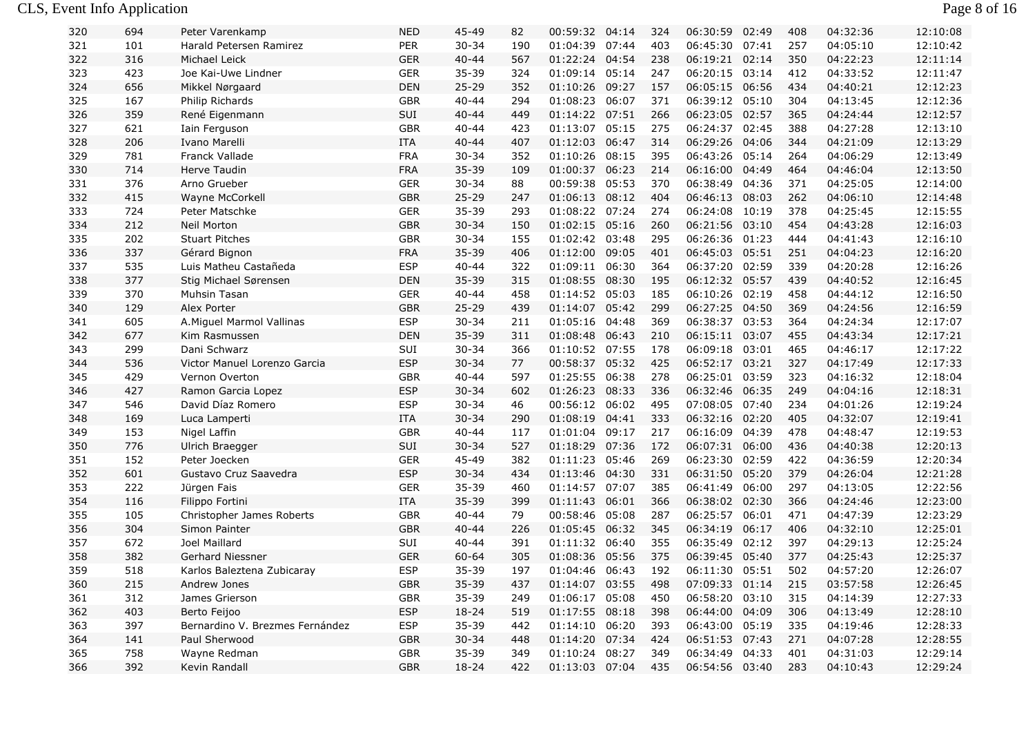#### CLS, Event Info Application Page 8 of 16

| 320 | 694 | Peter Varenkamp                 | <b>NED</b> | 45-49     | 82  | 00:59:32 04:14 |       | 324 | 06:30:59       | 02:49 | 408 | 04:32:36 | 12:10:08 |
|-----|-----|---------------------------------|------------|-----------|-----|----------------|-------|-----|----------------|-------|-----|----------|----------|
| 321 | 101 | Harald Petersen Ramirez         | PER        | $30 - 34$ | 190 | 01:04:39 07:44 |       | 403 | 06:45:30 07:41 |       | 257 | 04:05:10 | 12:10:42 |
| 322 | 316 | Michael Leick                   | <b>GER</b> | $40 - 44$ | 567 | 01:22:24 04:54 |       | 238 | 06:19:21 02:14 |       | 350 | 04:22:23 | 12:11:14 |
| 323 | 423 | Joe Kai-Uwe Lindner             | <b>GER</b> | 35-39     | 324 | 01:09:14       | 05:14 | 247 | 06:20:15       | 03:14 | 412 | 04:33:52 | 12:11:47 |
| 324 | 656 | Mikkel Nørgaard                 | DEN        | $25 - 29$ | 352 | 01:10:26       | 09:27 | 157 | 06:05:15 06:56 |       | 434 | 04:40:21 | 12:12:23 |
| 325 | 167 | Philip Richards                 | <b>GBR</b> | $40 - 44$ | 294 | 01:08:23 06:07 |       | 371 | 06:39:12 05:10 |       | 304 | 04:13:45 | 12:12:36 |
| 326 | 359 | René Eigenmann                  | SUI        | $40 - 44$ | 449 | 01:14:22 07:51 |       | 266 | 06:23:05 02:57 |       | 365 | 04:24:44 | 12:12:57 |
| 327 | 621 | Iain Ferguson                   | <b>GBR</b> | $40 - 44$ | 423 | 01:13:07 05:15 |       | 275 | 06:24:37 02:45 |       | 388 | 04:27:28 | 12:13:10 |
| 328 | 206 | Ivano Marelli                   | ITA        | $40 - 44$ | 407 | 01:12:03 06:47 |       | 314 | 06:29:26 04:06 |       | 344 | 04:21:09 | 12:13:29 |
| 329 | 781 | Franck Vallade                  | <b>FRA</b> | $30 - 34$ | 352 | 01:10:26 08:15 |       | 395 | 06:43:26       | 05:14 | 264 | 04:06:29 | 12:13:49 |
| 330 | 714 | Herve Taudin                    | <b>FRA</b> | $35 - 39$ | 109 | 01:00:37 06:23 |       | 214 | 06:16:00       | 04:49 | 464 | 04:46:04 | 12:13:50 |
| 331 | 376 | Arno Grueber                    | <b>GER</b> | $30 - 34$ | 88  | 00:59:38       | 05:53 | 370 | 06:38:49       | 04:36 | 371 | 04:25:05 | 12:14:00 |
| 332 | 415 | Wayne McCorkell                 | <b>GBR</b> | $25 - 29$ | 247 | 01:06:13 08:12 |       | 404 | 06:46:13       | 08:03 | 262 | 04:06:10 | 12:14:48 |
| 333 | 724 | Peter Matschke                  | <b>GER</b> | $35 - 39$ | 293 | 01:08:22 07:24 |       | 274 | 06:24:08 10:19 |       | 378 | 04:25:45 | 12:15:55 |
| 334 | 212 | <b>Neil Morton</b>              | <b>GBR</b> | $30 - 34$ | 150 | 01:02:15 05:16 |       | 260 | 06:21:56 03:10 |       | 454 | 04:43:28 | 12:16:03 |
| 335 | 202 | <b>Stuart Pitches</b>           | <b>GBR</b> | $30 - 34$ | 155 | 01:02:42 03:48 |       | 295 | 06:26:36 01:23 |       | 444 | 04:41:43 | 12:16:10 |
| 336 | 337 | Gérard Bignon                   | <b>FRA</b> | 35-39     | 406 | 01:12:00 09:05 |       | 401 | 06:45:03 05:51 |       | 251 | 04:04:23 | 12:16:20 |
| 337 | 535 | Luis Matheu Castañeda           | <b>ESP</b> | $40 - 44$ | 322 | 01:09:11 06:30 |       | 364 | 06:37:20 02:59 |       | 339 | 04:20:28 | 12:16:26 |
| 338 | 377 | Stig Michael Sørensen           | <b>DEN</b> | 35-39     | 315 | 01:08:55 08:30 |       | 195 | 06:12:32 05:57 |       | 439 | 04:40:52 | 12:16:45 |
| 339 | 370 | Muhsin Tasan                    | <b>GER</b> | $40 - 44$ | 458 | 01:14:52 05:03 |       | 185 | 06:10:26 02:19 |       | 458 | 04:44:12 | 12:16:50 |
| 340 | 129 | Alex Porter                     | <b>GBR</b> | $25 - 29$ | 439 | 01:14:07 05:42 |       | 299 | 06:27:25 04:50 |       | 369 | 04:24:56 | 12:16:59 |
| 341 | 605 | A. Miguel Marmol Vallinas       | <b>ESP</b> | $30 - 34$ | 211 | 01:05:16 04:48 |       | 369 | 06:38:37 03:53 |       | 364 | 04:24:34 | 12:17:07 |
| 342 | 677 | Kim Rasmussen                   | <b>DEN</b> | 35-39     | 311 | 01:08:48 06:43 |       | 210 | 06:15:11 03:07 |       | 455 | 04:43:34 | 12:17:21 |
| 343 | 299 | Dani Schwarz                    | SUI        | $30 - 34$ | 366 | 01:10:52 07:55 |       | 178 | 06:09:18       | 03:01 | 465 | 04:46:17 | 12:17:22 |
| 344 | 536 | Victor Manuel Lorenzo Garcia    | <b>ESP</b> | $30 - 34$ | 77  | 00:58:37 05:32 |       | 425 | 06:52:17 03:21 |       | 327 | 04:17:49 | 12:17:33 |
| 345 | 429 | Vernon Overton                  | <b>GBR</b> | $40 - 44$ | 597 | 01:25:55 06:38 |       | 278 | 06:25:01 03:59 |       | 323 | 04:16:32 | 12:18:04 |
| 346 | 427 | Ramon Garcia Lopez              | <b>ESP</b> | $30 - 34$ | 602 | 01:26:23 08:33 |       | 336 | 06:32:46 06:35 |       | 249 | 04:04:16 | 12:18:31 |
| 347 | 546 | David Díaz Romero               | <b>ESP</b> | $30 - 34$ | 46  | 00:56:12 06:02 |       | 495 | 07:08:05 07:40 |       | 234 | 04:01:26 | 12:19:24 |
| 348 | 169 | Luca Lamperti                   | <b>ITA</b> | $30 - 34$ | 290 | 01:08:19       | 04:41 | 333 | 06:32:16 02:20 |       | 405 | 04:32:07 | 12:19:41 |
| 349 | 153 | Nigel Laffin                    | <b>GBR</b> | $40 - 44$ | 117 | 01:01:04 09:17 |       | 217 | 06:16:09 04:39 |       | 478 | 04:48:47 | 12:19:53 |
| 350 | 776 | Ulrich Braegger                 | SUI        | $30 - 34$ | 527 | 01:18:29 07:36 |       | 172 | 06:07:31 06:00 |       | 436 | 04:40:38 | 12:20:13 |
| 351 | 152 | Peter Joecken                   | <b>GER</b> | 45-49     | 382 | 01:11:23 05:46 |       | 269 | 06:23:30 02:59 |       | 422 | 04:36:59 | 12:20:34 |
| 352 | 601 | Gustavo Cruz Saavedra           | <b>ESP</b> | $30 - 34$ | 434 | 01:13:46 04:30 |       | 331 | 06:31:50 05:20 |       | 379 | 04:26:04 | 12:21:28 |
| 353 | 222 | Jürgen Fais                     | <b>GER</b> | 35-39     | 460 | 01:14:57       | 07:07 | 385 | 06:41:49       | 06:00 | 297 | 04:13:05 | 12:22:56 |
| 354 | 116 | Filippo Fortini                 | ITA        | 35-39     | 399 | 01:11:43       | 06:01 | 366 | 06:38:02 02:30 |       | 366 | 04:24:46 | 12:23:00 |
| 355 | 105 | Christopher James Roberts       | <b>GBR</b> | $40 - 44$ | 79  | 00:58:46 05:08 |       | 287 | 06:25:57       | 06:01 | 471 | 04:47:39 | 12:23:29 |
| 356 | 304 | Simon Painter                   | <b>GBR</b> | $40 - 44$ | 226 | 01:05:45 06:32 |       | 345 | 06:34:19       | 06:17 | 406 | 04:32:10 | 12:25:01 |
| 357 | 672 | Joel Maillard                   | SUI        | $40 - 44$ | 391 | 01:11:32 06:40 |       | 355 | 06:35:49 02:12 |       | 397 | 04:29:13 | 12:25:24 |
| 358 | 382 | Gerhard Niessner                | <b>GER</b> | $60 - 64$ | 305 | 01:08:36 05:56 |       | 375 | 06:39:45 05:40 |       | 377 | 04:25:43 | 12:25:37 |
| 359 | 518 | Karlos Baleztena Zubicaray      | <b>ESP</b> | $35 - 39$ | 197 | 01:04:46 06:43 |       | 192 | 06:11:30       | 05:51 | 502 | 04:57:20 | 12:26:07 |
| 360 | 215 | Andrew Jones                    | <b>GBR</b> | 35-39     | 437 | 01:14:07 03:55 |       | 498 | 07:09:33 01:14 |       | 215 | 03:57:58 | 12:26:45 |
| 361 | 312 | James Grierson                  | GBR        | 35-39     | 249 | 01:06:17 05:08 |       | 450 | 06:58:20 03:10 |       | 315 | 04:14:39 | 12:27:33 |
| 362 | 403 | Berto Feijoo                    | <b>ESP</b> | $18 - 24$ | 519 | 01:17:55 08:18 |       | 398 | 06:44:00 04:09 |       | 306 | 04:13:49 | 12:28:10 |
| 363 | 397 | Bernardino V. Brezmes Fernández | <b>ESP</b> | $35 - 39$ | 442 | 01:14:10 06:20 |       | 393 | 06:43:00 05:19 |       | 335 | 04:19:46 | 12:28:33 |
| 364 | 141 | Paul Sherwood                   | <b>GBR</b> | $30 - 34$ | 448 | 01:14:20 07:34 |       | 424 | 06:51:53 07:43 |       | 271 | 04:07:28 | 12:28:55 |
| 365 | 758 | Wayne Redman                    | <b>GBR</b> | 35-39     | 349 | 01:10:24 08:27 |       | 349 | 06:34:49 04:33 |       | 401 | 04:31:03 | 12:29:14 |
| 366 | 392 | Kevin Randall                   | <b>GBR</b> | 18-24     | 422 | 01:13:03 07:04 |       | 435 | 06:54:56 03:40 |       | 283 | 04:10:43 | 12:29:24 |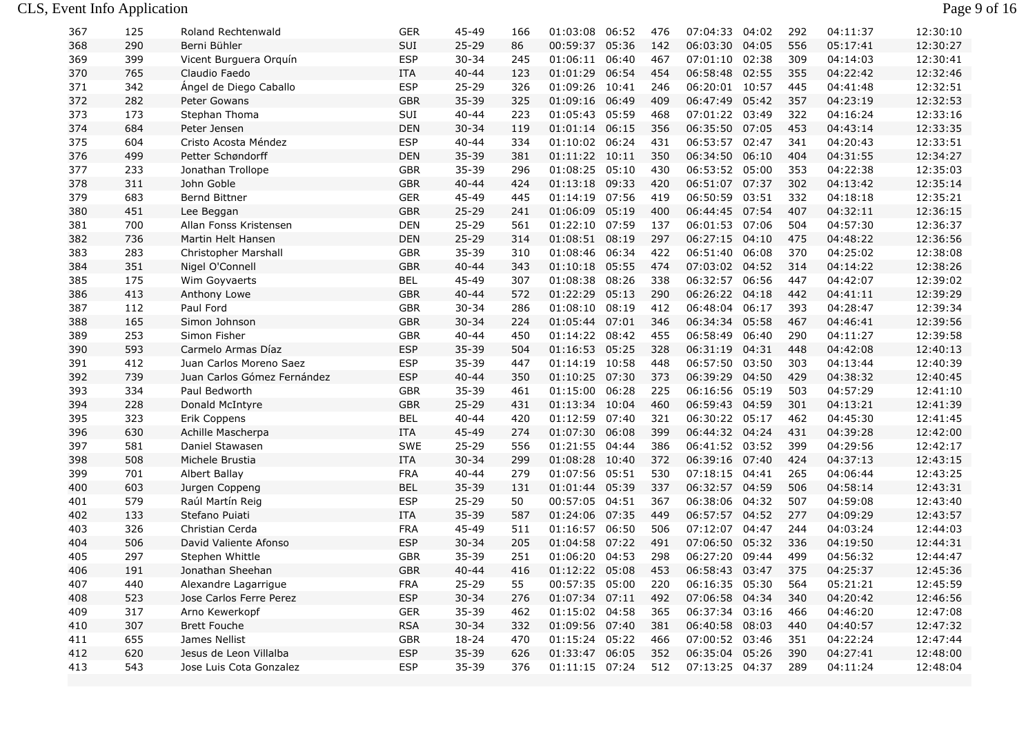| 367 | 125 | Roland Rechtenwald          | GER        | 45-49     | 166 | 01:03:08           | 06:52 | 476 | 07:04:33       | 04:02 | 292 | 04:11:37 | 12:30:10 |
|-----|-----|-----------------------------|------------|-----------|-----|--------------------|-------|-----|----------------|-------|-----|----------|----------|
| 368 | 290 | Berni Bühler                | SUI        | $25 - 29$ | 86  | 00:59:37 05:36     |       | 142 | 06:03:30 04:05 |       | 556 | 05:17:41 | 12:30:27 |
| 369 | 399 | Vicent Burguera Orguín      | <b>ESP</b> | $30 - 34$ | 245 | 01:06:11 06:40     |       | 467 | 07:01:10 02:38 |       | 309 | 04:14:03 | 12:30:41 |
| 370 | 765 | Claudio Faedo               | <b>ITA</b> | $40 - 44$ | 123 | 01:01:29           | 06:54 | 454 | 06:58:48 02:55 |       | 355 | 04:22:42 | 12:32:46 |
| 371 | 342 | Ángel de Diego Caballo      | <b>ESP</b> | $25 - 29$ | 326 | 01:09:26 10:41     |       | 246 | 06:20:01 10:57 |       | 445 | 04:41:48 | 12:32:51 |
| 372 | 282 | Peter Gowans                | <b>GBR</b> | 35-39     | 325 | 01:09:16 06:49     |       | 409 | 06:47:49 05:42 |       | 357 | 04:23:19 | 12:32:53 |
| 373 | 173 | Stephan Thoma               | SUI        | $40 - 44$ | 223 | 01:05:43 05:59     |       | 468 | 07:01:22 03:49 |       | 322 | 04:16:24 | 12:33:16 |
| 374 | 684 | Peter Jensen                | <b>DEN</b> | $30 - 34$ | 119 | 01:01:14 06:15     |       | 356 | 06:35:50 07:05 |       | 453 | 04:43:14 | 12:33:35 |
| 375 | 604 | Cristo Acosta Méndez        | <b>ESP</b> | $40 - 44$ | 334 | 01:10:02 06:24     |       | 431 | 06:53:57 02:47 |       | 341 | 04:20:43 | 12:33:51 |
| 376 | 499 | Petter Schøndorff           | <b>DEN</b> | $35 - 39$ | 381 | 01:11:22 10:11     |       | 350 | 06:34:50 06:10 |       | 404 | 04:31:55 | 12:34:27 |
| 377 | 233 | Jonathan Trollope           | <b>GBR</b> | 35-39     | 296 | 01:08:25 05:10     |       | 430 | 06:53:52 05:00 |       | 353 | 04:22:38 | 12:35:03 |
| 378 | 311 | John Goble                  | <b>GBR</b> | $40 - 44$ | 424 | 01:13:18 09:33     |       | 420 | 06:51:07 07:37 |       | 302 | 04:13:42 | 12:35:14 |
| 379 | 683 | <b>Bernd Bittner</b>        | <b>GER</b> | 45-49     | 445 | 01:14:19           | 07:56 | 419 | 06:50:59 03:51 |       | 332 | 04:18:18 | 12:35:21 |
| 380 | 451 | Lee Beggan                  | <b>GBR</b> | $25 - 29$ | 241 | 01:06:09 05:19     |       | 400 | 06:44:45 07:54 |       | 407 | 04:32:11 | 12:36:15 |
| 381 | 700 | Allan Fonss Kristensen      | <b>DEN</b> | $25 - 29$ | 561 | 01:22:10 07:59     |       | 137 | 06:01:53 07:06 |       | 504 | 04:57:30 | 12:36:37 |
| 382 | 736 | Martin Helt Hansen          | <b>DEN</b> | $25 - 29$ | 314 | 01:08:51 08:19     |       | 297 | 06:27:15 04:10 |       | 475 | 04:48:22 | 12:36:56 |
| 383 | 283 | Christopher Marshall        | <b>GBR</b> | 35-39     | 310 | 01:08:46 06:34     |       | 422 | 06:51:40 06:08 |       | 370 | 04:25:02 | 12:38:08 |
| 384 | 351 | Nigel O'Connell             | <b>GBR</b> | $40 - 44$ | 343 | 01:10:18 05:55     |       | 474 | 07:03:02 04:52 |       | 314 | 04:14:22 | 12:38:26 |
| 385 | 175 | Wim Goyvaerts               | <b>BEL</b> | 45-49     | 307 | 01:08:38           | 08:26 | 338 | 06:32:57 06:56 |       | 447 | 04:42:07 | 12:39:02 |
| 386 | 413 | Anthony Lowe                | <b>GBR</b> | $40 - 44$ | 572 | 01:22:29           | 05:13 | 290 | 06:26:22 04:18 |       | 442 | 04:41:11 | 12:39:29 |
| 387 | 112 | Paul Ford                   | <b>GBR</b> | $30 - 34$ | 286 | 01:08:10 08:19     |       | 412 | 06:48:04 06:17 |       | 393 | 04:28:47 | 12:39:34 |
| 388 | 165 | Simon Johnson               | <b>GBR</b> | $30 - 34$ | 224 | 01:05:44 07:01     |       | 346 | 06:34:34 05:58 |       | 467 | 04:46:41 | 12:39:56 |
| 389 | 253 | Simon Fisher                | <b>GBR</b> | $40 - 44$ | 450 | 01:14:22 08:42     |       | 455 | 06:58:49 06:40 |       | 290 | 04:11:27 | 12:39:58 |
| 390 | 593 | Carmelo Armas Díaz          | <b>ESP</b> | 35-39     | 504 | 01:16:53 05:25     |       | 328 | 06:31:19 04:31 |       | 448 | 04:42:08 | 12:40:13 |
| 391 | 412 | Juan Carlos Moreno Saez     | <b>ESP</b> | 35-39     | 447 | 01:14:19 10:58     |       | 448 | 06:57:50 03:50 |       | 303 | 04:13:44 | 12:40:39 |
| 392 | 739 | Juan Carlos Gómez Fernández | <b>ESP</b> | $40 - 44$ | 350 | 01:10:25 07:30     |       | 373 | 06:39:29 04:50 |       | 429 | 04:38:32 | 12:40:45 |
| 393 | 334 | Paul Bedworth               | <b>GBR</b> | $35 - 39$ | 461 | 01:15:00 06:28     |       | 225 | 06:16:56 05:19 |       | 503 | 04:57:29 | 12:41:10 |
| 394 | 228 | Donald McIntyre             | <b>GBR</b> | $25 - 29$ | 431 | 01:13:34           | 10:04 | 460 | 06:59:43 04:59 |       | 301 | 04:13:21 | 12:41:39 |
| 395 | 323 | Erik Coppens                | <b>BEL</b> | $40 - 44$ | 420 | 01:12:59 07:40     |       | 321 | 06:30:22 05:17 |       | 462 | 04:45:30 | 12:41:45 |
| 396 | 630 | Achille Mascherpa           | ITA        | 45-49     | 274 | 01:07:30 06:08     |       | 399 | 06:44:32 04:24 |       | 431 | 04:39:28 | 12:42:00 |
| 397 | 581 | Daniel Stawasen             | <b>SWE</b> | $25 - 29$ | 556 | 01:21:55 04:44     |       | 386 | 06:41:52 03:52 |       | 399 | 04:29:56 | 12:42:17 |
| 398 | 508 | Michele Brustia             | <b>ITA</b> | $30 - 34$ | 299 | 01:08:28 10:40     |       | 372 | 06:39:16 07:40 |       | 424 | 04:37:13 | 12:43:15 |
| 399 | 701 | Albert Ballay               | <b>FRA</b> | $40 - 44$ | 279 | 01:07:56           | 05:51 | 530 | 07:18:15 04:41 |       | 265 | 04:06:44 | 12:43:25 |
| 400 | 603 | Jurgen Coppeng              | <b>BEL</b> | 35-39     | 131 | 01:01:44 05:39     |       | 337 | 06:32:57 04:59 |       | 506 | 04:58:14 | 12:43:31 |
| 401 | 579 | Raúl Martín Reig            | <b>ESP</b> | $25 - 29$ | 50  | 00:57:05 04:51     |       | 367 | 06:38:06 04:32 |       | 507 | 04:59:08 | 12:43:40 |
| 402 | 133 | Stefano Puiati              | <b>ITA</b> | 35-39     | 587 | 01:24:06 07:35     |       | 449 | 06:57:57 04:52 |       | 277 | 04:09:29 | 12:43:57 |
| 403 | 326 | Christian Cerda             | <b>FRA</b> | 45-49     | 511 | 01:16:57 06:50     |       | 506 | 07:12:07 04:47 |       | 244 | 04:03:24 | 12:44:03 |
| 404 | 506 | David Valiente Afonso       | <b>ESP</b> | $30 - 34$ | 205 | 01:04:58 07:22     |       | 491 | 07:06:50 05:32 |       | 336 | 04:19:50 | 12:44:31 |
| 405 | 297 | Stephen Whittle             | <b>GBR</b> | 35-39     | 251 | 01:06:20 04:53     |       | 298 | 06:27:20 09:44 |       | 499 | 04:56:32 | 12:44:47 |
| 406 | 191 | Jonathan Sheehan            | <b>GBR</b> | $40 - 44$ | 416 | 01:12:22 05:08     |       | 453 | 06:58:43 03:47 |       | 375 | 04:25:37 | 12:45:36 |
| 407 | 440 | Alexandre Lagarrigue        | <b>FRA</b> | $25 - 29$ | 55  | 00:57:35 05:00     |       | 220 | 06:16:35 05:30 |       | 564 | 05:21:21 | 12:45:59 |
| 408 | 523 | Jose Carlos Ferre Perez     | <b>ESP</b> | $30 - 34$ | 276 | 01:07:34 07:11     |       | 492 | 07:06:58 04:34 |       | 340 | 04:20:42 | 12:46:56 |
| 409 | 317 | Arno Kewerkopf              | <b>GER</b> | 35-39     | 462 | 01:15:02 04:58     |       | 365 | 06:37:34       | 03:16 | 466 | 04:46:20 | 12:47:08 |
| 410 | 307 | <b>Brett Fouche</b>         | <b>RSA</b> | $30 - 34$ | 332 | 01:09:56 07:40     |       | 381 | 06:40:58 08:03 |       | 440 | 04:40:57 | 12:47:32 |
| 411 | 655 | James Nellist               | <b>GBR</b> | $18 - 24$ | 470 | 01:15:24 05:22     |       | 466 | 07:00:52 03:46 |       | 351 | 04:22:24 | 12:47:44 |
| 412 | 620 | Jesus de Leon Villalba      | <b>ESP</b> | $35 - 39$ | 626 | 01:33:47 06:05     |       | 352 | 06:35:04 05:26 |       | 390 | 04:27:41 | 12:48:00 |
| 413 | 543 | Jose Luis Cota Gonzalez     | <b>ESP</b> | $35 - 39$ | 376 | $01:11:15$ $07:24$ |       | 512 | 07:13:25 04:37 |       | 289 | 04:11:24 | 12:48:04 |

Page 9 of 16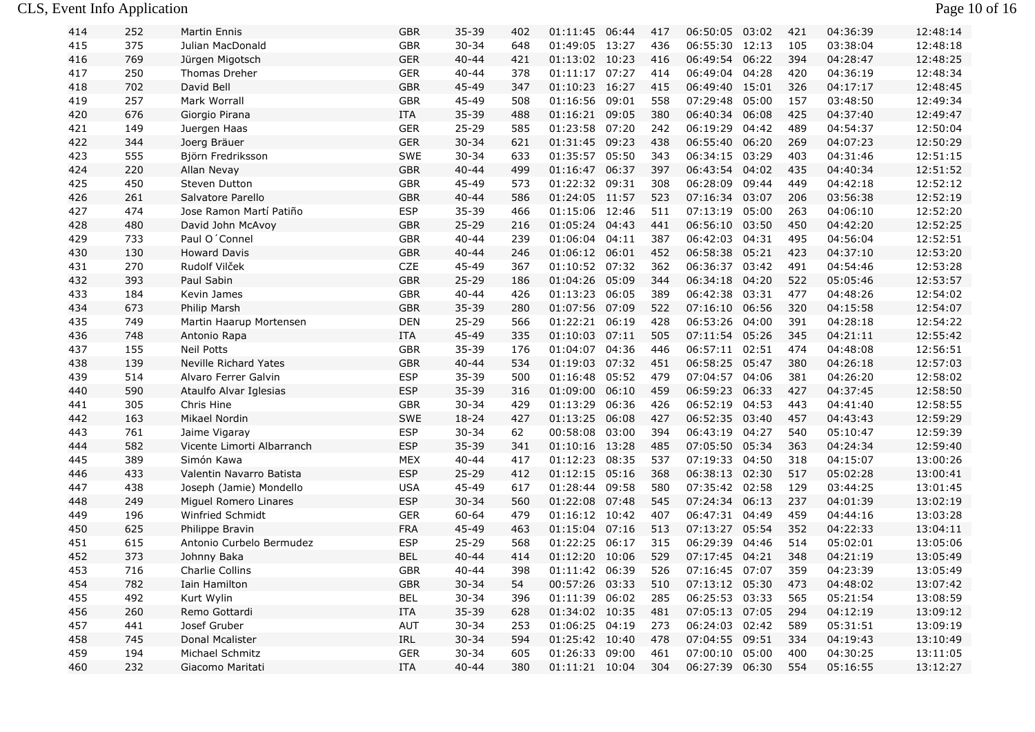## CLS, Event Info Application Page 10 of 16

| 414 | 252 | <b>Martin Ennis</b>        | <b>GBR</b> | $35 - 39$ | 402 | 01:11:45       | 06:44 | 417 | 06:50:05       | 03:02 | 421 | 04:36:39 | 12:48:14 |
|-----|-----|----------------------------|------------|-----------|-----|----------------|-------|-----|----------------|-------|-----|----------|----------|
| 415 | 375 | Julian MacDonald           | <b>GBR</b> | $30 - 34$ | 648 | 01:49:05       | 13:27 | 436 | 06:55:30 12:13 |       | 105 | 03:38:04 | 12:48:18 |
| 416 | 769 | Jürgen Migotsch            | <b>GER</b> | $40 - 44$ | 421 | 01:13:02 10:23 |       | 416 | 06:49:54       | 06:22 | 394 | 04:28:47 | 12:48:25 |
| 417 | 250 | Thomas Dreher              | <b>GER</b> | $40 - 44$ | 378 | 01:11:17 07:27 |       | 414 | 06:49:04 04:28 |       | 420 | 04:36:19 | 12:48:34 |
| 418 | 702 | David Bell                 | <b>GBR</b> | 45-49     | 347 | 01:10:23 16:27 |       | 415 | 06:49:40 15:01 |       | 326 | 04:17:17 | 12:48:45 |
| 419 | 257 | Mark Worrall               | <b>GBR</b> | 45-49     | 508 | 01:16:56       | 09:01 | 558 | 07:29:48 05:00 |       | 157 | 03:48:50 | 12:49:34 |
| 420 | 676 | Giorgio Pirana             | ITA        | $35 - 39$ | 488 | 01:16:21       | 09:05 | 380 | 06:40:34       | 06:08 | 425 | 04:37:40 | 12:49:47 |
| 421 | 149 | Juergen Haas               | <b>GER</b> | $25 - 29$ | 585 | 01:23:58       | 07:20 | 242 | 06:19:29 04:42 |       | 489 | 04:54:37 | 12:50:04 |
| 422 | 344 | Joerg Bräuer               | <b>GER</b> | $30 - 34$ | 621 | 01:31:45       | 09:23 | 438 | 06:55:40 06:20 |       | 269 | 04:07:23 | 12:50:29 |
| 423 | 555 | Björn Fredriksson          | SWE        | $30 - 34$ | 633 | 01:35:57       | 05:50 | 343 | 06:34:15 03:29 |       | 403 | 04:31:46 | 12:51:15 |
| 424 | 220 | Allan Nevay                | <b>GBR</b> | $40 - 44$ | 499 | 01:16:47       | 06:37 | 397 | 06:43:54 04:02 |       | 435 | 04:40:34 | 12:51:52 |
| 425 | 450 | Steven Dutton              | GBR        | 45-49     | 573 | 01:22:32       | 09:31 | 308 | 06:28:09 09:44 |       | 449 | 04:42:18 | 12:52:12 |
| 426 | 261 | Salvatore Parello          | <b>GBR</b> | $40 - 44$ | 586 | 01:24:05       | 11:57 | 523 | 07:16:34 03:07 |       | 206 | 03:56:38 | 12:52:19 |
| 427 | 474 | Jose Ramon Martí Patiño    | <b>ESP</b> | 35-39     | 466 | 01:15:06       | 12:46 | 511 | 07:13:19 05:00 |       | 263 | 04:06:10 | 12:52:20 |
| 428 | 480 | David John McAvoy          | <b>GBR</b> | $25 - 29$ | 216 | 01:05:24 04:43 |       | 441 | 06:56:10 03:50 |       | 450 | 04:42:20 | 12:52:25 |
| 429 | 733 | Paul O'Connel              | <b>GBR</b> | $40 - 44$ | 239 | 01:06:04       | 04:11 | 387 | 06:42:03 04:31 |       | 495 | 04:56:04 | 12:52:51 |
| 430 | 130 | <b>Howard Davis</b>        | <b>GBR</b> | $40 - 44$ | 246 | 01:06:12 06:01 |       | 452 | 06:58:38 05:21 |       | 423 | 04:37:10 | 12:53:20 |
| 431 | 270 | Rudolf Vilček              | CZE        | 45-49     | 367 | 01:10:52 07:32 |       | 362 | 06:36:37 03:42 |       | 491 | 04:54:46 | 12:53:28 |
| 432 | 393 | Paul Sabin                 | <b>GBR</b> | $25 - 29$ | 186 | 01:04:26       | 05:09 | 344 | 06:34:18 04:20 |       | 522 | 05:05:46 | 12:53:57 |
| 433 | 184 | Kevin James                | <b>GBR</b> | $40 - 44$ | 426 | 01:13:23       | 06:05 | 389 | 06:42:38 03:31 |       | 477 | 04:48:26 | 12:54:02 |
| 434 | 673 | Philip Marsh               | <b>GBR</b> | 35-39     | 280 | 01:07:56       | 07:09 | 522 | 07:16:10 06:56 |       | 320 | 04:15:58 | 12:54:07 |
| 435 | 749 | Martin Haarup Mortensen    | DEN        | $25 - 29$ | 566 | 01:22:21 06:19 |       | 428 | 06:53:26 04:00 |       | 391 | 04:28:18 | 12:54:22 |
| 436 | 748 | Antonio Rapa               | ITA        | 45-49     | 335 | 01:10:03       | 07:11 | 505 | 07:11:54 05:26 |       | 345 | 04:21:11 | 12:55:42 |
| 437 | 155 | <b>Neil Potts</b>          | <b>GBR</b> | 35-39     | 176 | 01:04:07       | 04:36 | 446 | 06:57:11 02:51 |       | 474 | 04:48:08 | 12:56:51 |
| 438 | 139 | Neville Richard Yates      | <b>GBR</b> | $40 - 44$ | 534 | 01:19:03       | 07:32 | 451 | 06:58:25 05:47 |       | 380 | 04:26:18 | 12:57:03 |
| 439 | 514 | Alvaro Ferrer Galvin       | <b>ESP</b> | 35-39     | 500 | 01:16:48       | 05:52 | 479 | 07:04:57       | 04:06 | 381 | 04:26:20 | 12:58:02 |
| 440 | 590 | Ataulfo Alvar Iglesias     | <b>ESP</b> | $35 - 39$ | 316 | 01:09:00       | 06:10 | 459 | 06:59:23 06:33 |       | 427 | 04:37:45 | 12:58:50 |
| 441 | 305 | Chris Hine                 | <b>GBR</b> | $30 - 34$ | 429 | 01:13:29       | 06:36 | 426 | 06:52:19 04:53 |       | 443 | 04:41:40 | 12:58:55 |
| 442 | 163 | Mikael Nordin              | SWE        | $18 - 24$ | 427 | 01:13:25       | 06:08 | 427 | 06:52:35 03:40 |       | 457 | 04:43:43 | 12:59:29 |
| 443 | 761 | Jaime Vigaray              | <b>ESP</b> | $30 - 34$ | 62  | 00:58:08       | 03:00 | 394 | 06:43:19 04:27 |       | 540 | 05:10:47 | 12:59:39 |
| 444 | 582 | Vicente Limorti Albarranch | <b>ESP</b> | 35-39     | 341 | 01:10:16       | 13:28 | 485 | 07:05:50 05:34 |       | 363 | 04:24:34 | 12:59:40 |
| 445 | 389 | Simón Kawa                 | <b>MEX</b> | $40 - 44$ | 417 | 01:12:23       | 08:35 | 537 | 07:19:33 04:50 |       | 318 | 04:15:07 | 13:00:26 |
| 446 | 433 | Valentin Navarro Batista   | <b>ESP</b> | $25 - 29$ | 412 | 01:12:15       | 05:16 | 368 | 06:38:13 02:30 |       | 517 | 05:02:28 | 13:00:41 |
| 447 | 438 | Joseph (Jamie) Mondello    | <b>USA</b> | 45-49     | 617 | 01:28:44       | 09:58 | 580 | 07:35:42 02:58 |       | 129 | 03:44:25 | 13:01:45 |
| 448 | 249 | Miguel Romero Linares      | <b>ESP</b> | $30 - 34$ | 560 | 01:22:08       | 07:48 | 545 | 07:24:34       | 06:13 | 237 | 04:01:39 | 13:02:19 |
| 449 | 196 | Winfried Schmidt           | <b>GER</b> | $60 - 64$ | 479 | 01:16:12       | 10:42 | 407 | 06:47:31 04:49 |       | 459 | 04:44:16 | 13:03:28 |
| 450 | 625 | Philippe Bravin            | <b>FRA</b> | 45-49     | 463 | 01:15:04 07:16 |       | 513 | 07:13:27 05:54 |       | 352 | 04:22:33 | 13:04:11 |
| 451 | 615 | Antonio Curbelo Bermudez   | <b>ESP</b> | $25 - 29$ | 568 | 01:22:25       | 06:17 | 315 | 06:29:39 04:46 |       | 514 | 05:02:01 | 13:05:06 |
| 452 | 373 | Johnny Baka                | <b>BEL</b> | $40 - 44$ | 414 | 01:12:20       | 10:06 | 529 | 07:17:45 04:21 |       | 348 | 04:21:19 | 13:05:49 |
| 453 | 716 | Charlie Collins            | <b>GBR</b> | $40 - 44$ | 398 | 01:11:42 06:39 |       | 526 | 07:16:45 07:07 |       | 359 | 04:23:39 | 13:05:49 |
| 454 | 782 | Iain Hamilton              | GBR        | $30 - 34$ | 54  | 00:57:26 03:33 |       | 510 | 07:13:12 05:30 |       | 473 | 04:48:02 | 13:07:42 |
| 455 | 492 | Kurt Wylin                 | <b>BEL</b> | $30 - 34$ | 396 | 01:11:39       | 06:02 | 285 | 06:25:53 03:33 |       | 565 | 05:21:54 | 13:08:59 |
| 456 | 260 | Remo Gottardi              | ITA        | 35-39     | 628 | 01:34:02 10:35 |       | 481 | 07:05:13 07:05 |       | 294 | 04:12:19 | 13:09:12 |
| 457 | 441 | Josef Gruber               | AUT        | $30 - 34$ | 253 | 01:06:25 04:19 |       | 273 | 06:24:03 02:42 |       | 589 | 05:31:51 | 13:09:19 |
| 458 | 745 | Donal Mcalister            | IRL        | $30 - 34$ | 594 | 01:25:42 10:40 |       | 478 | 07:04:55 09:51 |       | 334 | 04:19:43 | 13:10:49 |
| 459 | 194 | Michael Schmitz            | GER        | $30 - 34$ | 605 | 01:26:33 09:00 |       | 461 | 07:00:10 05:00 |       | 400 | 04:30:25 | 13:11:05 |
| 460 | 232 | Giacomo Maritati           | ITA        | $40 - 44$ | 380 | 01:11:21 10:04 |       | 304 | 06:27:39 06:30 |       | 554 | 05:16:55 | 13:12:27 |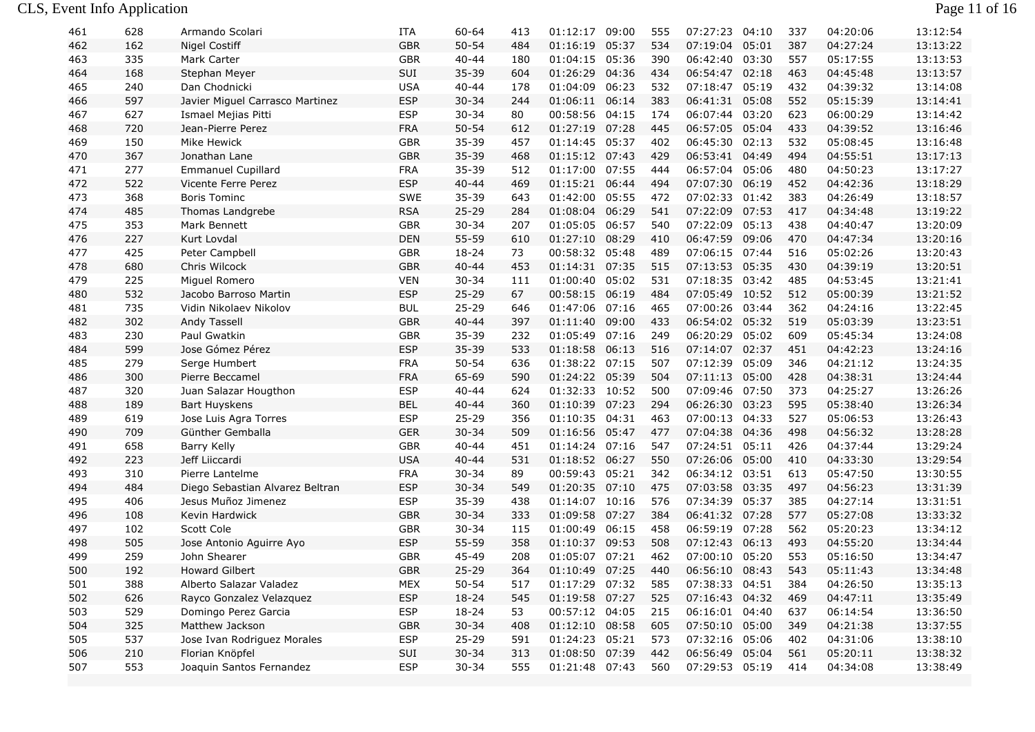| 461 | 628 | Armando Scolari                 | ITA        | $60 - 64$ | 413 | 01:12:17       | 09:00 | 555 | 07:27:23       | 04:10 | 337 | 04:20:06 | 13:12:54 |
|-----|-----|---------------------------------|------------|-----------|-----|----------------|-------|-----|----------------|-------|-----|----------|----------|
| 462 | 162 | <b>Nigel Costiff</b>            | <b>GBR</b> | $50 - 54$ | 484 | 01:16:19       | 05:37 | 534 | 07:19:04       | 05:01 | 387 | 04:27:24 | 13:13:22 |
| 463 | 335 | Mark Carter                     | GBR        | $40 - 44$ | 180 | 01:04:15       | 05:36 | 390 | 06:42:40       | 03:30 | 557 | 05:17:55 | 13:13:53 |
| 464 | 168 | Stephan Meyer                   | SUI        | 35-39     | 604 | 01:26:29       | 04:36 | 434 | 06:54:47       | 02:18 | 463 | 04:45:48 | 13:13:57 |
| 465 | 240 | Dan Chodnicki                   | <b>USA</b> | $40 - 44$ | 178 | 01:04:09       | 06:23 | 532 | 07:18:47       | 05:19 | 432 | 04:39:32 | 13:14:08 |
| 466 | 597 | Javier Miguel Carrasco Martinez | <b>ESP</b> | $30 - 34$ | 244 | 01:06:11       | 06:14 | 383 | 06:41:31 05:08 |       | 552 | 05:15:39 | 13:14:41 |
| 467 | 627 | Ismael Mejias Pitti             | <b>ESP</b> | $30 - 34$ | 80  | 00:58:56 04:15 |       | 174 | 06:07:44 03:20 |       | 623 | 06:00:29 | 13:14:42 |
| 468 | 720 | Jean-Pierre Perez               | <b>FRA</b> | $50 - 54$ | 612 | 01:27:19 07:28 |       | 445 | 06:57:05 05:04 |       | 433 | 04:39:52 | 13:16:46 |
| 469 | 150 | Mike Hewick                     | <b>GBR</b> | 35-39     | 457 | 01:14:45       | 05:37 | 402 | 06:45:30       | 02:13 | 532 | 05:08:45 | 13:16:48 |
| 470 | 367 | Jonathan Lane                   | <b>GBR</b> | 35-39     | 468 | 01:15:12 07:43 |       | 429 | 06:53:41       | 04:49 | 494 | 04:55:51 | 13:17:13 |
| 471 | 277 | <b>Emmanuel Cupillard</b>       | <b>FRA</b> | 35-39     | 512 | 01:17:00 07:55 |       | 444 | 06:57:04       | 05:06 | 480 | 04:50:23 | 13:17:27 |
| 472 | 522 | Vicente Ferre Perez             | <b>ESP</b> | $40 - 44$ | 469 | 01:15:21 06:44 |       | 494 | 07:07:30       | 06:19 | 452 | 04:42:36 | 13:18:29 |
| 473 | 368 | <b>Boris Tominc</b>             | SWE        | 35-39     | 643 | 01:42:00       | 05:55 | 472 | 07:02:33       | 01:42 | 383 | 04:26:49 | 13:18:57 |
| 474 | 485 | Thomas Landgrebe                | <b>RSA</b> | $25 - 29$ | 284 | 01:08:04 06:29 |       | 541 | 07:22:09 07:53 |       | 417 | 04:34:48 | 13:19:22 |
| 475 | 353 | Mark Bennett                    | GBR        | $30 - 34$ | 207 | 01:05:05 06:57 |       | 540 | 07:22:09 05:13 |       | 438 | 04:40:47 | 13:20:09 |
| 476 | 227 | Kurt Lovdal                     | <b>DEN</b> | 55-59     | 610 | 01:27:10 08:29 |       | 410 | 06:47:59       | 09:06 | 470 | 04:47:34 | 13:20:16 |
| 477 | 425 | Peter Campbell                  | GBR        | 18-24     | 73  | 00:58:32       | 05:48 | 489 | 07:06:15 07:44 |       | 516 | 05:02:26 | 13:20:43 |
| 478 | 680 | Chris Wilcock                   | <b>GBR</b> | $40 - 44$ | 453 | 01:14:31 07:35 |       | 515 | 07:13:53 05:35 |       | 430 | 04:39:19 | 13:20:51 |
| 479 | 225 | Miguel Romero                   | <b>VEN</b> | $30 - 34$ | 111 | 01:00:40       | 05:02 | 531 | 07:18:35 03:42 |       | 485 | 04:53:45 | 13:21:41 |
| 480 | 532 | Jacobo Barroso Martin           | <b>ESP</b> | $25 - 29$ | 67  | 00:58:15       | 06:19 | 484 | 07:05:49       | 10:52 | 512 | 05:00:39 | 13:21:52 |
| 481 | 735 | Vidin Nikolaev Nikolov          | <b>BUL</b> | $25 - 29$ | 646 | 01:47:06       | 07:16 | 465 | 07:00:26       | 03:44 | 362 | 04:24:16 | 13:22:45 |
| 482 | 302 | Andy Tassell                    | <b>GBR</b> | $40 - 44$ | 397 | 01:11:40 09:00 |       | 433 | 06:54:02 05:32 |       | 519 | 05:03:39 | 13:23:51 |
| 483 | 230 | Paul Gwatkin                    | <b>GBR</b> | 35-39     | 232 | 01:05:49       | 07:16 | 249 | 06:20:29 05:02 |       | 609 | 05:45:34 | 13:24:08 |
| 484 | 599 | Jose Gómez Pérez                | <b>ESP</b> | 35-39     | 533 | 01:18:58       | 06:13 | 516 | 07:14:07       | 02:37 | 451 | 04:42:23 | 13:24:16 |
| 485 | 279 | Serge Humbert                   | <b>FRA</b> | $50 - 54$ | 636 | 01:38:22 07:15 |       | 507 | 07:12:39       | 05:09 | 346 | 04:21:12 | 13:24:35 |
| 486 | 300 | Pierre Beccamel                 | <b>FRA</b> | 65-69     | 590 | 01:24:22 05:39 |       | 504 | 07:11:13 05:00 |       | 428 | 04:38:31 | 13:24:44 |
| 487 | 320 | Juan Salazar Hougthon           | <b>ESP</b> | $40 - 44$ | 624 | 01:32:33 10:52 |       | 500 | 07:09:46 07:50 |       | 373 | 04:25:27 | 13:26:26 |
| 488 | 189 | <b>Bart Huyskens</b>            | <b>BEL</b> | $40 - 44$ | 360 | 01:10:39       | 07:23 | 294 | 06:26:30 03:23 |       | 595 | 05:38:40 | 13:26:34 |
| 489 | 619 | Jose Luis Agra Torres           | <b>ESP</b> | $25 - 29$ | 356 | 01:10:35       | 04:31 | 463 | 07:00:13       | 04:33 | 527 | 05:06:53 | 13:26:43 |
| 490 | 709 | Günther Gemballa                | <b>GER</b> | $30 - 34$ | 509 | 01:16:56 05:47 |       | 477 | 07:04:38 04:36 |       | 498 | 04:56:32 | 13:28:28 |
| 491 | 658 | Barry Kelly                     | GBR        | $40 - 44$ | 451 | 01:14:24 07:16 |       | 547 | 07:24:51 05:11 |       | 426 | 04:37:44 | 13:29:24 |
| 492 | 223 | Jeff Liiccardi                  | <b>USA</b> | $40 - 44$ | 531 | 01:18:52 06:27 |       | 550 | 07:26:06 05:00 |       | 410 | 04:33:30 | 13:29:54 |
| 493 | 310 | Pierre Lantelme                 | <b>FRA</b> | $30 - 34$ | 89  | 00:59:43       | 05:21 | 342 | 06:34:12 03:51 |       | 613 | 05:47:50 | 13:30:55 |
| 494 | 484 | Diego Sebastian Alvarez Beltran | <b>ESP</b> | $30 - 34$ | 549 | 01:20:35       | 07:10 | 475 | 07:03:58 03:35 |       | 497 | 04:56:23 | 13:31:39 |
| 495 | 406 | Jesus Muñoz Jimenez             | <b>ESP</b> | 35-39     | 438 | 01:14:07       | 10:16 | 576 | 07:34:39       | 05:37 | 385 | 04:27:14 | 13:31:51 |
| 496 | 108 | Kevin Hardwick                  | <b>GBR</b> | $30 - 34$ | 333 | 01:09:58       | 07:27 | 384 | 06:41:32 07:28 |       | 577 | 05:27:08 | 13:33:32 |
| 497 | 102 | Scott Cole                      | <b>GBR</b> | $30 - 34$ | 115 | 01:00:49       | 06:15 | 458 | 06:59:19       | 07:28 | 562 | 05:20:23 | 13:34:12 |
| 498 | 505 | Jose Antonio Aguirre Ayo        | <b>ESP</b> | 55-59     | 358 | 01:10:37 09:53 |       | 508 | 07:12:43 06:13 |       | 493 | 04:55:20 | 13:34:44 |
| 499 | 259 | John Shearer                    | GBR        | 45-49     | 208 | 01:05:07 07:21 |       | 462 | 07:00:10 05:20 |       | 553 | 05:16:50 | 13:34:47 |
| 500 | 192 | Howard Gilbert                  | <b>GBR</b> | $25 - 29$ | 364 | 01:10:49 07:25 |       | 440 | 06:56:10       | 08:43 | 543 | 05:11:43 | 13:34:48 |
| 501 | 388 | Alberto Salazar Valadez         | MEX        | $50 - 54$ | 517 | 01:17:29 07:32 |       | 585 | 07:38:33 04:51 |       | 384 | 04:26:50 | 13:35:13 |
| 502 | 626 | Rayco Gonzalez Velazquez        | <b>ESP</b> | 18-24     | 545 | 01:19:58 07:27 |       | 525 | 07:16:43 04:32 |       | 469 | 04:47:11 | 13:35:49 |
| 503 | 529 | Domingo Perez Garcia            | <b>ESP</b> | 18-24     | 53  | 00:57:12 04:05 |       | 215 | 06:16:01 04:40 |       | 637 | 06:14:54 | 13:36:50 |
| 504 | 325 | Matthew Jackson                 | <b>GBR</b> | $30 - 34$ | 408 | 01:12:10 08:58 |       | 605 | 07:50:10 05:00 |       | 349 | 04:21:38 | 13:37:55 |
| 505 | 537 | Jose Ivan Rodriguez Morales     | <b>ESP</b> | $25 - 29$ | 591 | 01:24:23 05:21 |       | 573 | 07:32:16 05:06 |       | 402 | 04:31:06 | 13:38:10 |
| 506 | 210 | Florian Knöpfel                 | SUI        | $30 - 34$ | 313 | 01:08:50 07:39 |       | 442 | 06:56:49 05:04 |       | 561 | 05:20:11 | 13:38:32 |
| 507 | 553 | Joaquin Santos Fernandez        | <b>ESP</b> | $30 - 34$ | 555 | 01:21:48 07:43 |       | 560 | 07:29:53 05:19 |       | 414 | 04:34:08 | 13:38:49 |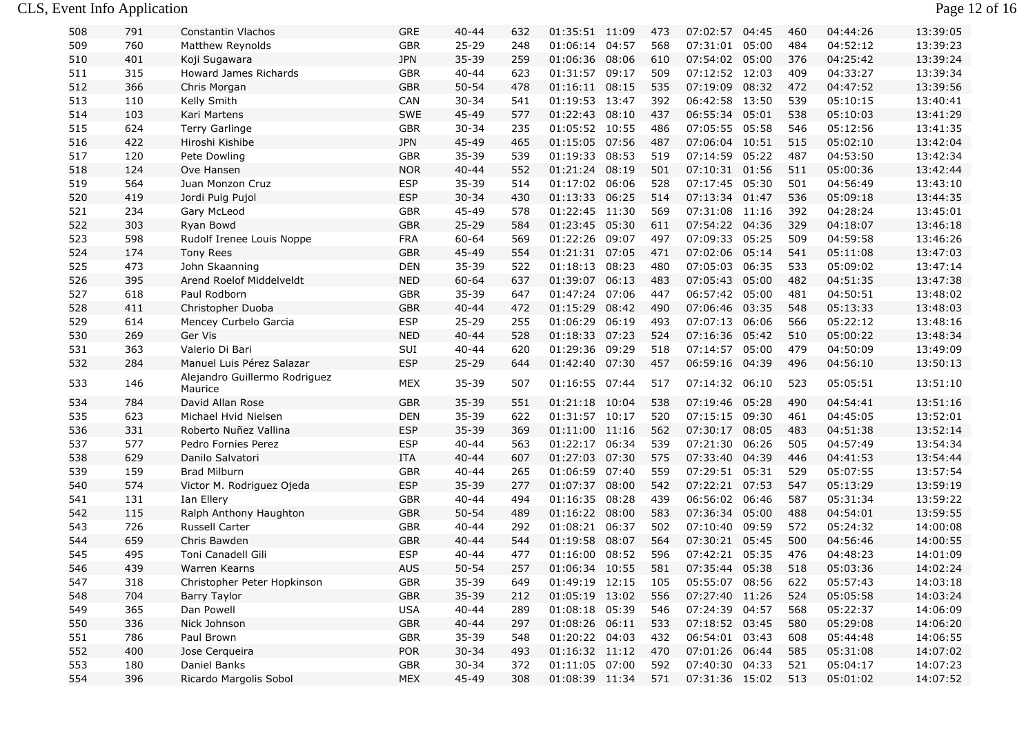## CLS, Event Info Application Page 12 of 16

| 13:39:23<br>760<br><b>GBR</b><br>$25 - 29$<br>01:06:14<br>04:57<br>07:31:01<br>05:00<br>484<br>04:52:12<br>509<br>Matthew Reynolds<br>248<br>568<br>510<br>401<br><b>JPN</b><br>35-39<br>259<br>01:06:36<br>08:06<br>07:54:02 05:00<br>376<br>04:25:42<br>13:39:24<br>Koji Sugawara<br>610<br><b>GBR</b><br>09:17<br>509<br>07:12:52 12:03<br>409<br>13:39:34<br>511<br>315<br>Howard James Richards<br>$40 - 44$<br>623<br>01:31:57<br>04:33:27<br>512<br>366<br><b>GBR</b><br>$50 - 54$<br>478<br>01:16:11 08:15<br>535<br>07:19:09 08:32<br>472<br>04:47:52<br>13:39:56<br>Chris Morgan<br>513<br>Kelly Smith<br>541<br>01:19:53<br>06:42:58 13:50<br>539<br>05:10:15<br>13:40:41<br>110<br>CAN<br>$30 - 34$<br>13:47<br>392<br>514<br>103<br>SWE<br>45-49<br>577<br>01:22:43<br>08:10<br>437<br>06:55:34 05:01<br>538<br>05:10:03<br>13:41:29<br>Kari Martens<br>515<br>624<br><b>Terry Garlinge</b><br><b>GBR</b><br>235<br>01:05:52 10:55<br>07:05:55 05:58<br>546<br>13:41:35<br>$30 - 34$<br>486<br>05:12:56<br>516<br>422<br>Hiroshi Kishibe<br><b>JPN</b><br>45-49<br>465<br>01:15:05<br>07:56<br>07:06:04 10:51<br>515<br>05:02:10<br>13:42:04<br>487<br>517<br><b>GBR</b><br>35-39<br>539<br>01:19:33<br>08:53<br>07:14:59<br>05:22<br>487<br>04:53:50<br>13:42:34<br>120<br>Pete Dowling<br>519<br><b>NOR</b><br>518<br>552<br>01:21:24<br>08:19<br>501<br>07:10:31 01:56<br>511<br>05:00:36<br>13:42:44<br>124<br>Ove Hansen<br>$40 - 44$<br>519<br>564<br><b>ESP</b><br>$35 - 39$<br>01:17:02<br>528<br>07:17:45 05:30<br>501<br>04:56:49<br>13:43:10<br>Juan Monzon Cruz<br>514<br>06:06<br>520<br>419<br><b>ESP</b><br>$30 - 34$<br>01:13:33<br>06:25<br>514<br>07:13:34 01:47<br>536<br>05:09:18<br>13:44:35<br>Jordi Puig Pujol<br>430<br>521<br>234<br>GBR<br>45-49<br>578<br>01:22:45 11:30<br>569<br>07:31:08 11:16<br>392<br>04:28:24<br>13:45:01<br>Gary McLeod<br>522<br>Ryan Bowd<br><b>GBR</b><br>$25 - 29$<br>584<br>01:23:45 05:30<br>07:54:22 04:36<br>329<br>13:46:18<br>303<br>611<br>04:18:07<br>523<br>598<br><b>FRA</b><br>60-64<br>569<br>01:22:26<br>07:09:33 05:25<br>509<br>04:59:58<br>13:46:26<br>Rudolf Irenee Louis Noppe<br>09:07<br>497<br>524<br>174<br><b>GBR</b><br>45-49<br>554<br>01:21:31 07:05<br>07:02:06 05:14<br>541<br>05:11:08<br>13:47:03<br><b>Tony Rees</b><br>471<br>525<br>473<br>John Skaanning<br><b>DEN</b><br>35-39<br>522<br>01:18:13<br>08:23<br>480<br>07:05:03 06:35<br>533<br>05:09:02<br>13:47:14<br>526<br>395<br><b>NED</b><br>$60 - 64$<br>637<br>01:39:07<br>06:13<br>483<br>07:05:43 05:00<br>482<br>04:51:35<br>13:47:38<br>Arend Roelof Middelveldt<br>527<br>35-39<br>01:47:24<br>07:06<br>06:57:42 05:00<br>04:50:51<br>13:48:02<br>618<br>Paul Rodborn<br><b>GBR</b><br>647<br>447<br>481<br>528<br><b>GBR</b><br>$40 - 44$<br>08:42<br>548<br>05:13:33<br>13:48:03<br>411<br>472<br>01:15:29<br>490<br>07:06:46 03:35<br>Christopher Duoba<br>$25 - 29$<br>06:19<br>07:07:13 06:06<br>566<br>529<br>614<br>Mencey Curbelo Garcia<br><b>ESP</b><br>255<br>01:06:29<br>493<br>05:22:12<br>13:48:16<br>530<br>269<br>Ger Vis<br><b>NED</b><br>$40 - 44$<br>528<br>01:18:33<br>07:23<br>07:16:36<br>05:42<br>510<br>05:00:22<br>13:48:34<br>524<br>363<br>SUI<br>620<br>01:29:36<br>07:14:57<br>05:00<br>479<br>04:50:09<br>13:49:09<br>531<br>Valerio Di Bari<br>$40 - 44$<br>09:29<br>518<br><b>ESP</b><br>532<br>284<br>$25 - 29$<br>01:42:40 07:30<br>06:59:16 04:39<br>496<br>04:56:10<br>13:50:13<br>Manuel Luis Pérez Salazar<br>644<br>457<br>Alejandro Guillermo Rodriguez<br>146<br>MEX<br>01:16:55 07:44<br>07:14:32 06:10<br>523<br>05:05:51<br>13:51:10<br>533<br>35-39<br>507<br>517<br>Maurice<br><b>GBR</b><br>35-39<br>551<br>01:21:18 10:04<br>07:19:46 05:28<br>490<br>04:54:41<br>13:51:16<br>534<br>784<br>David Allan Rose<br>538<br>535<br>623<br>DEN<br>35-39<br>622<br>01:31:57 10:17<br>520<br>07:15:15 09:30<br>461<br>04:45:05<br>13:52:01<br>Michael Hvid Nielsen<br>536<br>331<br><b>ESP</b><br>35-39<br>369<br>$01:11:00$ 11:16<br>562<br>07:30:17 08:05<br>483<br>04:51:38<br>13:52:14<br>Roberto Nuñez Vallina<br><b>ESP</b><br>13:54:34<br>537<br>577<br>$40 - 44$<br>563<br>01:22:17<br>06:34<br>539<br>07:21:30<br>06:26<br>505<br>04:57:49<br>Pedro Fornies Perez<br>13:54:44<br>538<br>629<br><b>ITA</b><br>$40 - 44$<br>607<br>01:27:03<br>07:30<br>575<br>07:33:40<br>04:39<br>446<br>04:41:53<br>Danilo Salvatori<br>539<br>159<br><b>Brad Milburn</b><br><b>GBR</b><br>01:06:59<br>07:40<br>559<br>07:29:51 05:31<br>529<br>05:07:55<br>13:57:54<br>$40 - 44$<br>265<br>540<br>574<br><b>ESP</b><br>35-39<br>277<br>01:07:37<br>08:00<br>542<br>07:22:21 07:53<br>547<br>05:13:29<br>13:59:19<br>Victor M. Rodriguez Ojeda<br>08:28<br>06:56:02 06:46<br>587<br>13:59:22<br>541<br>131<br>Ian Ellery<br>GBR<br>$40 - 44$<br>494<br>01:16:35<br>439<br>05:31:34<br>542<br><b>GBR</b><br>$50 - 54$<br>489<br>583<br>07:36:34 05:00<br>488<br>04:54:01<br>13:59:55<br>115<br>Ralph Anthony Haughton<br>01:16:22<br>08:00<br>726<br>Russell Carter<br><b>GBR</b><br>01:08:21<br>07:10:40<br>572<br>543<br>$40 - 44$<br>292<br>06:37<br>502<br>09:59<br>05:24:32<br>14:00:08<br>544<br>659<br>Chris Bawden<br><b>GBR</b><br>$40 - 44$<br>544<br>01:19:58<br>08:07<br>07:30:21 05:45<br>500<br>04:56:46<br>14:00:55<br>564<br>545<br>495<br><b>ESP</b><br>$40 - 44$<br>477<br>08:52<br>07:42:21<br>476<br>Toni Canadell Gili<br>01:16:00<br>596<br>05:35<br>04:48:23<br>14:01:09<br>546<br>439<br><b>AUS</b><br>$50 - 54$<br>257<br>01:06:34 10:55<br>581<br>07:35:44 05:38<br>518<br>05:03:36<br>14:02:24<br>Warren Kearns<br>35-39<br>01:49:19 12:15<br>05:55:07 08:56<br>14:03:18<br>547<br>318<br>Christopher Peter Hopkinson<br>GBR<br>05:57:43<br>649<br>105<br>622<br>35-39<br>05:05:58<br>14:03:24<br>548<br>704<br><b>GBR</b><br>212<br>01:05:19 13:02<br>556<br>07:27:40 11:26<br>524<br><b>Barry Taylor</b><br>549<br>365<br>Dan Powell<br><b>USA</b><br>$40 - 44$<br>289<br>01:08:18 05:39<br>546<br>07:24:39 04:57<br>568<br>05:22:37<br>14:06:09<br>01:08:26 06:11<br>07:18:52 03:45<br>14:06:20<br>550<br>336<br>Nick Johnson<br>GBR<br>$40 - 44$<br>297<br>533<br>580<br>05:29:08<br>01:20:22 04:03<br>06:54:01 03:43<br>551<br>786<br>Paul Brown<br>GBR<br>35-39<br>548<br>432<br>608<br>05:44:48<br>14:06:55<br>552<br>400<br>Jose Cerqueira<br>POR<br>$30 - 34$<br>493<br>01:16:32 11:12<br>07:01:26 06:44<br>585<br>05:31:08<br>14:07:02<br>470<br>14:07:23<br>553<br>180<br>Daniel Banks<br>GBR<br>$30 - 34$<br>372<br>01:11:05 07:00<br>07:40:30 04:33<br>521<br>05:04:17<br>592<br>554<br>396<br>45-49<br>01:08:39 11:34<br>513<br>14:07:52<br>Ricardo Margolis Sobol<br>MEX<br>308<br>571<br>07:31:36 15:02<br>05:01:02 | 508 | 791 | Constantin Vlachos | <b>GRE</b> | $40 - 44$ | 632 | 01:35:51 11:09 | 473 | 07:02:57 | 04:45 | 460 | 04:44:26 | 13:39:05 |
|--------------------------------------------------------------------------------------------------------------------------------------------------------------------------------------------------------------------------------------------------------------------------------------------------------------------------------------------------------------------------------------------------------------------------------------------------------------------------------------------------------------------------------------------------------------------------------------------------------------------------------------------------------------------------------------------------------------------------------------------------------------------------------------------------------------------------------------------------------------------------------------------------------------------------------------------------------------------------------------------------------------------------------------------------------------------------------------------------------------------------------------------------------------------------------------------------------------------------------------------------------------------------------------------------------------------------------------------------------------------------------------------------------------------------------------------------------------------------------------------------------------------------------------------------------------------------------------------------------------------------------------------------------------------------------------------------------------------------------------------------------------------------------------------------------------------------------------------------------------------------------------------------------------------------------------------------------------------------------------------------------------------------------------------------------------------------------------------------------------------------------------------------------------------------------------------------------------------------------------------------------------------------------------------------------------------------------------------------------------------------------------------------------------------------------------------------------------------------------------------------------------------------------------------------------------------------------------------------------------------------------------------------------------------------------------------------------------------------------------------------------------------------------------------------------------------------------------------------------------------------------------------------------------------------------------------------------------------------------------------------------------------------------------------------------------------------------------------------------------------------------------------------------------------------------------------------------------------------------------------------------------------------------------------------------------------------------------------------------------------------------------------------------------------------------------------------------------------------------------------------------------------------------------------------------------------------------------------------------------------------------------------------------------------------------------------------------------------------------------------------------------------------------------------------------------------------------------------------------------------------------------------------------------------------------------------------------------------------------------------------------------------------------------------------------------------------------------------------------------------------------------------------------------------------------------------------------------------------------------------------------------------------------------------------------------------------------------------------------------------------------------------------------------------------------------------------------------------------------------------------------------------------------------------------------------------------------------------------------------------------------------------------------------------------------------------------------------------------------------------------------------------------------------------------------------------------------------------------------------------------------------------------------------------------------------------------------------------------------------------------------------------------------------------------------------------------------------------------------------------------------------------------------------------------------------------------------------------------------------------------------------------------------------------------------------------------------------------------------------------------------------------------------------------------------------------------------------------------------------------------------------------------------------------------------------------------------------------------------------------------------------------------------------------------------------------------------------------------------------------------------------------------------------------------------------------------------------------------------------------------------------------------------------------------------------------------------------------------------------------------------------------------------------------------------------------------------------------------------------------------------------------------------------------------------------------------------------------------------------------------------------------------------------------------------------------------------------------------------------------------------------------------------------------------------------------------------------------------------------------------------------------------------------------------------------------------------------------------------------------------------------------------------------------------------------------------------------------------------------------------------------------|-----|-----|--------------------|------------|-----------|-----|----------------|-----|----------|-------|-----|----------|----------|
|                                                                                                                                                                                                                                                                                                                                                                                                                                                                                                                                                                                                                                                                                                                                                                                                                                                                                                                                                                                                                                                                                                                                                                                                                                                                                                                                                                                                                                                                                                                                                                                                                                                                                                                                                                                                                                                                                                                                                                                                                                                                                                                                                                                                                                                                                                                                                                                                                                                                                                                                                                                                                                                                                                                                                                                                                                                                                                                                                                                                                                                                                                                                                                                                                                                                                                                                                                                                                                                                                                                                                                                                                                                                                                                                                                                                                                                                                                                                                                                                                                                                                                                                                                                                                                                                                                                                                                                                                                                                                                                                                                                                                                                                                                                                                                                                                                                                                                                                                                                                                                                                                                                                                                                                                                                                                                                                                                                                                                                                                                                                                                                                                                                                                                                                                                                                                                                                                                                                                                                                                                                                                                                                                                                                                                                                                                                                                                                                                                                                                                                                                                                                                                                                                                                                                                    |     |     |                    |            |           |     |                |     |          |       |     |          |          |
|                                                                                                                                                                                                                                                                                                                                                                                                                                                                                                                                                                                                                                                                                                                                                                                                                                                                                                                                                                                                                                                                                                                                                                                                                                                                                                                                                                                                                                                                                                                                                                                                                                                                                                                                                                                                                                                                                                                                                                                                                                                                                                                                                                                                                                                                                                                                                                                                                                                                                                                                                                                                                                                                                                                                                                                                                                                                                                                                                                                                                                                                                                                                                                                                                                                                                                                                                                                                                                                                                                                                                                                                                                                                                                                                                                                                                                                                                                                                                                                                                                                                                                                                                                                                                                                                                                                                                                                                                                                                                                                                                                                                                                                                                                                                                                                                                                                                                                                                                                                                                                                                                                                                                                                                                                                                                                                                                                                                                                                                                                                                                                                                                                                                                                                                                                                                                                                                                                                                                                                                                                                                                                                                                                                                                                                                                                                                                                                                                                                                                                                                                                                                                                                                                                                                                                    |     |     |                    |            |           |     |                |     |          |       |     |          |          |
|                                                                                                                                                                                                                                                                                                                                                                                                                                                                                                                                                                                                                                                                                                                                                                                                                                                                                                                                                                                                                                                                                                                                                                                                                                                                                                                                                                                                                                                                                                                                                                                                                                                                                                                                                                                                                                                                                                                                                                                                                                                                                                                                                                                                                                                                                                                                                                                                                                                                                                                                                                                                                                                                                                                                                                                                                                                                                                                                                                                                                                                                                                                                                                                                                                                                                                                                                                                                                                                                                                                                                                                                                                                                                                                                                                                                                                                                                                                                                                                                                                                                                                                                                                                                                                                                                                                                                                                                                                                                                                                                                                                                                                                                                                                                                                                                                                                                                                                                                                                                                                                                                                                                                                                                                                                                                                                                                                                                                                                                                                                                                                                                                                                                                                                                                                                                                                                                                                                                                                                                                                                                                                                                                                                                                                                                                                                                                                                                                                                                                                                                                                                                                                                                                                                                                                    |     |     |                    |            |           |     |                |     |          |       |     |          |          |
|                                                                                                                                                                                                                                                                                                                                                                                                                                                                                                                                                                                                                                                                                                                                                                                                                                                                                                                                                                                                                                                                                                                                                                                                                                                                                                                                                                                                                                                                                                                                                                                                                                                                                                                                                                                                                                                                                                                                                                                                                                                                                                                                                                                                                                                                                                                                                                                                                                                                                                                                                                                                                                                                                                                                                                                                                                                                                                                                                                                                                                                                                                                                                                                                                                                                                                                                                                                                                                                                                                                                                                                                                                                                                                                                                                                                                                                                                                                                                                                                                                                                                                                                                                                                                                                                                                                                                                                                                                                                                                                                                                                                                                                                                                                                                                                                                                                                                                                                                                                                                                                                                                                                                                                                                                                                                                                                                                                                                                                                                                                                                                                                                                                                                                                                                                                                                                                                                                                                                                                                                                                                                                                                                                                                                                                                                                                                                                                                                                                                                                                                                                                                                                                                                                                                                                    |     |     |                    |            |           |     |                |     |          |       |     |          |          |
|                                                                                                                                                                                                                                                                                                                                                                                                                                                                                                                                                                                                                                                                                                                                                                                                                                                                                                                                                                                                                                                                                                                                                                                                                                                                                                                                                                                                                                                                                                                                                                                                                                                                                                                                                                                                                                                                                                                                                                                                                                                                                                                                                                                                                                                                                                                                                                                                                                                                                                                                                                                                                                                                                                                                                                                                                                                                                                                                                                                                                                                                                                                                                                                                                                                                                                                                                                                                                                                                                                                                                                                                                                                                                                                                                                                                                                                                                                                                                                                                                                                                                                                                                                                                                                                                                                                                                                                                                                                                                                                                                                                                                                                                                                                                                                                                                                                                                                                                                                                                                                                                                                                                                                                                                                                                                                                                                                                                                                                                                                                                                                                                                                                                                                                                                                                                                                                                                                                                                                                                                                                                                                                                                                                                                                                                                                                                                                                                                                                                                                                                                                                                                                                                                                                                                                    |     |     |                    |            |           |     |                |     |          |       |     |          |          |
|                                                                                                                                                                                                                                                                                                                                                                                                                                                                                                                                                                                                                                                                                                                                                                                                                                                                                                                                                                                                                                                                                                                                                                                                                                                                                                                                                                                                                                                                                                                                                                                                                                                                                                                                                                                                                                                                                                                                                                                                                                                                                                                                                                                                                                                                                                                                                                                                                                                                                                                                                                                                                                                                                                                                                                                                                                                                                                                                                                                                                                                                                                                                                                                                                                                                                                                                                                                                                                                                                                                                                                                                                                                                                                                                                                                                                                                                                                                                                                                                                                                                                                                                                                                                                                                                                                                                                                                                                                                                                                                                                                                                                                                                                                                                                                                                                                                                                                                                                                                                                                                                                                                                                                                                                                                                                                                                                                                                                                                                                                                                                                                                                                                                                                                                                                                                                                                                                                                                                                                                                                                                                                                                                                                                                                                                                                                                                                                                                                                                                                                                                                                                                                                                                                                                                                    |     |     |                    |            |           |     |                |     |          |       |     |          |          |
|                                                                                                                                                                                                                                                                                                                                                                                                                                                                                                                                                                                                                                                                                                                                                                                                                                                                                                                                                                                                                                                                                                                                                                                                                                                                                                                                                                                                                                                                                                                                                                                                                                                                                                                                                                                                                                                                                                                                                                                                                                                                                                                                                                                                                                                                                                                                                                                                                                                                                                                                                                                                                                                                                                                                                                                                                                                                                                                                                                                                                                                                                                                                                                                                                                                                                                                                                                                                                                                                                                                                                                                                                                                                                                                                                                                                                                                                                                                                                                                                                                                                                                                                                                                                                                                                                                                                                                                                                                                                                                                                                                                                                                                                                                                                                                                                                                                                                                                                                                                                                                                                                                                                                                                                                                                                                                                                                                                                                                                                                                                                                                                                                                                                                                                                                                                                                                                                                                                                                                                                                                                                                                                                                                                                                                                                                                                                                                                                                                                                                                                                                                                                                                                                                                                                                                    |     |     |                    |            |           |     |                |     |          |       |     |          |          |
|                                                                                                                                                                                                                                                                                                                                                                                                                                                                                                                                                                                                                                                                                                                                                                                                                                                                                                                                                                                                                                                                                                                                                                                                                                                                                                                                                                                                                                                                                                                                                                                                                                                                                                                                                                                                                                                                                                                                                                                                                                                                                                                                                                                                                                                                                                                                                                                                                                                                                                                                                                                                                                                                                                                                                                                                                                                                                                                                                                                                                                                                                                                                                                                                                                                                                                                                                                                                                                                                                                                                                                                                                                                                                                                                                                                                                                                                                                                                                                                                                                                                                                                                                                                                                                                                                                                                                                                                                                                                                                                                                                                                                                                                                                                                                                                                                                                                                                                                                                                                                                                                                                                                                                                                                                                                                                                                                                                                                                                                                                                                                                                                                                                                                                                                                                                                                                                                                                                                                                                                                                                                                                                                                                                                                                                                                                                                                                                                                                                                                                                                                                                                                                                                                                                                                                    |     |     |                    |            |           |     |                |     |          |       |     |          |          |
|                                                                                                                                                                                                                                                                                                                                                                                                                                                                                                                                                                                                                                                                                                                                                                                                                                                                                                                                                                                                                                                                                                                                                                                                                                                                                                                                                                                                                                                                                                                                                                                                                                                                                                                                                                                                                                                                                                                                                                                                                                                                                                                                                                                                                                                                                                                                                                                                                                                                                                                                                                                                                                                                                                                                                                                                                                                                                                                                                                                                                                                                                                                                                                                                                                                                                                                                                                                                                                                                                                                                                                                                                                                                                                                                                                                                                                                                                                                                                                                                                                                                                                                                                                                                                                                                                                                                                                                                                                                                                                                                                                                                                                                                                                                                                                                                                                                                                                                                                                                                                                                                                                                                                                                                                                                                                                                                                                                                                                                                                                                                                                                                                                                                                                                                                                                                                                                                                                                                                                                                                                                                                                                                                                                                                                                                                                                                                                                                                                                                                                                                                                                                                                                                                                                                                                    |     |     |                    |            |           |     |                |     |          |       |     |          |          |
|                                                                                                                                                                                                                                                                                                                                                                                                                                                                                                                                                                                                                                                                                                                                                                                                                                                                                                                                                                                                                                                                                                                                                                                                                                                                                                                                                                                                                                                                                                                                                                                                                                                                                                                                                                                                                                                                                                                                                                                                                                                                                                                                                                                                                                                                                                                                                                                                                                                                                                                                                                                                                                                                                                                                                                                                                                                                                                                                                                                                                                                                                                                                                                                                                                                                                                                                                                                                                                                                                                                                                                                                                                                                                                                                                                                                                                                                                                                                                                                                                                                                                                                                                                                                                                                                                                                                                                                                                                                                                                                                                                                                                                                                                                                                                                                                                                                                                                                                                                                                                                                                                                                                                                                                                                                                                                                                                                                                                                                                                                                                                                                                                                                                                                                                                                                                                                                                                                                                                                                                                                                                                                                                                                                                                                                                                                                                                                                                                                                                                                                                                                                                                                                                                                                                                                    |     |     |                    |            |           |     |                |     |          |       |     |          |          |
|                                                                                                                                                                                                                                                                                                                                                                                                                                                                                                                                                                                                                                                                                                                                                                                                                                                                                                                                                                                                                                                                                                                                                                                                                                                                                                                                                                                                                                                                                                                                                                                                                                                                                                                                                                                                                                                                                                                                                                                                                                                                                                                                                                                                                                                                                                                                                                                                                                                                                                                                                                                                                                                                                                                                                                                                                                                                                                                                                                                                                                                                                                                                                                                                                                                                                                                                                                                                                                                                                                                                                                                                                                                                                                                                                                                                                                                                                                                                                                                                                                                                                                                                                                                                                                                                                                                                                                                                                                                                                                                                                                                                                                                                                                                                                                                                                                                                                                                                                                                                                                                                                                                                                                                                                                                                                                                                                                                                                                                                                                                                                                                                                                                                                                                                                                                                                                                                                                                                                                                                                                                                                                                                                                                                                                                                                                                                                                                                                                                                                                                                                                                                                                                                                                                                                                    |     |     |                    |            |           |     |                |     |          |       |     |          |          |
|                                                                                                                                                                                                                                                                                                                                                                                                                                                                                                                                                                                                                                                                                                                                                                                                                                                                                                                                                                                                                                                                                                                                                                                                                                                                                                                                                                                                                                                                                                                                                                                                                                                                                                                                                                                                                                                                                                                                                                                                                                                                                                                                                                                                                                                                                                                                                                                                                                                                                                                                                                                                                                                                                                                                                                                                                                                                                                                                                                                                                                                                                                                                                                                                                                                                                                                                                                                                                                                                                                                                                                                                                                                                                                                                                                                                                                                                                                                                                                                                                                                                                                                                                                                                                                                                                                                                                                                                                                                                                                                                                                                                                                                                                                                                                                                                                                                                                                                                                                                                                                                                                                                                                                                                                                                                                                                                                                                                                                                                                                                                                                                                                                                                                                                                                                                                                                                                                                                                                                                                                                                                                                                                                                                                                                                                                                                                                                                                                                                                                                                                                                                                                                                                                                                                                                    |     |     |                    |            |           |     |                |     |          |       |     |          |          |
|                                                                                                                                                                                                                                                                                                                                                                                                                                                                                                                                                                                                                                                                                                                                                                                                                                                                                                                                                                                                                                                                                                                                                                                                                                                                                                                                                                                                                                                                                                                                                                                                                                                                                                                                                                                                                                                                                                                                                                                                                                                                                                                                                                                                                                                                                                                                                                                                                                                                                                                                                                                                                                                                                                                                                                                                                                                                                                                                                                                                                                                                                                                                                                                                                                                                                                                                                                                                                                                                                                                                                                                                                                                                                                                                                                                                                                                                                                                                                                                                                                                                                                                                                                                                                                                                                                                                                                                                                                                                                                                                                                                                                                                                                                                                                                                                                                                                                                                                                                                                                                                                                                                                                                                                                                                                                                                                                                                                                                                                                                                                                                                                                                                                                                                                                                                                                                                                                                                                                                                                                                                                                                                                                                                                                                                                                                                                                                                                                                                                                                                                                                                                                                                                                                                                                                    |     |     |                    |            |           |     |                |     |          |       |     |          |          |
|                                                                                                                                                                                                                                                                                                                                                                                                                                                                                                                                                                                                                                                                                                                                                                                                                                                                                                                                                                                                                                                                                                                                                                                                                                                                                                                                                                                                                                                                                                                                                                                                                                                                                                                                                                                                                                                                                                                                                                                                                                                                                                                                                                                                                                                                                                                                                                                                                                                                                                                                                                                                                                                                                                                                                                                                                                                                                                                                                                                                                                                                                                                                                                                                                                                                                                                                                                                                                                                                                                                                                                                                                                                                                                                                                                                                                                                                                                                                                                                                                                                                                                                                                                                                                                                                                                                                                                                                                                                                                                                                                                                                                                                                                                                                                                                                                                                                                                                                                                                                                                                                                                                                                                                                                                                                                                                                                                                                                                                                                                                                                                                                                                                                                                                                                                                                                                                                                                                                                                                                                                                                                                                                                                                                                                                                                                                                                                                                                                                                                                                                                                                                                                                                                                                                                                    |     |     |                    |            |           |     |                |     |          |       |     |          |          |
|                                                                                                                                                                                                                                                                                                                                                                                                                                                                                                                                                                                                                                                                                                                                                                                                                                                                                                                                                                                                                                                                                                                                                                                                                                                                                                                                                                                                                                                                                                                                                                                                                                                                                                                                                                                                                                                                                                                                                                                                                                                                                                                                                                                                                                                                                                                                                                                                                                                                                                                                                                                                                                                                                                                                                                                                                                                                                                                                                                                                                                                                                                                                                                                                                                                                                                                                                                                                                                                                                                                                                                                                                                                                                                                                                                                                                                                                                                                                                                                                                                                                                                                                                                                                                                                                                                                                                                                                                                                                                                                                                                                                                                                                                                                                                                                                                                                                                                                                                                                                                                                                                                                                                                                                                                                                                                                                                                                                                                                                                                                                                                                                                                                                                                                                                                                                                                                                                                                                                                                                                                                                                                                                                                                                                                                                                                                                                                                                                                                                                                                                                                                                                                                                                                                                                                    |     |     |                    |            |           |     |                |     |          |       |     |          |          |
|                                                                                                                                                                                                                                                                                                                                                                                                                                                                                                                                                                                                                                                                                                                                                                                                                                                                                                                                                                                                                                                                                                                                                                                                                                                                                                                                                                                                                                                                                                                                                                                                                                                                                                                                                                                                                                                                                                                                                                                                                                                                                                                                                                                                                                                                                                                                                                                                                                                                                                                                                                                                                                                                                                                                                                                                                                                                                                                                                                                                                                                                                                                                                                                                                                                                                                                                                                                                                                                                                                                                                                                                                                                                                                                                                                                                                                                                                                                                                                                                                                                                                                                                                                                                                                                                                                                                                                                                                                                                                                                                                                                                                                                                                                                                                                                                                                                                                                                                                                                                                                                                                                                                                                                                                                                                                                                                                                                                                                                                                                                                                                                                                                                                                                                                                                                                                                                                                                                                                                                                                                                                                                                                                                                                                                                                                                                                                                                                                                                                                                                                                                                                                                                                                                                                                                    |     |     |                    |            |           |     |                |     |          |       |     |          |          |
|                                                                                                                                                                                                                                                                                                                                                                                                                                                                                                                                                                                                                                                                                                                                                                                                                                                                                                                                                                                                                                                                                                                                                                                                                                                                                                                                                                                                                                                                                                                                                                                                                                                                                                                                                                                                                                                                                                                                                                                                                                                                                                                                                                                                                                                                                                                                                                                                                                                                                                                                                                                                                                                                                                                                                                                                                                                                                                                                                                                                                                                                                                                                                                                                                                                                                                                                                                                                                                                                                                                                                                                                                                                                                                                                                                                                                                                                                                                                                                                                                                                                                                                                                                                                                                                                                                                                                                                                                                                                                                                                                                                                                                                                                                                                                                                                                                                                                                                                                                                                                                                                                                                                                                                                                                                                                                                                                                                                                                                                                                                                                                                                                                                                                                                                                                                                                                                                                                                                                                                                                                                                                                                                                                                                                                                                                                                                                                                                                                                                                                                                                                                                                                                                                                                                                                    |     |     |                    |            |           |     |                |     |          |       |     |          |          |
|                                                                                                                                                                                                                                                                                                                                                                                                                                                                                                                                                                                                                                                                                                                                                                                                                                                                                                                                                                                                                                                                                                                                                                                                                                                                                                                                                                                                                                                                                                                                                                                                                                                                                                                                                                                                                                                                                                                                                                                                                                                                                                                                                                                                                                                                                                                                                                                                                                                                                                                                                                                                                                                                                                                                                                                                                                                                                                                                                                                                                                                                                                                                                                                                                                                                                                                                                                                                                                                                                                                                                                                                                                                                                                                                                                                                                                                                                                                                                                                                                                                                                                                                                                                                                                                                                                                                                                                                                                                                                                                                                                                                                                                                                                                                                                                                                                                                                                                                                                                                                                                                                                                                                                                                                                                                                                                                                                                                                                                                                                                                                                                                                                                                                                                                                                                                                                                                                                                                                                                                                                                                                                                                                                                                                                                                                                                                                                                                                                                                                                                                                                                                                                                                                                                                                                    |     |     |                    |            |           |     |                |     |          |       |     |          |          |
|                                                                                                                                                                                                                                                                                                                                                                                                                                                                                                                                                                                                                                                                                                                                                                                                                                                                                                                                                                                                                                                                                                                                                                                                                                                                                                                                                                                                                                                                                                                                                                                                                                                                                                                                                                                                                                                                                                                                                                                                                                                                                                                                                                                                                                                                                                                                                                                                                                                                                                                                                                                                                                                                                                                                                                                                                                                                                                                                                                                                                                                                                                                                                                                                                                                                                                                                                                                                                                                                                                                                                                                                                                                                                                                                                                                                                                                                                                                                                                                                                                                                                                                                                                                                                                                                                                                                                                                                                                                                                                                                                                                                                                                                                                                                                                                                                                                                                                                                                                                                                                                                                                                                                                                                                                                                                                                                                                                                                                                                                                                                                                                                                                                                                                                                                                                                                                                                                                                                                                                                                                                                                                                                                                                                                                                                                                                                                                                                                                                                                                                                                                                                                                                                                                                                                                    |     |     |                    |            |           |     |                |     |          |       |     |          |          |
|                                                                                                                                                                                                                                                                                                                                                                                                                                                                                                                                                                                                                                                                                                                                                                                                                                                                                                                                                                                                                                                                                                                                                                                                                                                                                                                                                                                                                                                                                                                                                                                                                                                                                                                                                                                                                                                                                                                                                                                                                                                                                                                                                                                                                                                                                                                                                                                                                                                                                                                                                                                                                                                                                                                                                                                                                                                                                                                                                                                                                                                                                                                                                                                                                                                                                                                                                                                                                                                                                                                                                                                                                                                                                                                                                                                                                                                                                                                                                                                                                                                                                                                                                                                                                                                                                                                                                                                                                                                                                                                                                                                                                                                                                                                                                                                                                                                                                                                                                                                                                                                                                                                                                                                                                                                                                                                                                                                                                                                                                                                                                                                                                                                                                                                                                                                                                                                                                                                                                                                                                                                                                                                                                                                                                                                                                                                                                                                                                                                                                                                                                                                                                                                                                                                                                                    |     |     |                    |            |           |     |                |     |          |       |     |          |          |
|                                                                                                                                                                                                                                                                                                                                                                                                                                                                                                                                                                                                                                                                                                                                                                                                                                                                                                                                                                                                                                                                                                                                                                                                                                                                                                                                                                                                                                                                                                                                                                                                                                                                                                                                                                                                                                                                                                                                                                                                                                                                                                                                                                                                                                                                                                                                                                                                                                                                                                                                                                                                                                                                                                                                                                                                                                                                                                                                                                                                                                                                                                                                                                                                                                                                                                                                                                                                                                                                                                                                                                                                                                                                                                                                                                                                                                                                                                                                                                                                                                                                                                                                                                                                                                                                                                                                                                                                                                                                                                                                                                                                                                                                                                                                                                                                                                                                                                                                                                                                                                                                                                                                                                                                                                                                                                                                                                                                                                                                                                                                                                                                                                                                                                                                                                                                                                                                                                                                                                                                                                                                                                                                                                                                                                                                                                                                                                                                                                                                                                                                                                                                                                                                                                                                                                    |     |     |                    |            |           |     |                |     |          |       |     |          |          |
|                                                                                                                                                                                                                                                                                                                                                                                                                                                                                                                                                                                                                                                                                                                                                                                                                                                                                                                                                                                                                                                                                                                                                                                                                                                                                                                                                                                                                                                                                                                                                                                                                                                                                                                                                                                                                                                                                                                                                                                                                                                                                                                                                                                                                                                                                                                                                                                                                                                                                                                                                                                                                                                                                                                                                                                                                                                                                                                                                                                                                                                                                                                                                                                                                                                                                                                                                                                                                                                                                                                                                                                                                                                                                                                                                                                                                                                                                                                                                                                                                                                                                                                                                                                                                                                                                                                                                                                                                                                                                                                                                                                                                                                                                                                                                                                                                                                                                                                                                                                                                                                                                                                                                                                                                                                                                                                                                                                                                                                                                                                                                                                                                                                                                                                                                                                                                                                                                                                                                                                                                                                                                                                                                                                                                                                                                                                                                                                                                                                                                                                                                                                                                                                                                                                                                                    |     |     |                    |            |           |     |                |     |          |       |     |          |          |
|                                                                                                                                                                                                                                                                                                                                                                                                                                                                                                                                                                                                                                                                                                                                                                                                                                                                                                                                                                                                                                                                                                                                                                                                                                                                                                                                                                                                                                                                                                                                                                                                                                                                                                                                                                                                                                                                                                                                                                                                                                                                                                                                                                                                                                                                                                                                                                                                                                                                                                                                                                                                                                                                                                                                                                                                                                                                                                                                                                                                                                                                                                                                                                                                                                                                                                                                                                                                                                                                                                                                                                                                                                                                                                                                                                                                                                                                                                                                                                                                                                                                                                                                                                                                                                                                                                                                                                                                                                                                                                                                                                                                                                                                                                                                                                                                                                                                                                                                                                                                                                                                                                                                                                                                                                                                                                                                                                                                                                                                                                                                                                                                                                                                                                                                                                                                                                                                                                                                                                                                                                                                                                                                                                                                                                                                                                                                                                                                                                                                                                                                                                                                                                                                                                                                                                    |     |     |                    |            |           |     |                |     |          |       |     |          |          |
|                                                                                                                                                                                                                                                                                                                                                                                                                                                                                                                                                                                                                                                                                                                                                                                                                                                                                                                                                                                                                                                                                                                                                                                                                                                                                                                                                                                                                                                                                                                                                                                                                                                                                                                                                                                                                                                                                                                                                                                                                                                                                                                                                                                                                                                                                                                                                                                                                                                                                                                                                                                                                                                                                                                                                                                                                                                                                                                                                                                                                                                                                                                                                                                                                                                                                                                                                                                                                                                                                                                                                                                                                                                                                                                                                                                                                                                                                                                                                                                                                                                                                                                                                                                                                                                                                                                                                                                                                                                                                                                                                                                                                                                                                                                                                                                                                                                                                                                                                                                                                                                                                                                                                                                                                                                                                                                                                                                                                                                                                                                                                                                                                                                                                                                                                                                                                                                                                                                                                                                                                                                                                                                                                                                                                                                                                                                                                                                                                                                                                                                                                                                                                                                                                                                                                                    |     |     |                    |            |           |     |                |     |          |       |     |          |          |
|                                                                                                                                                                                                                                                                                                                                                                                                                                                                                                                                                                                                                                                                                                                                                                                                                                                                                                                                                                                                                                                                                                                                                                                                                                                                                                                                                                                                                                                                                                                                                                                                                                                                                                                                                                                                                                                                                                                                                                                                                                                                                                                                                                                                                                                                                                                                                                                                                                                                                                                                                                                                                                                                                                                                                                                                                                                                                                                                                                                                                                                                                                                                                                                                                                                                                                                                                                                                                                                                                                                                                                                                                                                                                                                                                                                                                                                                                                                                                                                                                                                                                                                                                                                                                                                                                                                                                                                                                                                                                                                                                                                                                                                                                                                                                                                                                                                                                                                                                                                                                                                                                                                                                                                                                                                                                                                                                                                                                                                                                                                                                                                                                                                                                                                                                                                                                                                                                                                                                                                                                                                                                                                                                                                                                                                                                                                                                                                                                                                                                                                                                                                                                                                                                                                                                                    |     |     |                    |            |           |     |                |     |          |       |     |          |          |
|                                                                                                                                                                                                                                                                                                                                                                                                                                                                                                                                                                                                                                                                                                                                                                                                                                                                                                                                                                                                                                                                                                                                                                                                                                                                                                                                                                                                                                                                                                                                                                                                                                                                                                                                                                                                                                                                                                                                                                                                                                                                                                                                                                                                                                                                                                                                                                                                                                                                                                                                                                                                                                                                                                                                                                                                                                                                                                                                                                                                                                                                                                                                                                                                                                                                                                                                                                                                                                                                                                                                                                                                                                                                                                                                                                                                                                                                                                                                                                                                                                                                                                                                                                                                                                                                                                                                                                                                                                                                                                                                                                                                                                                                                                                                                                                                                                                                                                                                                                                                                                                                                                                                                                                                                                                                                                                                                                                                                                                                                                                                                                                                                                                                                                                                                                                                                                                                                                                                                                                                                                                                                                                                                                                                                                                                                                                                                                                                                                                                                                                                                                                                                                                                                                                                                                    |     |     |                    |            |           |     |                |     |          |       |     |          |          |
|                                                                                                                                                                                                                                                                                                                                                                                                                                                                                                                                                                                                                                                                                                                                                                                                                                                                                                                                                                                                                                                                                                                                                                                                                                                                                                                                                                                                                                                                                                                                                                                                                                                                                                                                                                                                                                                                                                                                                                                                                                                                                                                                                                                                                                                                                                                                                                                                                                                                                                                                                                                                                                                                                                                                                                                                                                                                                                                                                                                                                                                                                                                                                                                                                                                                                                                                                                                                                                                                                                                                                                                                                                                                                                                                                                                                                                                                                                                                                                                                                                                                                                                                                                                                                                                                                                                                                                                                                                                                                                                                                                                                                                                                                                                                                                                                                                                                                                                                                                                                                                                                                                                                                                                                                                                                                                                                                                                                                                                                                                                                                                                                                                                                                                                                                                                                                                                                                                                                                                                                                                                                                                                                                                                                                                                                                                                                                                                                                                                                                                                                                                                                                                                                                                                                                                    |     |     |                    |            |           |     |                |     |          |       |     |          |          |
|                                                                                                                                                                                                                                                                                                                                                                                                                                                                                                                                                                                                                                                                                                                                                                                                                                                                                                                                                                                                                                                                                                                                                                                                                                                                                                                                                                                                                                                                                                                                                                                                                                                                                                                                                                                                                                                                                                                                                                                                                                                                                                                                                                                                                                                                                                                                                                                                                                                                                                                                                                                                                                                                                                                                                                                                                                                                                                                                                                                                                                                                                                                                                                                                                                                                                                                                                                                                                                                                                                                                                                                                                                                                                                                                                                                                                                                                                                                                                                                                                                                                                                                                                                                                                                                                                                                                                                                                                                                                                                                                                                                                                                                                                                                                                                                                                                                                                                                                                                                                                                                                                                                                                                                                                                                                                                                                                                                                                                                                                                                                                                                                                                                                                                                                                                                                                                                                                                                                                                                                                                                                                                                                                                                                                                                                                                                                                                                                                                                                                                                                                                                                                                                                                                                                                                    |     |     |                    |            |           |     |                |     |          |       |     |          |          |
|                                                                                                                                                                                                                                                                                                                                                                                                                                                                                                                                                                                                                                                                                                                                                                                                                                                                                                                                                                                                                                                                                                                                                                                                                                                                                                                                                                                                                                                                                                                                                                                                                                                                                                                                                                                                                                                                                                                                                                                                                                                                                                                                                                                                                                                                                                                                                                                                                                                                                                                                                                                                                                                                                                                                                                                                                                                                                                                                                                                                                                                                                                                                                                                                                                                                                                                                                                                                                                                                                                                                                                                                                                                                                                                                                                                                                                                                                                                                                                                                                                                                                                                                                                                                                                                                                                                                                                                                                                                                                                                                                                                                                                                                                                                                                                                                                                                                                                                                                                                                                                                                                                                                                                                                                                                                                                                                                                                                                                                                                                                                                                                                                                                                                                                                                                                                                                                                                                                                                                                                                                                                                                                                                                                                                                                                                                                                                                                                                                                                                                                                                                                                                                                                                                                                                                    |     |     |                    |            |           |     |                |     |          |       |     |          |          |
|                                                                                                                                                                                                                                                                                                                                                                                                                                                                                                                                                                                                                                                                                                                                                                                                                                                                                                                                                                                                                                                                                                                                                                                                                                                                                                                                                                                                                                                                                                                                                                                                                                                                                                                                                                                                                                                                                                                                                                                                                                                                                                                                                                                                                                                                                                                                                                                                                                                                                                                                                                                                                                                                                                                                                                                                                                                                                                                                                                                                                                                                                                                                                                                                                                                                                                                                                                                                                                                                                                                                                                                                                                                                                                                                                                                                                                                                                                                                                                                                                                                                                                                                                                                                                                                                                                                                                                                                                                                                                                                                                                                                                                                                                                                                                                                                                                                                                                                                                                                                                                                                                                                                                                                                                                                                                                                                                                                                                                                                                                                                                                                                                                                                                                                                                                                                                                                                                                                                                                                                                                                                                                                                                                                                                                                                                                                                                                                                                                                                                                                                                                                                                                                                                                                                                                    |     |     |                    |            |           |     |                |     |          |       |     |          |          |
|                                                                                                                                                                                                                                                                                                                                                                                                                                                                                                                                                                                                                                                                                                                                                                                                                                                                                                                                                                                                                                                                                                                                                                                                                                                                                                                                                                                                                                                                                                                                                                                                                                                                                                                                                                                                                                                                                                                                                                                                                                                                                                                                                                                                                                                                                                                                                                                                                                                                                                                                                                                                                                                                                                                                                                                                                                                                                                                                                                                                                                                                                                                                                                                                                                                                                                                                                                                                                                                                                                                                                                                                                                                                                                                                                                                                                                                                                                                                                                                                                                                                                                                                                                                                                                                                                                                                                                                                                                                                                                                                                                                                                                                                                                                                                                                                                                                                                                                                                                                                                                                                                                                                                                                                                                                                                                                                                                                                                                                                                                                                                                                                                                                                                                                                                                                                                                                                                                                                                                                                                                                                                                                                                                                                                                                                                                                                                                                                                                                                                                                                                                                                                                                                                                                                                                    |     |     |                    |            |           |     |                |     |          |       |     |          |          |
|                                                                                                                                                                                                                                                                                                                                                                                                                                                                                                                                                                                                                                                                                                                                                                                                                                                                                                                                                                                                                                                                                                                                                                                                                                                                                                                                                                                                                                                                                                                                                                                                                                                                                                                                                                                                                                                                                                                                                                                                                                                                                                                                                                                                                                                                                                                                                                                                                                                                                                                                                                                                                                                                                                                                                                                                                                                                                                                                                                                                                                                                                                                                                                                                                                                                                                                                                                                                                                                                                                                                                                                                                                                                                                                                                                                                                                                                                                                                                                                                                                                                                                                                                                                                                                                                                                                                                                                                                                                                                                                                                                                                                                                                                                                                                                                                                                                                                                                                                                                                                                                                                                                                                                                                                                                                                                                                                                                                                                                                                                                                                                                                                                                                                                                                                                                                                                                                                                                                                                                                                                                                                                                                                                                                                                                                                                                                                                                                                                                                                                                                                                                                                                                                                                                                                                    |     |     |                    |            |           |     |                |     |          |       |     |          |          |
|                                                                                                                                                                                                                                                                                                                                                                                                                                                                                                                                                                                                                                                                                                                                                                                                                                                                                                                                                                                                                                                                                                                                                                                                                                                                                                                                                                                                                                                                                                                                                                                                                                                                                                                                                                                                                                                                                                                                                                                                                                                                                                                                                                                                                                                                                                                                                                                                                                                                                                                                                                                                                                                                                                                                                                                                                                                                                                                                                                                                                                                                                                                                                                                                                                                                                                                                                                                                                                                                                                                                                                                                                                                                                                                                                                                                                                                                                                                                                                                                                                                                                                                                                                                                                                                                                                                                                                                                                                                                                                                                                                                                                                                                                                                                                                                                                                                                                                                                                                                                                                                                                                                                                                                                                                                                                                                                                                                                                                                                                                                                                                                                                                                                                                                                                                                                                                                                                                                                                                                                                                                                                                                                                                                                                                                                                                                                                                                                                                                                                                                                                                                                                                                                                                                                                                    |     |     |                    |            |           |     |                |     |          |       |     |          |          |
|                                                                                                                                                                                                                                                                                                                                                                                                                                                                                                                                                                                                                                                                                                                                                                                                                                                                                                                                                                                                                                                                                                                                                                                                                                                                                                                                                                                                                                                                                                                                                                                                                                                                                                                                                                                                                                                                                                                                                                                                                                                                                                                                                                                                                                                                                                                                                                                                                                                                                                                                                                                                                                                                                                                                                                                                                                                                                                                                                                                                                                                                                                                                                                                                                                                                                                                                                                                                                                                                                                                                                                                                                                                                                                                                                                                                                                                                                                                                                                                                                                                                                                                                                                                                                                                                                                                                                                                                                                                                                                                                                                                                                                                                                                                                                                                                                                                                                                                                                                                                                                                                                                                                                                                                                                                                                                                                                                                                                                                                                                                                                                                                                                                                                                                                                                                                                                                                                                                                                                                                                                                                                                                                                                                                                                                                                                                                                                                                                                                                                                                                                                                                                                                                                                                                                                    |     |     |                    |            |           |     |                |     |          |       |     |          |          |
|                                                                                                                                                                                                                                                                                                                                                                                                                                                                                                                                                                                                                                                                                                                                                                                                                                                                                                                                                                                                                                                                                                                                                                                                                                                                                                                                                                                                                                                                                                                                                                                                                                                                                                                                                                                                                                                                                                                                                                                                                                                                                                                                                                                                                                                                                                                                                                                                                                                                                                                                                                                                                                                                                                                                                                                                                                                                                                                                                                                                                                                                                                                                                                                                                                                                                                                                                                                                                                                                                                                                                                                                                                                                                                                                                                                                                                                                                                                                                                                                                                                                                                                                                                                                                                                                                                                                                                                                                                                                                                                                                                                                                                                                                                                                                                                                                                                                                                                                                                                                                                                                                                                                                                                                                                                                                                                                                                                                                                                                                                                                                                                                                                                                                                                                                                                                                                                                                                                                                                                                                                                                                                                                                                                                                                                                                                                                                                                                                                                                                                                                                                                                                                                                                                                                                                    |     |     |                    |            |           |     |                |     |          |       |     |          |          |
|                                                                                                                                                                                                                                                                                                                                                                                                                                                                                                                                                                                                                                                                                                                                                                                                                                                                                                                                                                                                                                                                                                                                                                                                                                                                                                                                                                                                                                                                                                                                                                                                                                                                                                                                                                                                                                                                                                                                                                                                                                                                                                                                                                                                                                                                                                                                                                                                                                                                                                                                                                                                                                                                                                                                                                                                                                                                                                                                                                                                                                                                                                                                                                                                                                                                                                                                                                                                                                                                                                                                                                                                                                                                                                                                                                                                                                                                                                                                                                                                                                                                                                                                                                                                                                                                                                                                                                                                                                                                                                                                                                                                                                                                                                                                                                                                                                                                                                                                                                                                                                                                                                                                                                                                                                                                                                                                                                                                                                                                                                                                                                                                                                                                                                                                                                                                                                                                                                                                                                                                                                                                                                                                                                                                                                                                                                                                                                                                                                                                                                                                                                                                                                                                                                                                                                    |     |     |                    |            |           |     |                |     |          |       |     |          |          |
|                                                                                                                                                                                                                                                                                                                                                                                                                                                                                                                                                                                                                                                                                                                                                                                                                                                                                                                                                                                                                                                                                                                                                                                                                                                                                                                                                                                                                                                                                                                                                                                                                                                                                                                                                                                                                                                                                                                                                                                                                                                                                                                                                                                                                                                                                                                                                                                                                                                                                                                                                                                                                                                                                                                                                                                                                                                                                                                                                                                                                                                                                                                                                                                                                                                                                                                                                                                                                                                                                                                                                                                                                                                                                                                                                                                                                                                                                                                                                                                                                                                                                                                                                                                                                                                                                                                                                                                                                                                                                                                                                                                                                                                                                                                                                                                                                                                                                                                                                                                                                                                                                                                                                                                                                                                                                                                                                                                                                                                                                                                                                                                                                                                                                                                                                                                                                                                                                                                                                                                                                                                                                                                                                                                                                                                                                                                                                                                                                                                                                                                                                                                                                                                                                                                                                                    |     |     |                    |            |           |     |                |     |          |       |     |          |          |
|                                                                                                                                                                                                                                                                                                                                                                                                                                                                                                                                                                                                                                                                                                                                                                                                                                                                                                                                                                                                                                                                                                                                                                                                                                                                                                                                                                                                                                                                                                                                                                                                                                                                                                                                                                                                                                                                                                                                                                                                                                                                                                                                                                                                                                                                                                                                                                                                                                                                                                                                                                                                                                                                                                                                                                                                                                                                                                                                                                                                                                                                                                                                                                                                                                                                                                                                                                                                                                                                                                                                                                                                                                                                                                                                                                                                                                                                                                                                                                                                                                                                                                                                                                                                                                                                                                                                                                                                                                                                                                                                                                                                                                                                                                                                                                                                                                                                                                                                                                                                                                                                                                                                                                                                                                                                                                                                                                                                                                                                                                                                                                                                                                                                                                                                                                                                                                                                                                                                                                                                                                                                                                                                                                                                                                                                                                                                                                                                                                                                                                                                                                                                                                                                                                                                                                    |     |     |                    |            |           |     |                |     |          |       |     |          |          |
|                                                                                                                                                                                                                                                                                                                                                                                                                                                                                                                                                                                                                                                                                                                                                                                                                                                                                                                                                                                                                                                                                                                                                                                                                                                                                                                                                                                                                                                                                                                                                                                                                                                                                                                                                                                                                                                                                                                                                                                                                                                                                                                                                                                                                                                                                                                                                                                                                                                                                                                                                                                                                                                                                                                                                                                                                                                                                                                                                                                                                                                                                                                                                                                                                                                                                                                                                                                                                                                                                                                                                                                                                                                                                                                                                                                                                                                                                                                                                                                                                                                                                                                                                                                                                                                                                                                                                                                                                                                                                                                                                                                                                                                                                                                                                                                                                                                                                                                                                                                                                                                                                                                                                                                                                                                                                                                                                                                                                                                                                                                                                                                                                                                                                                                                                                                                                                                                                                                                                                                                                                                                                                                                                                                                                                                                                                                                                                                                                                                                                                                                                                                                                                                                                                                                                                    |     |     |                    |            |           |     |                |     |          |       |     |          |          |
|                                                                                                                                                                                                                                                                                                                                                                                                                                                                                                                                                                                                                                                                                                                                                                                                                                                                                                                                                                                                                                                                                                                                                                                                                                                                                                                                                                                                                                                                                                                                                                                                                                                                                                                                                                                                                                                                                                                                                                                                                                                                                                                                                                                                                                                                                                                                                                                                                                                                                                                                                                                                                                                                                                                                                                                                                                                                                                                                                                                                                                                                                                                                                                                                                                                                                                                                                                                                                                                                                                                                                                                                                                                                                                                                                                                                                                                                                                                                                                                                                                                                                                                                                                                                                                                                                                                                                                                                                                                                                                                                                                                                                                                                                                                                                                                                                                                                                                                                                                                                                                                                                                                                                                                                                                                                                                                                                                                                                                                                                                                                                                                                                                                                                                                                                                                                                                                                                                                                                                                                                                                                                                                                                                                                                                                                                                                                                                                                                                                                                                                                                                                                                                                                                                                                                                    |     |     |                    |            |           |     |                |     |          |       |     |          |          |
|                                                                                                                                                                                                                                                                                                                                                                                                                                                                                                                                                                                                                                                                                                                                                                                                                                                                                                                                                                                                                                                                                                                                                                                                                                                                                                                                                                                                                                                                                                                                                                                                                                                                                                                                                                                                                                                                                                                                                                                                                                                                                                                                                                                                                                                                                                                                                                                                                                                                                                                                                                                                                                                                                                                                                                                                                                                                                                                                                                                                                                                                                                                                                                                                                                                                                                                                                                                                                                                                                                                                                                                                                                                                                                                                                                                                                                                                                                                                                                                                                                                                                                                                                                                                                                                                                                                                                                                                                                                                                                                                                                                                                                                                                                                                                                                                                                                                                                                                                                                                                                                                                                                                                                                                                                                                                                                                                                                                                                                                                                                                                                                                                                                                                                                                                                                                                                                                                                                                                                                                                                                                                                                                                                                                                                                                                                                                                                                                                                                                                                                                                                                                                                                                                                                                                                    |     |     |                    |            |           |     |                |     |          |       |     |          |          |
|                                                                                                                                                                                                                                                                                                                                                                                                                                                                                                                                                                                                                                                                                                                                                                                                                                                                                                                                                                                                                                                                                                                                                                                                                                                                                                                                                                                                                                                                                                                                                                                                                                                                                                                                                                                                                                                                                                                                                                                                                                                                                                                                                                                                                                                                                                                                                                                                                                                                                                                                                                                                                                                                                                                                                                                                                                                                                                                                                                                                                                                                                                                                                                                                                                                                                                                                                                                                                                                                                                                                                                                                                                                                                                                                                                                                                                                                                                                                                                                                                                                                                                                                                                                                                                                                                                                                                                                                                                                                                                                                                                                                                                                                                                                                                                                                                                                                                                                                                                                                                                                                                                                                                                                                                                                                                                                                                                                                                                                                                                                                                                                                                                                                                                                                                                                                                                                                                                                                                                                                                                                                                                                                                                                                                                                                                                                                                                                                                                                                                                                                                                                                                                                                                                                                                                    |     |     |                    |            |           |     |                |     |          |       |     |          |          |
|                                                                                                                                                                                                                                                                                                                                                                                                                                                                                                                                                                                                                                                                                                                                                                                                                                                                                                                                                                                                                                                                                                                                                                                                                                                                                                                                                                                                                                                                                                                                                                                                                                                                                                                                                                                                                                                                                                                                                                                                                                                                                                                                                                                                                                                                                                                                                                                                                                                                                                                                                                                                                                                                                                                                                                                                                                                                                                                                                                                                                                                                                                                                                                                                                                                                                                                                                                                                                                                                                                                                                                                                                                                                                                                                                                                                                                                                                                                                                                                                                                                                                                                                                                                                                                                                                                                                                                                                                                                                                                                                                                                                                                                                                                                                                                                                                                                                                                                                                                                                                                                                                                                                                                                                                                                                                                                                                                                                                                                                                                                                                                                                                                                                                                                                                                                                                                                                                                                                                                                                                                                                                                                                                                                                                                                                                                                                                                                                                                                                                                                                                                                                                                                                                                                                                                    |     |     |                    |            |           |     |                |     |          |       |     |          |          |
|                                                                                                                                                                                                                                                                                                                                                                                                                                                                                                                                                                                                                                                                                                                                                                                                                                                                                                                                                                                                                                                                                                                                                                                                                                                                                                                                                                                                                                                                                                                                                                                                                                                                                                                                                                                                                                                                                                                                                                                                                                                                                                                                                                                                                                                                                                                                                                                                                                                                                                                                                                                                                                                                                                                                                                                                                                                                                                                                                                                                                                                                                                                                                                                                                                                                                                                                                                                                                                                                                                                                                                                                                                                                                                                                                                                                                                                                                                                                                                                                                                                                                                                                                                                                                                                                                                                                                                                                                                                                                                                                                                                                                                                                                                                                                                                                                                                                                                                                                                                                                                                                                                                                                                                                                                                                                                                                                                                                                                                                                                                                                                                                                                                                                                                                                                                                                                                                                                                                                                                                                                                                                                                                                                                                                                                                                                                                                                                                                                                                                                                                                                                                                                                                                                                                                                    |     |     |                    |            |           |     |                |     |          |       |     |          |          |
|                                                                                                                                                                                                                                                                                                                                                                                                                                                                                                                                                                                                                                                                                                                                                                                                                                                                                                                                                                                                                                                                                                                                                                                                                                                                                                                                                                                                                                                                                                                                                                                                                                                                                                                                                                                                                                                                                                                                                                                                                                                                                                                                                                                                                                                                                                                                                                                                                                                                                                                                                                                                                                                                                                                                                                                                                                                                                                                                                                                                                                                                                                                                                                                                                                                                                                                                                                                                                                                                                                                                                                                                                                                                                                                                                                                                                                                                                                                                                                                                                                                                                                                                                                                                                                                                                                                                                                                                                                                                                                                                                                                                                                                                                                                                                                                                                                                                                                                                                                                                                                                                                                                                                                                                                                                                                                                                                                                                                                                                                                                                                                                                                                                                                                                                                                                                                                                                                                                                                                                                                                                                                                                                                                                                                                                                                                                                                                                                                                                                                                                                                                                                                                                                                                                                                                    |     |     |                    |            |           |     |                |     |          |       |     |          |          |
|                                                                                                                                                                                                                                                                                                                                                                                                                                                                                                                                                                                                                                                                                                                                                                                                                                                                                                                                                                                                                                                                                                                                                                                                                                                                                                                                                                                                                                                                                                                                                                                                                                                                                                                                                                                                                                                                                                                                                                                                                                                                                                                                                                                                                                                                                                                                                                                                                                                                                                                                                                                                                                                                                                                                                                                                                                                                                                                                                                                                                                                                                                                                                                                                                                                                                                                                                                                                                                                                                                                                                                                                                                                                                                                                                                                                                                                                                                                                                                                                                                                                                                                                                                                                                                                                                                                                                                                                                                                                                                                                                                                                                                                                                                                                                                                                                                                                                                                                                                                                                                                                                                                                                                                                                                                                                                                                                                                                                                                                                                                                                                                                                                                                                                                                                                                                                                                                                                                                                                                                                                                                                                                                                                                                                                                                                                                                                                                                                                                                                                                                                                                                                                                                                                                                                                    |     |     |                    |            |           |     |                |     |          |       |     |          |          |
|                                                                                                                                                                                                                                                                                                                                                                                                                                                                                                                                                                                                                                                                                                                                                                                                                                                                                                                                                                                                                                                                                                                                                                                                                                                                                                                                                                                                                                                                                                                                                                                                                                                                                                                                                                                                                                                                                                                                                                                                                                                                                                                                                                                                                                                                                                                                                                                                                                                                                                                                                                                                                                                                                                                                                                                                                                                                                                                                                                                                                                                                                                                                                                                                                                                                                                                                                                                                                                                                                                                                                                                                                                                                                                                                                                                                                                                                                                                                                                                                                                                                                                                                                                                                                                                                                                                                                                                                                                                                                                                                                                                                                                                                                                                                                                                                                                                                                                                                                                                                                                                                                                                                                                                                                                                                                                                                                                                                                                                                                                                                                                                                                                                                                                                                                                                                                                                                                                                                                                                                                                                                                                                                                                                                                                                                                                                                                                                                                                                                                                                                                                                                                                                                                                                                                                    |     |     |                    |            |           |     |                |     |          |       |     |          |          |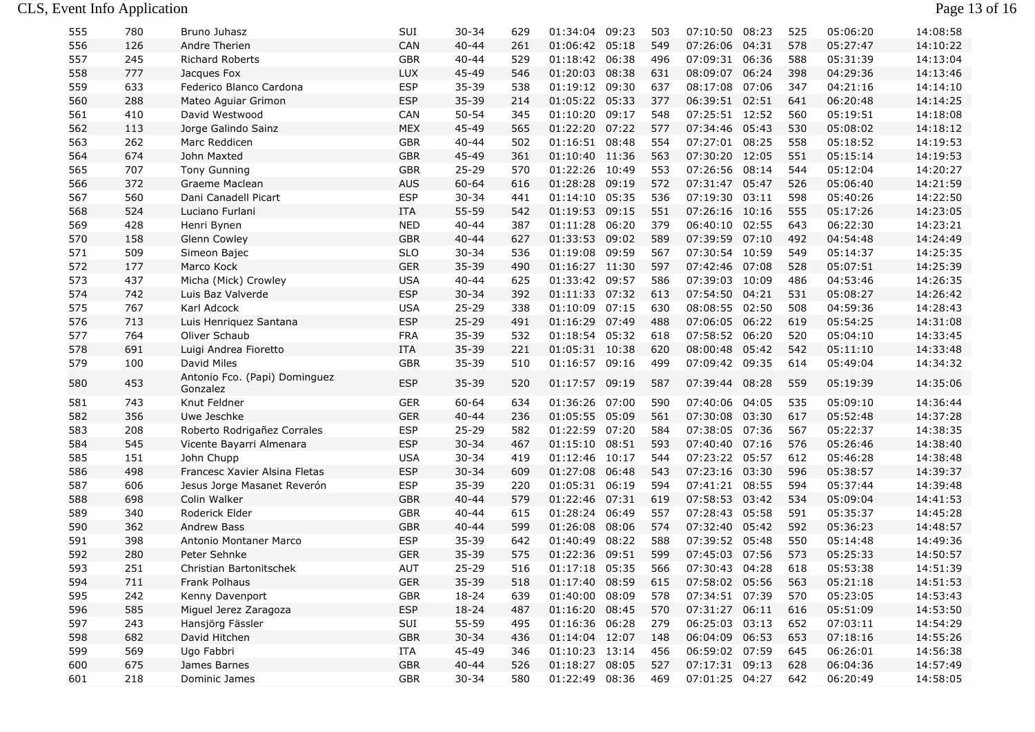| 555 | 780     | Bruno Juhasz                              | SUI         | 30-34     | 629 | 01:34:04       | 09:23 | 503 | 07:10:50       | 08:23 | 525 | 05:06:20 | 14:08:58 |
|-----|---------|-------------------------------------------|-------------|-----------|-----|----------------|-------|-----|----------------|-------|-----|----------|----------|
| 556 | 126     | Andre Therien                             | CAN         | $40 - 44$ | 261 | 01:06:42 05:18 |       | 549 | 07:26:06       | 04:31 | 578 | 05:27:47 | 14:10:22 |
| 557 | 245     | <b>Richard Roberts</b>                    | <b>GBR</b>  | $40 - 44$ | 529 | 01:18:42       | 06:38 | 496 | 07:09:31       | 06:36 | 588 | 05:31:39 | 14:13:04 |
| 558 | 777     | Jacques Fox                               | <b>LUX</b>  | 45-49     | 546 | 01:20:03       | 08:38 | 631 | 08:09:07 06:24 |       | 398 | 04:29:36 | 14:13:46 |
| 559 | 633     | Federico Blanco Cardona                   | <b>ESP</b>  | 35-39     | 538 | 01:19:12 09:30 |       | 637 | 08:17:08       | 07:06 | 347 | 04:21:16 | 14:14:10 |
| 560 | 288     | Mateo Aguiar Grimon                       | <b>ESP</b>  | 35-39     | 214 | 01:05:22       | 05:33 | 377 | 06:39:51 02:51 |       | 641 | 06:20:48 | 14:14:25 |
| 561 | 410     | David Westwood                            | CAN         | $50 - 54$ | 345 | 01:10:20       | 09:17 | 548 | 07:25:51 12:52 |       | 560 | 05:19:51 | 14:18:08 |
| 562 | 113     | Jorge Galindo Sainz                       | <b>MEX</b>  | 45-49     | 565 | 01:22:20 07:22 |       | 577 | 07:34:46 05:43 |       | 530 | 05:08:02 | 14:18:12 |
| 563 | 262     | Marc Reddicen                             | <b>GBR</b>  | $40 - 44$ | 502 | 01:16:51 08:48 |       | 554 | 07:27:01 08:25 |       | 558 | 05:18:52 | 14:19:53 |
| 564 | 674     | John Maxted                               | <b>GBR</b>  | 45-49     | 361 | 01:10:40 11:36 |       | 563 | 07:30:20 12:05 |       | 551 | 05:15:14 | 14:19:53 |
| 565 | 707     | <b>Tony Gunning</b>                       | <b>GBR</b>  | $25 - 29$ | 570 | 01:22:26       | 10:49 | 553 | 07:26:56       | 08:14 | 544 | 05:12:04 | 14:20:27 |
| 566 | 372     | Graeme Maclean                            | <b>AUS</b>  | 60-64     | 616 | 01:28:28 09:19 |       | 572 | 07:31:47 05:47 |       | 526 | 05:06:40 | 14:21:59 |
| 567 | 560     | Dani Canadell Picart                      | <b>ESP</b>  | $30 - 34$ | 441 | 01:14:10 05:35 |       | 536 | 07:19:30 03:11 |       | 598 | 05:40:26 | 14:22:50 |
| 568 | 524     | Luciano Furlani                           | <b>ITA</b>  | 55-59     | 542 | 01:19:53       | 09:15 | 551 | 07:26:16       | 10:16 | 555 | 05:17:26 | 14:23:05 |
| 569 | 428     | Henri Bynen                               | <b>NED</b>  | $40 - 44$ | 387 | 01:11:28       | 06:20 | 379 | 06:40:10 02:55 |       | 643 | 06:22:30 | 14:23:21 |
| 570 | 158     | Glenn Cowley                              | <b>GBR</b>  | $40 - 44$ | 627 | 01:33:53 09:02 |       | 589 | 07:39:59 07:10 |       | 492 | 04:54:48 | 14:24:49 |
| 571 | 509     | Simeon Bajec                              | <b>SLO</b>  | $30 - 34$ | 536 | 01:19:08 09:59 |       | 567 | 07:30:54 10:59 |       | 549 | 05:14:37 | 14:25:35 |
| 572 | 177     | Marco Kock                                | <b>GER</b>  | 35-39     | 490 | 01:16:27 11:30 |       | 597 | 07:42:46 07:08 |       | 528 | 05:07:51 | 14:25:39 |
| 573 | 437     | Micha (Mick) Crowley                      | <b>USA</b>  | $40 - 44$ | 625 | 01:33:42       | 09:57 | 586 | 07:39:03       | 10:09 | 486 | 04:53:46 | 14:26:35 |
| 574 | 742     | Luis Baz Valverde                         | <b>ESP</b>  | $30 - 34$ | 392 | 01:11:33 07:32 |       | 613 | 07:54:50       | 04:21 | 531 | 05:08:27 | 14:26:42 |
| 575 | 767     | Karl Adcock                               | <b>USA</b>  | $25 - 29$ | 338 | 01:10:09       | 07:15 | 630 | 08:08:55 02:50 |       | 508 | 04:59:36 | 14:28:43 |
| 576 | 713     | Luis Henriquez Santana                    | <b>ESP</b>  | $25 - 29$ | 491 | 01:16:29       | 07:49 | 488 | 07:06:05 06:22 |       | 619 | 05:54:25 | 14:31:08 |
| 577 | 764     | Oliver Schaub                             | <b>FRA</b>  | 35-39     | 532 | 01:18:54       | 05:32 | 618 | 07:58:52 06:20 |       | 520 | 05:04:10 | 14:33:45 |
| 578 | 691     | Luigi Andrea Fioretto                     | <b>ITA</b>  | 35-39     | 221 | 01:05:31 10:38 |       | 620 | 08:00:48 05:42 |       | 542 | 05:11:10 | 14:33:48 |
| 579 | 100     | David Miles                               | GBR         | 35-39     | 510 | 01:16:57 09:16 |       | 499 | 07:09:42 09:35 |       | 614 | 05:49:04 | 14:34:32 |
| 580 | 453     | Antonio Fco. (Papi) Dominguez<br>Gonzalez | <b>ESP</b>  | 35-39     | 520 | 01:17:57       | 09:19 | 587 | 07:39:44 08:28 |       | 559 | 05:19:39 | 14:35:06 |
| 581 | 743     | Knut Feldner                              | <b>GER</b>  | 60-64     | 634 | 01:36:26       | 07:00 | 590 | 07:40:06       | 04:05 | 535 | 05:09:10 | 14:36:44 |
| 582 | 356     | Uwe Jeschke                               | <b>GER</b>  | $40 - 44$ | 236 | 01:05:55       | 05:09 | 561 | 07:30:08       | 03:30 | 617 | 05:52:48 | 14:37:28 |
| 583 | 208     | Roberto Rodrigañez Corrales               | <b>ESP</b>  | $25 - 29$ | 582 | 01:22:59 07:20 |       | 584 | 07:38:05 07:36 |       | 567 | 05:22:37 | 14:38:35 |
| 584 | 545     | Vicente Bayarri Almenara                  | <b>ESP</b>  | $30 - 34$ | 467 | 01:15:10       | 08:51 | 593 | 07:40:40       | 07:16 | 576 | 05:26:46 | 14:38:40 |
| 585 | 151     | John Chupp                                | <b>USA</b>  | $30 - 34$ | 419 | 01:12:46       | 10:17 | 544 | 07:23:22 05:57 |       | 612 | 05:46:28 | 14:38:48 |
| 586 | 498     | Francesc Xavier Alsina Fletas             | <b>ESP</b>  | $30 - 34$ | 609 | 01:27:08       | 06:48 | 543 | 07:23:16 03:30 |       | 596 | 05:38:57 | 14:39:37 |
| 587 | 606     | Jesus Jorge Masanet Reverón               | <b>ESP</b>  | 35-39     | 220 | 01:05:31 06:19 |       | 594 | 07:41:21 08:55 |       | 594 | 05:37:44 | 14:39:48 |
| 588 | 698     | Colin Walker                              | <b>GBR</b>  | $40 - 44$ | 579 | 01:22:46       | 07:31 | 619 | 07:58:53 03:42 |       | 534 | 05:09:04 | 14:41:53 |
| 589 | 340     | Roderick Elder                            | GBR         | $40 - 44$ | 615 | 01:28:24       | 06:49 | 557 | 07:28:43 05:58 |       | 591 | 05:35:37 | 14:45:28 |
| 590 | 362     | Andrew Bass                               | <b>GBR</b>  | $40 - 44$ | 599 | 01:26:08       | 08:06 | 574 | 07:32:40 05:42 |       | 592 | 05:36:23 | 14:48:57 |
| 591 | 398     | Antonio Montaner Marco                    | <b>ESP</b>  | 35-39     | 642 | 01:40:49       | 08:22 | 588 | 07:39:52 05:48 |       | 550 | 05:14:48 | 14:49:36 |
| 592 | 280     | Peter Sehnke                              | <b>GER</b>  | 35-39     | 575 | 01:22:36 09:51 |       | 599 | 07:45:03 07:56 |       | 573 | 05:25:33 | 14:50:57 |
| 593 | 251     | Christian Bartonitschek                   | <b>AUT</b>  | $25 - 29$ | 516 | 01:17:18 05:35 |       | 566 | 07:30:43 04:28 |       | 618 | 05:53:38 | 14:51:39 |
| 594 | $711\,$ | Frank Polhaus                             | ${\sf GER}$ | 35-39     | 518 | 01:17:40 08:59 |       | 615 | 07:58:02 05:56 |       | 563 | 05:21:18 | 14:51:53 |
| 595 | 242     | Kenny Davenport                           | GBR         | 18-24     | 639 | 01:40:00 08:09 |       | 578 | 07:34:51 07:39 |       | 570 | 05:23:05 | 14:53:43 |
| 596 | 585     | Miguel Jerez Zaragoza                     | <b>ESP</b>  | 18-24     | 487 | 01:16:20 08:45 |       | 570 | 07:31:27 06:11 |       | 616 | 05:51:09 | 14:53:50 |
| 597 | 243     | Hansjörg Fässler                          | SUI         | 55-59     | 495 | 01:16:36 06:28 |       | 279 | 06:25:03 03:13 |       | 652 | 07:03:11 | 14:54:29 |
| 598 | 682     | David Hitchen                             | GBR         | $30 - 34$ | 436 | 01:14:04 12:07 |       | 148 | 06:04:09 06:53 |       | 653 | 07:18:16 | 14:55:26 |
| 599 | 569     | Ugo Fabbri                                | ITA         | 45-49     | 346 | 01:10:23 13:14 |       | 456 | 06:59:02 07:59 |       | 645 | 06:26:01 | 14:56:38 |
| 600 | 675     | James Barnes                              | GBR         | $40 - 44$ | 526 | 01:18:27 08:05 |       | 527 | 07:17:31 09:13 |       | 628 | 06:04:36 | 14:57:49 |
| 601 | 218     | Dominic James                             | GBR         | $30 - 34$ | 580 | 01:22:49 08:36 |       | 469 | 07:01:25 04:27 |       | 642 | 06:20:49 | 14:58:05 |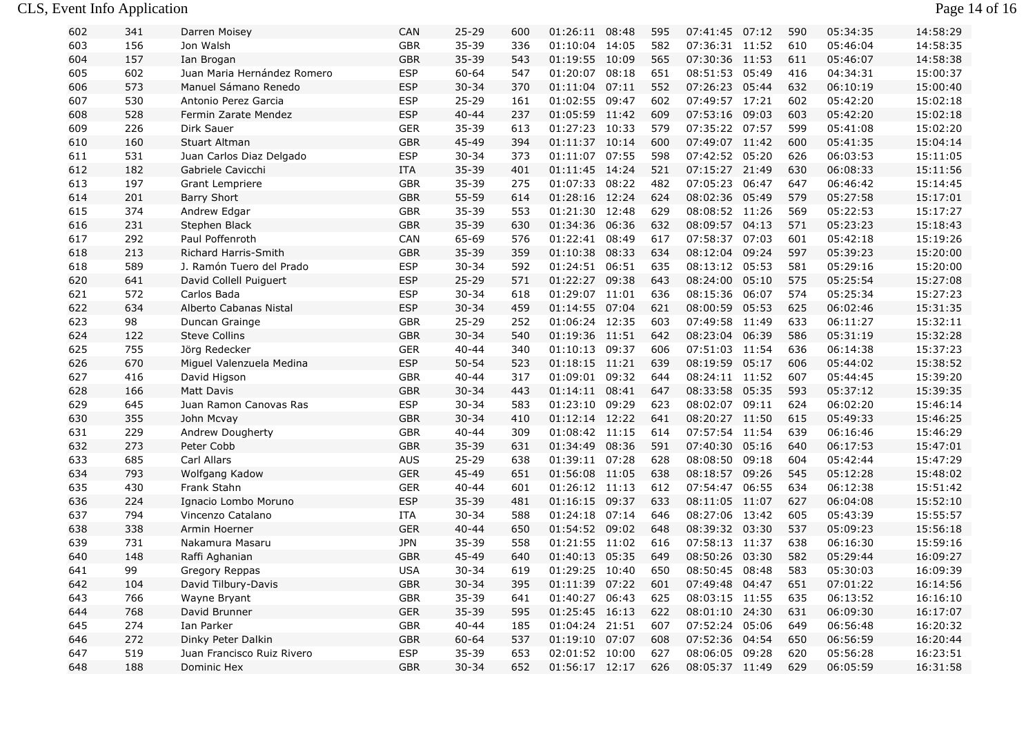## CLS, Event Info Application Page 14 of 16

| 602 | 341 | Darren Moisey               | CAN        | $25 - 29$ | 600 | 01:26:11 08:48 |       | 595 | 07:41:45       | 07:12 | 590 | 05:34:35 | 14:58:29 |
|-----|-----|-----------------------------|------------|-----------|-----|----------------|-------|-----|----------------|-------|-----|----------|----------|
| 603 | 156 | Jon Walsh                   | <b>GBR</b> | 35-39     | 336 | 01:10:04 14:05 |       | 582 | 07:36:31 11:52 |       | 610 | 05:46:04 | 14:58:35 |
| 604 | 157 | Ian Brogan                  | <b>GBR</b> | 35-39     | 543 | 01:19:55 10:09 |       | 565 | 07:30:36 11:53 |       | 611 | 05:46:07 | 14:58:38 |
| 605 | 602 | Juan Maria Hernández Romero | <b>ESP</b> | 60-64     | 547 | 01:20:07       | 08:18 | 651 | 08:51:53 05:49 |       | 416 | 04:34:31 | 15:00:37 |
| 606 | 573 | Manuel Sámano Renedo        | <b>ESP</b> | $30 - 34$ | 370 | 01:11:04       | 07:11 | 552 | 07:26:23 05:44 |       | 632 | 06:10:19 | 15:00:40 |
| 607 | 530 | Antonio Perez Garcia        | <b>ESP</b> | $25 - 29$ | 161 | 01:02:55       | 09:47 | 602 | 07:49:57 17:21 |       | 602 | 05:42:20 | 15:02:18 |
| 608 | 528 | Fermin Zarate Mendez        | <b>ESP</b> | $40 - 44$ | 237 | 01:05:59 11:42 |       | 609 | 07:53:16 09:03 |       | 603 | 05:42:20 | 15:02:18 |
| 609 | 226 | Dirk Sauer                  | <b>GER</b> | $35 - 39$ | 613 | 01:27:23 10:33 |       | 579 | 07:35:22 07:57 |       | 599 | 05:41:08 | 15:02:20 |
| 610 | 160 | Stuart Altman               | <b>GBR</b> | 45-49     | 394 | 01:11:37 10:14 |       | 600 | 07:49:07 11:42 |       | 600 | 05:41:35 | 15:04:14 |
| 611 | 531 | Juan Carlos Diaz Delgado    | <b>ESP</b> | $30 - 34$ | 373 | 01:11:07 07:55 |       | 598 | 07:42:52 05:20 |       | 626 | 06:03:53 | 15:11:05 |
| 612 | 182 | Gabriele Cavicchi           | <b>ITA</b> | 35-39     | 401 | 01:11:45 14:24 |       | 521 | 07:15:27 21:49 |       | 630 | 06:08:33 | 15:11:56 |
| 613 | 197 | <b>Grant Lempriere</b>      | <b>GBR</b> | 35-39     | 275 | 01:07:33       | 08:22 | 482 | 07:05:23 06:47 |       | 647 | 06:46:42 | 15:14:45 |
| 614 | 201 | <b>Barry Short</b>          | <b>GBR</b> | 55-59     | 614 | 01:28:16 12:24 |       | 624 | 08:02:36 05:49 |       | 579 | 05:27:58 | 15:17:01 |
| 615 | 374 | Andrew Edgar                | <b>GBR</b> | 35-39     | 553 | 01:21:30 12:48 |       | 629 | 08:08:52 11:26 |       | 569 | 05:22:53 | 15:17:27 |
| 616 | 231 | Stephen Black               | <b>GBR</b> | 35-39     | 630 | 01:34:36       | 06:36 | 632 | 08:09:57 04:13 |       | 571 | 05:23:23 | 15:18:43 |
| 617 | 292 | Paul Poffenroth             | CAN        | 65-69     | 576 | 01:22:41       | 08:49 | 617 | 07:58:37 07:03 |       | 601 | 05:42:18 | 15:19:26 |
| 618 | 213 | Richard Harris-Smith        | <b>GBR</b> | 35-39     | 359 | 01:10:38       | 08:33 | 634 | 08:12:04       | 09:24 | 597 | 05:39:23 | 15:20:00 |
| 618 | 589 | J. Ramón Tuero del Prado    | <b>ESP</b> | $30 - 34$ | 592 | 01:24:51       | 06:51 | 635 | 08:13:12 05:53 |       | 581 | 05:29:16 | 15:20:00 |
| 620 | 641 | David Collell Puiguert      | <b>ESP</b> | $25 - 29$ | 571 | 01:22:27       | 09:38 | 643 | 08:24:00 05:10 |       | 575 | 05:25:54 | 15:27:08 |
| 621 | 572 | Carlos Bada                 | <b>ESP</b> | $30 - 34$ | 618 | 01:29:07 11:01 |       | 636 | 08:15:36 06:07 |       | 574 | 05:25:34 | 15:27:23 |
| 622 | 634 | Alberto Cabanas Nistal      | <b>ESP</b> | $30 - 34$ | 459 | 01:14:55 07:04 |       | 621 | 08:00:59 05:53 |       | 625 | 06:02:46 | 15:31:35 |
| 623 | 98  | Duncan Grainge              | <b>GBR</b> | $25 - 29$ | 252 | 01:06:24 12:35 |       | 603 | 07:49:58 11:49 |       | 633 | 06:11:27 | 15:32:11 |
| 624 | 122 | <b>Steve Collins</b>        | <b>GBR</b> | $30 - 34$ | 540 | 01:19:36 11:51 |       | 642 | 08:23:04       | 06:39 | 586 | 05:31:19 | 15:32:28 |
| 625 | 755 | Jörg Redecker               | <b>GER</b> | $40 - 44$ | 340 | 01:10:13       | 09:37 | 606 | 07:51:03 11:54 |       | 636 | 06:14:38 | 15:37:23 |
| 626 | 670 | Miguel Valenzuela Medina    | <b>ESP</b> | $50 - 54$ | 523 | 01:18:15 11:21 |       | 639 | 08:19:59       | 05:17 | 606 | 05:44:02 | 15:38:52 |
| 627 | 416 | David Higson                | <b>GBR</b> | $40 - 44$ | 317 | 01:09:01       | 09:32 | 644 | 08:24:11 11:52 |       | 607 | 05:44:45 | 15:39:20 |
| 628 | 166 | <b>Matt Davis</b>           | <b>GBR</b> | $30 - 34$ | 443 | 01:14:11       | 08:41 | 647 | 08:33:58 05:35 |       | 593 | 05:37:12 | 15:39:35 |
| 629 | 645 | Juan Ramon Canovas Ras      | <b>ESP</b> | $30 - 34$ | 583 | 01:23:10       | 09:29 | 623 | 08:02:07 09:11 |       | 624 | 06:02:20 | 15:46:14 |
| 630 | 355 | John Mcvay                  | <b>GBR</b> | $30 - 34$ | 410 | 01:12:14 12:22 |       | 641 | 08:20:27 11:50 |       | 615 | 05:49:33 | 15:46:25 |
| 631 | 229 | Andrew Dougherty            | <b>GBR</b> | $40 - 44$ | 309 | 01:08:42 11:15 |       | 614 | 07:57:54 11:54 |       | 639 | 06:16:46 | 15:46:29 |
| 632 | 273 | Peter Cobb                  | <b>GBR</b> | 35-39     | 631 | 01:34:49       | 08:36 | 591 | 07:40:30 05:16 |       | 640 | 06:17:53 | 15:47:01 |
| 633 | 685 | Carl Allars                 | <b>AUS</b> | $25 - 29$ | 638 | 01:39:11 07:28 |       | 628 | 08:08:50 09:18 |       | 604 | 05:42:44 | 15:47:29 |
| 634 | 793 | Wolfgang Kadow              | <b>GER</b> | 45-49     | 651 | 01:56:08       | 11:05 | 638 | 08:18:57 09:26 |       | 545 | 05:12:28 | 15:48:02 |
| 635 | 430 | Frank Stahn                 | <b>GER</b> | $40 - 44$ | 601 | 01:26:12 11:13 |       | 612 | 07:54:47 06:55 |       | 634 | 06:12:38 | 15:51:42 |
| 636 | 224 | Ignacio Lombo Moruno        | <b>ESP</b> | 35-39     | 481 | 01:16:15       | 09:37 | 633 | 08:11:05 11:07 |       | 627 | 06:04:08 | 15:52:10 |
| 637 | 794 | Vincenzo Catalano           | ITA        | $30 - 34$ | 588 | 01:24:18       | 07:14 | 646 | 08:27:06 13:42 |       | 605 | 05:43:39 | 15:55:57 |
| 638 | 338 | Armin Hoerner               | <b>GER</b> | $40 - 44$ | 650 | 01:54:52       | 09:02 | 648 | 08:39:32 03:30 |       | 537 | 05:09:23 | 15:56:18 |
| 639 | 731 | Nakamura Masaru             | <b>JPN</b> | $35 - 39$ | 558 | 01:21:55 11:02 |       | 616 | 07:58:13 11:37 |       | 638 | 06:16:30 | 15:59:16 |
| 640 | 148 | Raffi Aghanian              | <b>GBR</b> | 45-49     | 640 | 01:40:13       | 05:35 | 649 | 08:50:26 03:30 |       | 582 | 05:29:44 | 16:09:27 |
| 641 | 99  | Gregory Reppas              | <b>USA</b> | $30 - 34$ | 619 | 01:29:25 10:40 |       | 650 | 08:50:45 08:48 |       | 583 | 05:30:03 | 16:09:39 |
| 642 | 104 | David Tilbury-Davis         | GBR        | $30 - 34$ | 395 | 01:11:39 07:22 |       | 601 | 07:49:48 04:47 |       | 651 | 07:01:22 | 16:14:56 |
| 643 | 766 | Wayne Bryant                | GBR        | 35-39     | 641 | 01:40:27 06:43 |       | 625 | 08:03:15 11:55 |       | 635 | 06:13:52 | 16:16:10 |
| 644 | 768 | David Brunner               | <b>GER</b> | $35 - 39$ | 595 | 01:25:45 16:13 |       | 622 | 08:01:10 24:30 |       | 631 | 06:09:30 | 16:17:07 |
| 645 | 274 | Ian Parker                  | GBR        | 40-44     | 185 | 01:04:24 21:51 |       | 607 | 07:52:24 05:06 |       | 649 | 06:56:48 | 16:20:32 |
| 646 | 272 | Dinky Peter Dalkin          | GBR        | 60-64     | 537 | 01:19:10 07:07 |       | 608 | 07:52:36 04:54 |       | 650 | 06:56:59 | 16:20:44 |
| 647 | 519 | Juan Francisco Ruiz Rivero  | ESP        | 35-39     | 653 | 02:01:52 10:00 |       | 627 | 08:06:05 09:28 |       | 620 | 05:56:28 | 16:23:51 |
| 648 | 188 | Dominic Hex                 | GBR        | $30 - 34$ | 652 | 01:56:17 12:17 |       | 626 | 08:05:37 11:49 |       | 629 | 06:05:59 | 16:31:58 |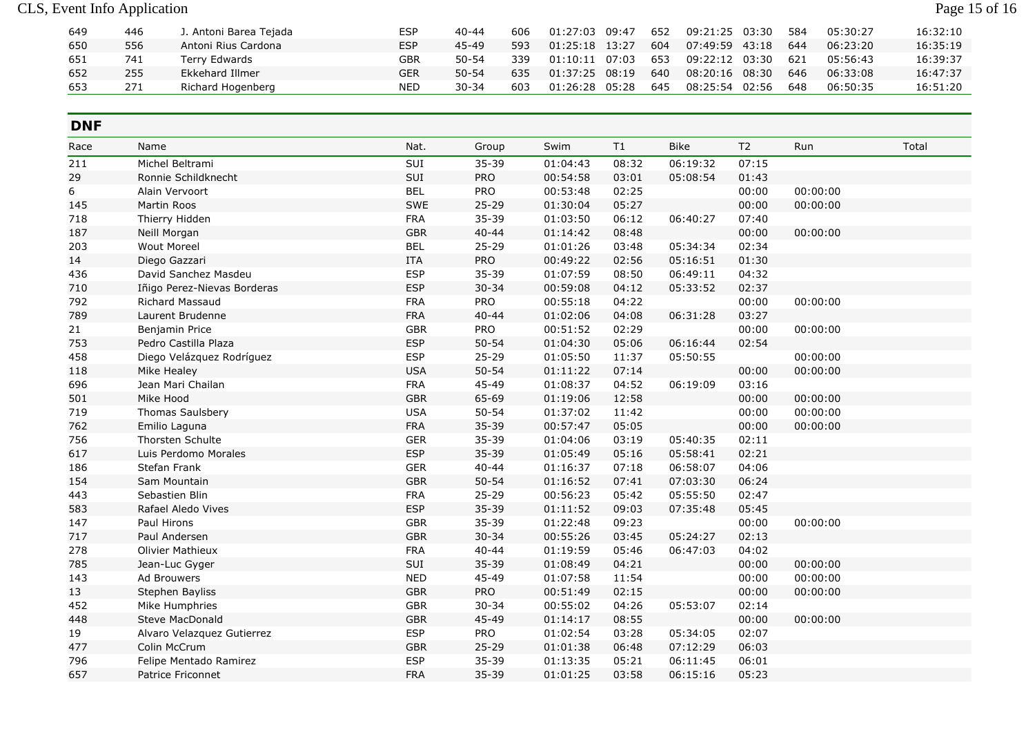| 649 | 446 | J. Antoni Barea Tejada | <b>ESP</b> | $40 - 44$ | 606 | 01:27:03       | 09:47 | 652 | 09:21:25 03:30 |       | 584 | 05:30:27 | 16:32:10 |
|-----|-----|------------------------|------------|-----------|-----|----------------|-------|-----|----------------|-------|-----|----------|----------|
| 650 | 556 | Antoni Rius Cardona    | <b>ESP</b> | 45-49     | 593 | 01:25:18 13:27 |       | 604 | 07:49:59 43:18 |       | 644 | 06:23:20 | 16:35:19 |
| 651 | 741 | Terry Edwards          | GBR        | $50 - 54$ | 339 | 01:10:11       | 07:03 | 653 | 09:22:12 03:30 |       | 621 | 05:56:43 | 16:39:37 |
| 652 | 255 | Ekkehard Illmer        | GER        | $50 - 54$ | 635 | 01:37:25       | 08:19 | 640 | 08:20:16 08:30 |       | 646 | 06:33:08 | 16:47:37 |
| 653 | 271 | Richard Hogenberg      | <b>NED</b> | $30 - 34$ | 603 | 01:26:28       | 05:28 | 645 | 08:25:54       | 02:56 | 648 | 06:50:35 | 16:51:20 |

## **DNF**

| Race | Name                        | Nat.       | Group      | Swim     | T1    | <b>Bike</b> | T <sub>2</sub> | Run      | Total |
|------|-----------------------------|------------|------------|----------|-------|-------------|----------------|----------|-------|
| 211  | Michel Beltrami             | SUI        | $35 - 39$  | 01:04:43 | 08:32 | 06:19:32    | 07:15          |          |       |
| 29   | Ronnie Schildknecht         | SUI        | <b>PRO</b> | 00:54:58 | 03:01 | 05:08:54    | 01:43          |          |       |
| 6    | Alain Vervoort              | <b>BEL</b> | <b>PRO</b> | 00:53:48 | 02:25 |             | 00:00          | 00:00:00 |       |
| 145  | Martin Roos                 | SWE        | $25 - 29$  | 01:30:04 | 05:27 |             | 00:00          | 00:00:00 |       |
| 718  | Thierry Hidden              | <b>FRA</b> | 35-39      | 01:03:50 | 06:12 | 06:40:27    | 07:40          |          |       |
| 187  | Neill Morgan                | <b>GBR</b> | $40 - 44$  | 01:14:42 | 08:48 |             | 00:00          | 00:00:00 |       |
| 203  | <b>Wout Moreel</b>          | <b>BEL</b> | $25 - 29$  | 01:01:26 | 03:48 | 05:34:34    | 02:34          |          |       |
| 14   | Diego Gazzari               | <b>ITA</b> | PRO        | 00:49:22 | 02:56 | 05:16:51    | 01:30          |          |       |
| 436  | David Sanchez Masdeu        | <b>ESP</b> | 35-39      | 01:07:59 | 08:50 | 06:49:11    | 04:32          |          |       |
| 710  | Iñigo Perez-Nievas Borderas | <b>ESP</b> | $30 - 34$  | 00:59:08 | 04:12 | 05:33:52    | 02:37          |          |       |
| 792  | <b>Richard Massaud</b>      | <b>FRA</b> | PRO        | 00:55:18 | 04:22 |             | 00:00          | 00:00:00 |       |
| 789  | Laurent Brudenne            | <b>FRA</b> | $40 - 44$  | 01:02:06 | 04:08 | 06:31:28    | 03:27          |          |       |
| 21   | Benjamin Price              | <b>GBR</b> | PRO        | 00:51:52 | 02:29 |             | 00:00          | 00:00:00 |       |
| 753  | Pedro Castilla Plaza        | <b>ESP</b> | $50 - 54$  | 01:04:30 | 05:06 | 06:16:44    | 02:54          |          |       |
| 458  | Diego Velázquez Rodríguez   | <b>ESP</b> | $25 - 29$  | 01:05:50 | 11:37 | 05:50:55    |                | 00:00:00 |       |
| 118  | Mike Healey                 | <b>USA</b> | $50 - 54$  | 01:11:22 | 07:14 |             | 00:00          | 00:00:00 |       |
| 696  | Jean Mari Chailan           | <b>FRA</b> | 45-49      | 01:08:37 | 04:52 | 06:19:09    | 03:16          |          |       |
| 501  | Mike Hood                   | <b>GBR</b> | 65-69      | 01:19:06 | 12:58 |             | 00:00          | 00:00:00 |       |
| 719  | Thomas Saulsbery            | <b>USA</b> | $50 - 54$  | 01:37:02 | 11:42 |             | 00:00          | 00:00:00 |       |
| 762  | Emilio Laguna               | <b>FRA</b> | 35-39      | 00:57:47 | 05:05 |             | 00:00          | 00:00:00 |       |
| 756  | Thorsten Schulte            | <b>GER</b> | $35 - 39$  | 01:04:06 | 03:19 | 05:40:35    | 02:11          |          |       |
| 617  | Luis Perdomo Morales        | <b>ESP</b> | 35-39      | 01:05:49 | 05:16 | 05:58:41    | 02:21          |          |       |
| 186  | Stefan Frank                | <b>GER</b> | $40 - 44$  | 01:16:37 | 07:18 | 06:58:07    | 04:06          |          |       |
| 154  | Sam Mountain                | <b>GBR</b> | $50 - 54$  | 01:16:52 | 07:41 | 07:03:30    | 06:24          |          |       |
| 443  | Sebastien Blin              | <b>FRA</b> | $25 - 29$  | 00:56:23 | 05:42 | 05:55:50    | 02:47          |          |       |
| 583  | Rafael Aledo Vives          | <b>ESP</b> | 35-39      | 01:11:52 | 09:03 | 07:35:48    | 05:45          |          |       |
| 147  | Paul Hirons                 | <b>GBR</b> | 35-39      | 01:22:48 | 09:23 |             | 00:00          | 00:00:00 |       |
| 717  | Paul Andersen               | <b>GBR</b> | $30 - 34$  | 00:55:26 | 03:45 | 05:24:27    | 02:13          |          |       |
| 278  | Olivier Mathieux            | <b>FRA</b> | $40 - 44$  | 01:19:59 | 05:46 | 06:47:03    | 04:02          |          |       |
| 785  | Jean-Luc Gyger              | SUI        | 35-39      | 01:08:49 | 04:21 |             | 00:00          | 00:00:00 |       |
| 143  | Ad Brouwers                 | <b>NED</b> | 45-49      | 01:07:58 | 11:54 |             | 00:00          | 00:00:00 |       |
| 13   | Stephen Bayliss             | <b>GBR</b> | PRO        | 00:51:49 | 02:15 |             | 00:00          | 00:00:00 |       |
| 452  | Mike Humphries              | <b>GBR</b> | $30 - 34$  | 00:55:02 | 04:26 | 05:53:07    | 02:14          |          |       |
| 448  | Steve MacDonald             | <b>GBR</b> | 45-49      | 01:14:17 | 08:55 |             | 00:00          | 00:00:00 |       |
| 19   | Alvaro Velazquez Gutierrez  | <b>ESP</b> | PRO        | 01:02:54 | 03:28 | 05:34:05    | 02:07          |          |       |
| 477  | Colin McCrum                | <b>GBR</b> | $25 - 29$  | 01:01:38 | 06:48 | 07:12:29    | 06:03          |          |       |
| 796  | Felipe Mentado Ramirez      | <b>ESP</b> | 35-39      | 01:13:35 | 05:21 | 06:11:45    | 06:01          |          |       |
| 657  | Patrice Friconnet           | <b>FRA</b> | 35-39      | 01:01:25 | 03:58 | 06:15:16    | 05:23          |          |       |